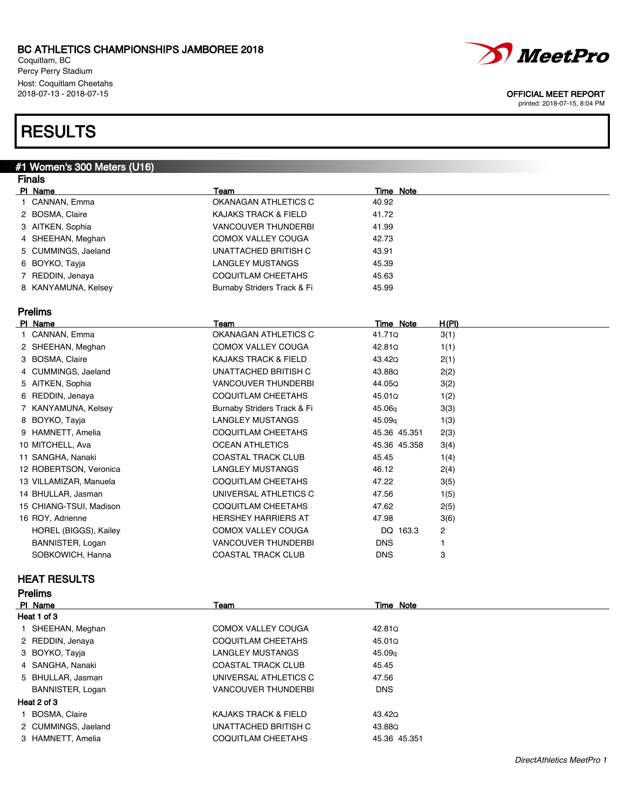Coquitlam, BC Percy Perry Stadium Host: Coquitlam Cheetahs<br>2018-07-13 - 2018-07-15

# **RESULTS**

### #1 Women's 300 Meters (U16)

| <b>Finals</b>           |                                 |                    |       |  |
|-------------------------|---------------------------------|--------------------|-------|--|
| PI Name                 | Team                            | <b>Time Note</b>   |       |  |
| 1 CANNAN, Emma          | OKANAGAN ATHLETICS C            | 40.92              |       |  |
| 2 BOSMA, Claire         | <b>KAJAKS TRACK &amp; FIELD</b> | 41.72              |       |  |
| 3 AITKEN, Sophia        | <b>VANCOUVER THUNDERBI</b>      | 41.99              |       |  |
| 4 SHEEHAN, Meghan       | COMOX VALLEY COUGA              | 42.73              |       |  |
| 5 CUMMINGS, Jaeland     | UNATTACHED BRITISH C            | 43.91              |       |  |
| 6 BOYKO, Tayja          | <b>LANGLEY MUSTANGS</b>         | 45.39              |       |  |
| 7 REDDIN, Jenaya        | <b>COQUITLAM CHEETAHS</b>       | 45.63              |       |  |
| 8 KANYAMUNA, Kelsey     | Burnaby Striders Track & Fi     | 45.99              |       |  |
| <b>Prelims</b>          |                                 |                    |       |  |
| PI Name                 | Team                            | Time Note          | H(PI) |  |
| 1 CANNAN, Emma          | OKANAGAN ATHLETICS C            | 41.710             | 3(1)  |  |
| 2 SHEEHAN, Meghan       | <b>COMOX VALLEY COUGA</b>       | 42.81Q             | 1(1)  |  |
| 3 BOSMA, Claire         | <b>KAJAKS TRACK &amp; FIELD</b> | 43.42Q             | 2(1)  |  |
| 4 CUMMINGS, Jaeland     | UNATTACHED BRITISH C            | 43.88Q             | 2(2)  |  |
| 5 AITKEN, Sophia        | <b>VANCOUVER THUNDERBI</b>      | 44.05Q             | 3(2)  |  |
| 6 REDDIN, Jenaya        | <b>COQUITLAM CHEETAHS</b>       | 45.01Q             | 1(2)  |  |
| 7 KANYAMUNA, Kelsey     | Burnaby Striders Track & Fi     | 45.06g             | 3(3)  |  |
| 8 BOYKO, Tayja          | <b>LANGLEY MUSTANGS</b>         | 45.09 <sub>g</sub> | 1(3)  |  |
| 9 HAMNETT, Amelia       | <b>COQUITLAM CHEETAHS</b>       | 45.36 45.351       | 2(3)  |  |
| 10 MITCHELL, Ava        | <b>OCEAN ATHLETICS</b>          | 45.36 45.358       | 3(4)  |  |
| 11 SANGHA, Nanaki       | <b>COASTAL TRACK CLUB</b>       | 45.45              | 1(4)  |  |
| 12 ROBERTSON, Veronica  | <b>LANGLEY MUSTANGS</b>         | 46.12              | 2(4)  |  |
| 13 VILLAMIZAR, Manuela  | COQUITLAM CHEETAHS              | 47.22              | 3(5)  |  |
| 14 BHULLAR, Jasman      | UNIVERSAL ATHLETICS C           | 47.56              | 1(5)  |  |
| 15 CHIANG-TSUI, Madison | <b>COQUITLAM CHEETAHS</b>       | 47.62              | 2(5)  |  |
| 16 ROY, Adrienne        | <b>HERSHEY HARRIERS AT</b>      | 47.98              | 3(6)  |  |
| HOREL (BIGGS), Kailey   | <b>COMOX VALLEY COUGA</b>       | DQ 163.3           | 2     |  |
| BANNISTER, Logan        | <b>VANCOUVER THUNDERBI</b>      | <b>DNS</b>         | 1     |  |
| SOBKOWICH, Hanna        | <b>COASTAL TRACK CLUB</b>       | <b>DNS</b>         | 3     |  |

### HEAT RESULTS

| PI Name             | Team                            | Time Note          |
|---------------------|---------------------------------|--------------------|
| Heat 1 of 3         |                                 |                    |
| 1 SHEEHAN, Meghan   | COMOX VALLEY COUGA              | 42.810             |
| 2 REDDIN, Jenaya    | COQUITLAM CHEETAHS              | 45.01Q             |
| 3 BOYKO, Tayja      | <b>LANGLEY MUSTANGS</b>         | 45.09 <sub>q</sub> |
| 4 SANGHA, Nanaki    | <b>COASTAL TRACK CLUB</b>       | 45.45              |
| 5 BHULLAR, Jasman   | UNIVERSAL ATHLETICS C           | 47.56              |
| BANNISTER, Logan    | VANCOUVER THUNDERBI             | <b>DNS</b>         |
| Heat 2 of 3         |                                 |                    |
| BOSMA, Claire       | <b>KAJAKS TRACK &amp; FIELD</b> | 43.420             |
| 2 CUMMINGS, Jaeland | UNATTACHED BRITISH C            | 43.88Q             |
| 3 HAMNETT, Amelia   | COQUITLAM CHEETAHS              | 45.36 45.351       |



### OFFICIAL MEET REPORT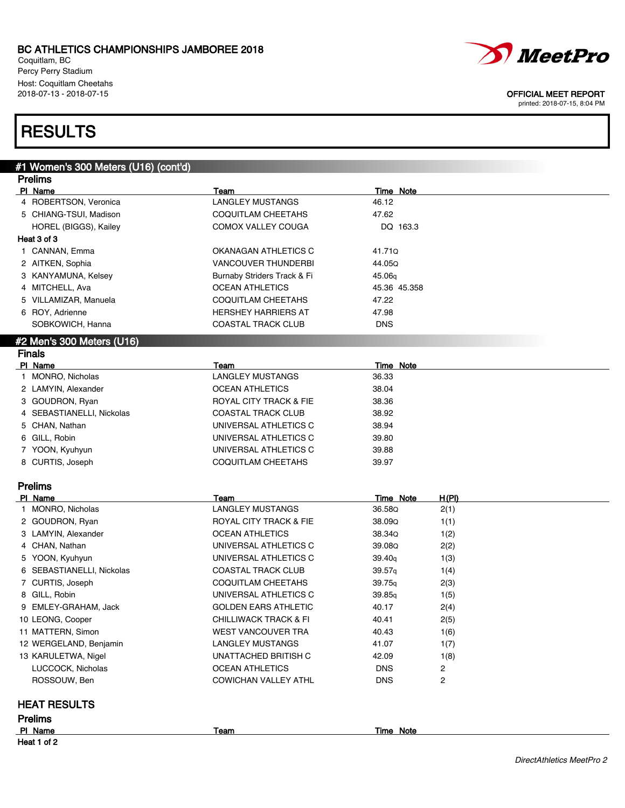PI Name Team Team Team Time Note 4 ROBERTSON, Veronica CHANGLEY MUSTANGS 46.12

Coquitlam, BC Percy Perry Stadium Host: Coquitlam Cheetahs<br>2018-07-13 - 2018-07-15

## **RESULTS**

Prelims

#1 Women's 300 Meters (U16) (cont'd)

| Heat 1 of 2                                |                                                    |                                      |  |  |
|--------------------------------------------|----------------------------------------------------|--------------------------------------|--|--|
| PI Name                                    | <b>Team</b>                                        | Time Note                            |  |  |
| <b>HEAT RESULTS</b><br><b>Prelims</b>      |                                                    |                                      |  |  |
|                                            |                                                    |                                      |  |  |
| ROSSOUW, Ben                               | COWICHAN VALLEY ATHL                               | <b>DNS</b><br>2                      |  |  |
| LUCCOCK, Nicholas                          | OCEAN ATHLETICS                                    | 1(8)<br><b>DNS</b><br>$\overline{2}$ |  |  |
| 13 KARULETWA, Nigel                        | UNATTACHED BRITISH C                               | 1(7)<br>42.09                        |  |  |
| 12 WERGELAND, Benjamin                     | <b>LANGLEY MUSTANGS</b>                            | 1(6)<br>41.07                        |  |  |
| 11 MATTERN, Simon                          | WEST VANCOUVER TRA                                 | 2(5)<br>40.43                        |  |  |
| 10 LEONG, Cooper                           | <b>CHILLIWACK TRACK &amp; FI</b>                   | 40.17<br>2(4)<br>40.41               |  |  |
| 9 EMLEY-GRAHAM, Jack                       | <b>GOLDEN EARS ATHLETIC</b>                        | 39.85q<br>1(5)                       |  |  |
| 8 GILL, Robin                              | UNIVERSAL ATHLETICS C                              |                                      |  |  |
| 7 CURTIS, Joseph                           | COQUITLAM CHEETAHS                                 | 39.75q<br>2(3)                       |  |  |
| 6 SEBASTIANELLI, Nickolas                  | <b>COASTAL TRACK CLUB</b>                          | 39.57q<br>1(4)                       |  |  |
| 5 YOON, Kyuhyun                            | UNIVERSAL ATHLETICS C                              | 1(3)<br>39.40q                       |  |  |
| 4 CHAN, Nathan                             | UNIVERSAL ATHLETICS C                              | 39.08Q<br>2(2)                       |  |  |
| 3 LAMYIN, Alexander                        | <b>OCEAN ATHLETICS</b>                             | 38.34Q<br>1(2)                       |  |  |
| 2 GOUDRON, Ryan                            | ROYAL CITY TRACK & FIE                             | 38.09Q<br>1(1)                       |  |  |
| 1 MONRO, Nicholas                          | <b>LANGLEY MUSTANGS</b>                            | 36.58Q<br>2(1)                       |  |  |
| <b>Prelims</b><br>PI Name                  | Team                                               | <b>Time Note</b><br><u>H(PI)</u>     |  |  |
|                                            |                                                    |                                      |  |  |
| 8 CURTIS, Joseph                           | COQUITLAM CHEETAHS                                 | 39.97                                |  |  |
| 7 YOON, Kyuhyun                            | UNIVERSAL ATHLETICS C                              | 39.88                                |  |  |
| 6 GILL, Robin                              | UNIVERSAL ATHLETICS C                              | 39.80                                |  |  |
| 5 CHAN, Nathan                             | UNIVERSAL ATHLETICS C                              | 38.94                                |  |  |
| 4 SEBASTIANELLI, Nickolas                  | <b>COASTAL TRACK CLUB</b>                          | 38.92                                |  |  |
| 3 GOUDRON, Ryan                            | ROYAL CITY TRACK & FIE                             | 38.36                                |  |  |
| 2 LAMYIN, Alexander                        | <b>OCEAN ATHLETICS</b>                             | 38.04                                |  |  |
| 1 MONRO, Nicholas                          | <b>LANGLEY MUSTANGS</b>                            | 36.33                                |  |  |
| PI Name                                    | Team                                               | <b>Time Note</b>                     |  |  |
| #2 Men's 300 Meters (U16)<br><b>Finals</b> |                                                    |                                      |  |  |
|                                            |                                                    |                                      |  |  |
| SOBKOWICH, Hanna                           | COASTAL TRACK CLUB                                 | <b>DNS</b>                           |  |  |
| 6 ROY, Adrienne                            | <b>HERSHEY HARRIERS AT</b>                         | 47.98                                |  |  |
| 5 VILLAMIZAR, Manuela                      | COQUITLAM CHEETAHS                                 | 47.22                                |  |  |
| 4 MITCHELL, Ava                            | <b>OCEAN ATHLETICS</b>                             | 45.36 45.358                         |  |  |
| 3 KANYAMUNA, Kelsey                        | Burnaby Striders Track & Fi                        | 45.06 <sub>g</sub>                   |  |  |
| 1 CANNAN, Emma<br>2 AITKEN, Sophia         | OKANAGAN ATHLETICS C<br><b>VANCOUVER THUNDERBI</b> | 41.71Q<br>44.05Q                     |  |  |
| Heat 3 of 3                                |                                                    |                                      |  |  |
| HOREL (BIGGS), Kailey                      | COMOX VALLEY COUGA                                 | DQ 163.3                             |  |  |
| 5 CHIANG-TSUI, Madison                     | COQUITLAM CHEETAHS                                 | 47.62                                |  |  |
|                                            |                                                    |                                      |  |  |



*MeetPro* 

#### OFFICIAL MEET REPORT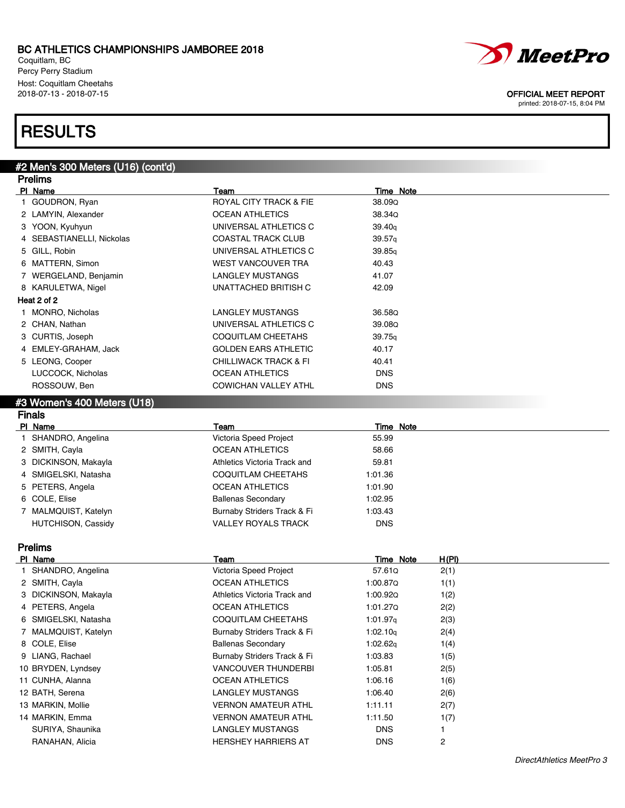Coquitlam, BC Percy Perry Stadium Host: Coquitlam Cheetahs<br>2018-07-13 - 2018-07-15

# **RESULTS**

#2 Men's 300 Meters (U16) (cont'd)

| <b>Prelims</b>              |                                  |            |  |  |
|-----------------------------|----------------------------------|------------|--|--|
| PI Name                     | Team                             | Time Note  |  |  |
| 1 GOUDRON, Ryan             | ROYAL CITY TRACK & FIE           | 38.09Q     |  |  |
| 2 LAMYIN, Alexander         | <b>OCEAN ATHLETICS</b>           | 38.34Q     |  |  |
| 3 YOON, Kyuhyun             | UNIVERSAL ATHLETICS C            | 39.40q     |  |  |
| 4 SEBASTIANELLI, Nickolas   | <b>COASTAL TRACK CLUB</b>        | 39.57q     |  |  |
| 5 GILL, Robin               | UNIVERSAL ATHLETICS C            | 39.85q     |  |  |
| 6 MATTERN, Simon            | <b>WEST VANCOUVER TRA</b>        | 40.43      |  |  |
| 7 WERGELAND, Benjamin       | <b>LANGLEY MUSTANGS</b>          | 41.07      |  |  |
| 8 KARULETWA, Nigel          | UNATTACHED BRITISH C             | 42.09      |  |  |
| Heat 2 of 2                 |                                  |            |  |  |
| 1 MONRO, Nicholas           | <b>LANGLEY MUSTANGS</b>          | 36.58Q     |  |  |
| 2 CHAN, Nathan              | UNIVERSAL ATHLETICS C            | 39.08Q     |  |  |
| 3 CURTIS, Joseph            | <b>COQUITLAM CHEETAHS</b>        | 39.75q     |  |  |
| 4 EMLEY-GRAHAM, Jack        | <b>GOLDEN EARS ATHLETIC</b>      | 40.17      |  |  |
| 5 LEONG, Cooper             | <b>CHILLIWACK TRACK &amp; FI</b> | 40.41      |  |  |
| LUCCOCK, Nicholas           | <b>OCEAN ATHLETICS</b>           | <b>DNS</b> |  |  |
| ROSSOUW, Ben                | <b>COWICHAN VALLEY ATHL</b>      | <b>DNS</b> |  |  |
| #3 Women's 400 Meters (U18) |                                  |            |  |  |
| <b>Finals</b>               |                                  |            |  |  |
| PI Name                     | Team                             | Time Note  |  |  |

| г мате                    | ı eam                        | Time Note  |  |
|---------------------------|------------------------------|------------|--|
| SHANDRO, Angelina         | Victoria Speed Project       | 55.99      |  |
| 2 SMITH, Cayla            | <b>OCEAN ATHLETICS</b>       | 58.66      |  |
| 3 DICKINSON, Makayla      | Athletics Victoria Track and | 59.81      |  |
| 4 SMIGELSKI, Natasha      | COQUITLAM CHEETAHS           | 1:01.36    |  |
| 5 PETERS, Angela          | <b>OCEAN ATHLETICS</b>       | 1:01.90    |  |
| 6 COLE, Elise             | <b>Ballenas Secondary</b>    | 1:02.95    |  |
| 7 MALMQUIST, Katelyn      | Burnaby Striders Track & Fi  | 1:03.43    |  |
| <b>HUTCHISON, Cassidy</b> | <b>VALLEY ROYALS TRACK</b>   | <b>DNS</b> |  |
|                           |                              |            |  |

## Prelims

| PI Name              | Team                         | Time Note            | H(PI) |
|----------------------|------------------------------|----------------------|-------|
| SHANDRO, Angelina    | Victoria Speed Project       | 57.61Q               | 2(1)  |
| 2 SMITH, Cayla       | <b>OCEAN ATHLETICS</b>       | 1:00.87Q             | 1(1)  |
| 3 DICKINSON, Makayla | Athletics Victoria Track and | 1:00.92Q             | 1(2)  |
| 4 PETERS, Angela     | OCEAN ATHLETICS              | 1:01.270             | 2(2)  |
| 6 SMIGELSKI, Natasha | COQUITLAM CHEETAHS           | 1:01.97 <sub>a</sub> | 2(3)  |
| 7 MALMQUIST, Katelyn | Burnaby Striders Track & Fi  | 1:02.10q             | 2(4)  |
| 8 COLE, Elise        | <b>Ballenas Secondary</b>    | 1:02.62 <sub>q</sub> | 1(4)  |
| 9 LIANG, Rachael     | Burnaby Striders Track & Fi  | 1:03.83              | 1(5)  |
| 10 BRYDEN, Lyndsey   | VANCOUVER THUNDERBI          | 1:05.81              | 2(5)  |
| 11 CUNHA, Alanna     | <b>OCEAN ATHLETICS</b>       | 1:06.16              | 1(6)  |
| 12 BATH, Serena      | LANGLEY MUSTANGS             | 1:06.40              | 2(6)  |
| 13 MARKIN, Mollie    | <b>VERNON AMATEUR ATHL</b>   | 1:11.11              | 2(7)  |
| 14 MARKIN, Emma      | <b>VERNON AMATEUR ATHL</b>   | 1:11.50              | 1(7)  |
| SURIYA, Shaunika     | LANGLEY MUSTANGS             | <b>DNS</b>           |       |
| RANAHAN, Alicia      | <b>HERSHEY HARRIERS AT</b>   | <b>DNS</b>           | 2     |
|                      |                              |                      |       |



### OFFICIAL MEET REPORT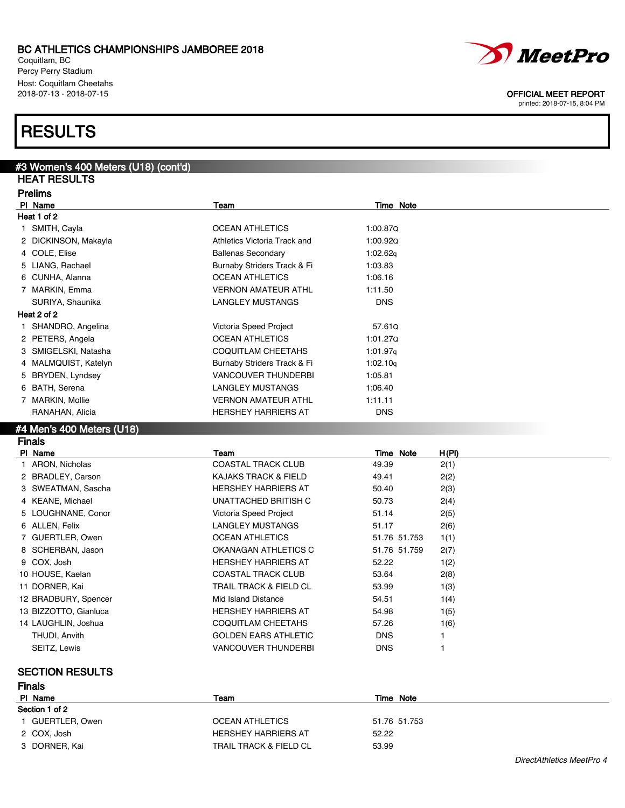Coquitlam, BC Percy Perry Stadium Host: Coquitlam Cheetahs<br>2018-07-13 - 2018-07-15

## **RESULTS**

| #3 Women's 400 Meters (U18) (cont'd) |                              |                           |
|--------------------------------------|------------------------------|---------------------------|
| <b>HEAT RESULTS</b>                  |                              |                           |
| <b>Prelims</b>                       |                              |                           |
| PI Name                              | Team                         | <b>Time Note</b>          |
| Heat 1 of 2                          |                              |                           |
| 1 SMITH, Cayla                       | <b>OCEAN ATHLETICS</b>       | 1:00.87Q                  |
| 2 DICKINSON, Makayla                 | Athletics Victoria Track and | 1:00.920                  |
| 4 COLE, Elise                        | <b>Ballenas Secondary</b>    | 1:02.62g                  |
| 5 LIANG, Rachael                     | Burnaby Striders Track & Fi  | 1:03.83                   |
| 6 CUNHA, Alanna                      | <b>OCEAN ATHLETICS</b>       | 1:06.16                   |
| 7 MARKIN, Emma                       | <b>VERNON AMATEUR ATHL</b>   | 1:11.50                   |
| SURIYA, Shaunika                     | <b>LANGLEY MUSTANGS</b>      | <b>DNS</b>                |
| Heat 2 of 2                          |                              |                           |
| 1 SHANDRO, Angelina                  | Victoria Speed Project       | 57.610                    |
| 2 PETERS, Angela                     | <b>OCEAN ATHLETICS</b>       | 1:01.270                  |
| 3 SMIGELSKI, Natasha                 | <b>COQUITLAM CHEETAHS</b>    | 1:01.97q                  |
| 4 MALMQUIST, Katelyn                 | Burnaby Striders Track & Fi  | 1:02.10q                  |
| 5 BRYDEN, Lyndsey                    | <b>VANCOUVER THUNDERBI</b>   | 1:05.81                   |
| 6 BATH, Serena                       | <b>LANGLEY MUSTANGS</b>      | 1:06.40                   |
| 7 MARKIN, Mollie                     | <b>VERNON AMATEUR ATHL</b>   | 1:11.11                   |
| RANAHAN, Alicia                      | <b>HERSHEY HARRIERS AT</b>   | <b>DNS</b>                |
| #4 Men's 400 Meters (U18)            |                              |                           |
| <b>Finals</b>                        |                              |                           |
| PI Name                              | Team                         | H(PI)<br><b>Time Note</b> |
| 1 ARON Nicholae                      | COASTAL TRACK CLUR           | 40.30<br>2(1)             |

| .                     | .                               | .            | <u>.</u> |
|-----------------------|---------------------------------|--------------|----------|
| 1 ARON, Nicholas      | COASTAL TRACK CLUB              | 49.39        | 2(1)     |
| 2 BRADLEY, Carson     | <b>KAJAKS TRACK &amp; FIELD</b> | 49.41        | 2(2)     |
| 3 SWEATMAN, Sascha    | <b>HERSHEY HARRIERS AT</b>      | 50.40        | 2(3)     |
| 4 KEANE, Michael      | UNATTACHED BRITISH C            | 50.73        | 2(4)     |
| 5 LOUGHNANE, Conor    | Victoria Speed Project          | 51.14        | 2(5)     |
| 6 ALLEN, Felix        | LANGLEY MUSTANGS                | 51.17        | 2(6)     |
| 7 GUERTLER, Owen      | <b>OCEAN ATHLETICS</b>          | 51.76 51.753 | 1(1)     |
| 8 SCHERBAN, Jason     | OKANAGAN ATHLETICS C            | 51.76 51.759 | 2(7)     |
| 9 COX, Josh           | <b>HERSHEY HARRIERS AT</b>      | 52.22        | 1(2)     |
| 10 HOUSE, Kaelan      | <b>COASTAL TRACK CLUB</b>       | 53.64        | 2(8)     |
| 11 DORNER, Kai        | TRAIL TRACK & FIELD CL          | 53.99        | 1(3)     |
| 12 BRADBURY, Spencer  | Mid Island Distance             | 54.51        | 1(4)     |
| 13 BIZZOTTO, Gianluca | <b>HERSHEY HARRIERS AT</b>      | 54.98        | 1(5)     |
| 14 LAUGHLIN, Joshua   | COQUITLAM CHEETAHS              | 57.26        | 1(6)     |
| THUDI, Anvith         | <b>GOLDEN EARS ATHLETIC</b>     | <b>DNS</b>   |          |
| SEITZ, Lewis          | <b>VANCOUVER THUNDERBI</b>      | <b>DNS</b>   |          |
|                       |                                 |              |          |

### SECTION RESULTS Finals

| PI Name        | Team                              | Time Note    |  |
|----------------|-----------------------------------|--------------|--|
| Section 1 of 2 |                                   |              |  |
| GUERTLER, Owen | OCEAN ATHLETICS                   | 51.76 51.753 |  |
| 2 COX, Josh    | <b>HERSHEY HARRIERS AT</b>        | 52.22        |  |
| 3 DORNER, Kai  | <b>TRAIL TRACK &amp; FIELD CL</b> | 53.99        |  |



OFFICIAL MEET REPORT

printed: 2018-07-15, 8:04 PM

DirectAthletics MeetPro 4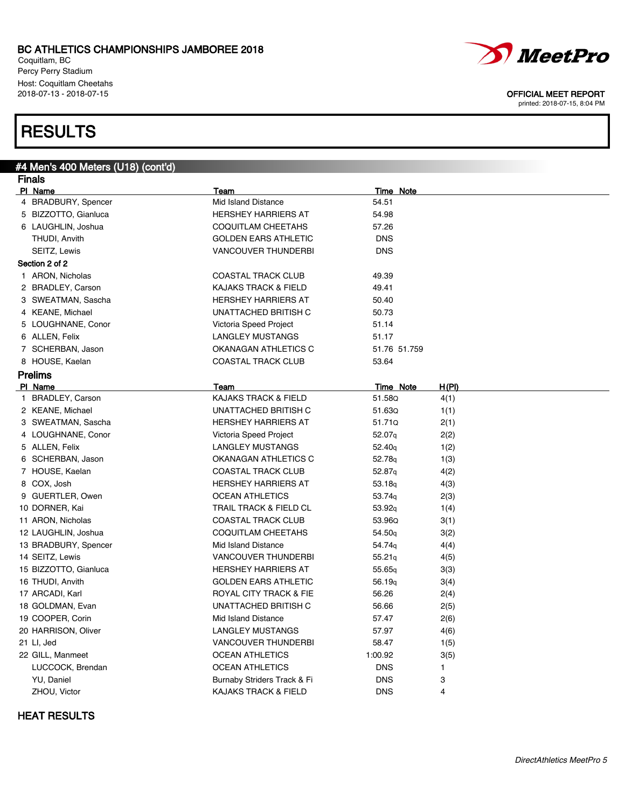Coquitlam, BC Percy Perry Stadium Host: Coquitlam Cheetahs<br>2018-07-13 - 2018-07-15

# **RESULTS**

#4 Men's 400 Meters (U18) (cont'd)

| Finals                |                                   |                    |       |
|-----------------------|-----------------------------------|--------------------|-------|
| PI Name               | Team                              | <b>Time Note</b>   |       |
| 4 BRADBURY, Spencer   | Mid Island Distance               | 54.51              |       |
| 5 BIZZOTTO, Gianluca  | <b>HERSHEY HARRIERS AT</b>        | 54.98              |       |
| 6 LAUGHLIN, Joshua    | <b>COQUITLAM CHEETAHS</b>         | 57.26              |       |
| THUDI, Anvith         | <b>GOLDEN EARS ATHLETIC</b>       | <b>DNS</b>         |       |
| SEITZ, Lewis          | <b>VANCOUVER THUNDERBI</b>        | <b>DNS</b>         |       |
| Section 2 of 2        |                                   |                    |       |
| 1 ARON, Nicholas      | <b>COASTAL TRACK CLUB</b>         | 49.39              |       |
| 2 BRADLEY, Carson     | <b>KAJAKS TRACK &amp; FIELD</b>   | 49.41              |       |
| 3 SWEATMAN, Sascha    | <b>HERSHEY HARRIERS AT</b>        | 50.40              |       |
| 4 KEANE, Michael      | UNATTACHED BRITISH C              | 50.73              |       |
| 5 LOUGHNANE, Conor    | Victoria Speed Project            | 51.14              |       |
| 6 ALLEN, Felix        | <b>LANGLEY MUSTANGS</b>           | 51.17              |       |
| 7 SCHERBAN, Jason     | OKANAGAN ATHLETICS C              | 51.76 51.759       |       |
| 8 HOUSE, Kaelan       | <b>COASTAL TRACK CLUB</b>         | 53.64              |       |
| <b>Prelims</b>        |                                   |                    |       |
| PI Name               | Team                              | <b>Time Note</b>   | H(PI) |
| 1 BRADLEY, Carson     | <b>KAJAKS TRACK &amp; FIELD</b>   | 51.58Q             | 4(1)  |
| 2 KEANE, Michael      | UNATTACHED BRITISH C              | 51.63Q             | 1(1)  |
| 3 SWEATMAN, Sascha    | <b>HERSHEY HARRIERS AT</b>        | 51.71Q             | 2(1)  |
| 4 LOUGHNANE, Conor    | Victoria Speed Project            | 52.07q             | 2(2)  |
| 5 ALLEN, Felix        | <b>LANGLEY MUSTANGS</b>           | 52.40 <sub>g</sub> | 1(2)  |
| 6 SCHERBAN, Jason     | OKANAGAN ATHLETICS C              | 52.78g             | 1(3)  |
| 7 HOUSE, Kaelan       | <b>COASTAL TRACK CLUB</b>         | 52.87q             | 4(2)  |
| 8 COX, Josh           | <b>HERSHEY HARRIERS AT</b>        | 53.18 <sub>q</sub> | 4(3)  |
| 9 GUERTLER, Owen      | <b>OCEAN ATHLETICS</b>            | 53.74g             | 2(3)  |
| 10 DORNER, Kai        | <b>TRAIL TRACK &amp; FIELD CL</b> | 53.92 <sub>q</sub> | 1(4)  |
| 11 ARON, Nicholas     | <b>COASTAL TRACK CLUB</b>         | 53.96Q             | 3(1)  |
| 12 LAUGHLIN, Joshua   | <b>COQUITLAM CHEETAHS</b>         | 54.50 <sub>g</sub> | 3(2)  |
| 13 BRADBURY, Spencer  | Mid Island Distance               | 54.74g             | 4(4)  |
| 14 SEITZ, Lewis       | <b>VANCOUVER THUNDERBI</b>        | 55.21q             | 4(5)  |
| 15 BIZZOTTO, Gianluca | <b>HERSHEY HARRIERS AT</b>        | 55.65q             | 3(3)  |
| 16 THUDI, Anvith      | <b>GOLDEN EARS ATHLETIC</b>       | 56.19q             | 3(4)  |
| 17 ARCADI, Karl       | ROYAL CITY TRACK & FIE            | 56.26              | 2(4)  |
| 18 GOLDMAN, Evan      | UNATTACHED BRITISH C              | 56.66              | 2(5)  |
| 19 COOPER, Corin      | Mid Island Distance               | 57.47              | 2(6)  |
| 20 HARRISON, Oliver   | LANGLEY MUSTANGS                  | 57.97              | 4(6)  |
| 21 LI, Jed            | VANCOUVER THUNDERBI               | 58.47              | 1(5)  |
| 22 GILL, Manmeet      | <b>OCEAN ATHLETICS</b>            | 1:00.92            | 3(5)  |
| LUCCOCK, Brendan      | <b>OCEAN ATHLETICS</b>            | <b>DNS</b>         | 1     |
| YU, Daniel            | Burnaby Striders Track & Fi       | <b>DNS</b>         | 3     |
| ZHOU, Victor          | <b>KAJAKS TRACK &amp; FIELD</b>   | <b>DNS</b>         | 4     |

### HEAT RESULTS





### OFFICIAL MEET REPORT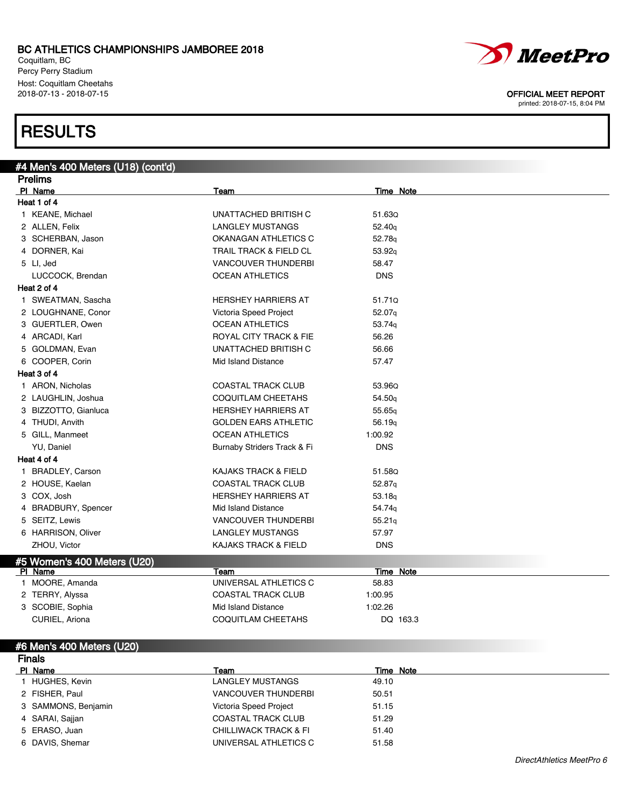Coquitlam, BC Percy Perry Stadium Host: Coquitlam Cheetahs<br>2018-07-13 - 2018-07-15

## RESULTS

#4 Men's 400 Meters (U18) (cont'd)

| <b>Prelims</b> |                             |                                   |                    |  |
|----------------|-----------------------------|-----------------------------------|--------------------|--|
|                | PI Name                     | Team                              | <b>Time Note</b>   |  |
|                | Heat 1 of 4                 |                                   |                    |  |
|                | 1 KEANE, Michael            | UNATTACHED BRITISH C              | 51.63Q             |  |
|                | 2 ALLEN, Felix              | <b>LANGLEY MUSTANGS</b>           | 52.40 <sub>g</sub> |  |
|                | 3 SCHERBAN, Jason           | OKANAGAN ATHLETICS C              | 52.78g             |  |
|                | 4 DORNER, Kai               | <b>TRAIL TRACK &amp; FIELD CL</b> | 53.92q             |  |
|                | 5 LI, Jed                   | <b>VANCOUVER THUNDERBI</b>        | 58.47              |  |
|                | LUCCOCK, Brendan            | <b>OCEAN ATHLETICS</b>            | <b>DNS</b>         |  |
|                | Heat 2 of 4                 |                                   |                    |  |
|                | 1 SWEATMAN, Sascha          | <b>HERSHEY HARRIERS AT</b>        | 51.71Q             |  |
|                | 2 LOUGHNANE, Conor          | Victoria Speed Project            | 52.07g             |  |
|                | 3 GUERTLER, Owen            | <b>OCEAN ATHLETICS</b>            | 53.74g             |  |
|                | 4 ARCADI, Karl              | <b>ROYAL CITY TRACK &amp; FIE</b> | 56.26              |  |
|                | 5 GOLDMAN, Evan             | UNATTACHED BRITISH C              | 56.66              |  |
|                | 6 COOPER, Corin             | Mid Island Distance               | 57.47              |  |
|                | Heat 3 of 4                 |                                   |                    |  |
|                | 1 ARON, Nicholas            | <b>COASTAL TRACK CLUB</b>         | 53.96Q             |  |
|                | 2 LAUGHLIN, Joshua          | COQUITLAM CHEETAHS                | 54.50g             |  |
|                | 3 BIZZOTTO, Gianluca        | <b>HERSHEY HARRIERS AT</b>        | 55.65g             |  |
|                | 4 THUDI, Anvith             | <b>GOLDEN EARS ATHLETIC</b>       | 56.19q             |  |
|                | 5 GILL, Manmeet             | <b>OCEAN ATHLETICS</b>            | 1:00.92            |  |
|                | YU, Daniel                  | Burnaby Striders Track & Fi       | <b>DNS</b>         |  |
|                | Heat 4 of 4                 |                                   |                    |  |
|                | 1 BRADLEY, Carson           | <b>KAJAKS TRACK &amp; FIELD</b>   | 51.58Q             |  |
|                | 2 HOUSE, Kaelan             | <b>COASTAL TRACK CLUB</b>         | 52.87 <sub>q</sub> |  |
|                | 3 COX, Josh                 | <b>HERSHEY HARRIERS AT</b>        | 53.18q             |  |
|                | 4 BRADBURY, Spencer         | Mid Island Distance               | 54.74g             |  |
|                | 5 SEITZ, Lewis              | <b>VANCOUVER THUNDERBI</b>        | 55.21q             |  |
|                | 6 HARRISON, Oliver          | LANGLEY MUSTANGS                  | 57.97              |  |
|                | ZHOU, Victor                | <b>KAJAKS TRACK &amp; FIELD</b>   | <b>DNS</b>         |  |
|                | #5 Women's 400 Meters (U20) |                                   |                    |  |
|                | PI Name                     | Team                              | Time Note          |  |
|                | 1 MOORE, Amanda             | UNIVERSAL ATHLETICS C             | 58.83              |  |
|                | 2 TERRY, Alyssa             | <b>COASTAL TRACK CLUB</b>         | 1:00.95            |  |
|                | 3 SCOBIE, Sophia            | Mid Island Distance               | 1:02.26            |  |
|                | CURIEL, Ariona              | <b>COQUITLAM CHEETAHS</b>         | DQ 163.3           |  |
|                |                             |                                   |                    |  |
|                | #6 Men's 400 Meters (U20)   |                                   |                    |  |

### Finals PI Name Team Team Team Team Time Note 1 HUGHES, Kevin **LANGLEY MUSTANGS** 49.10 2 FISHER, Paul **1988 COUVER THUNDERBI** 50.51 3 SAMMONS, Benjamin **1988** Victoria Speed Project 51.15 4 SARAI, Sajjan 61.29 COASTAL TRACK CLUB 51.29 5 ERASO, Juan CHILLIWACK TRACK & FI 51.40 6 DAVIS, Shemar **DIVERSAL ATHLETICS C** 51.58



OFFICIAL MEET REPORT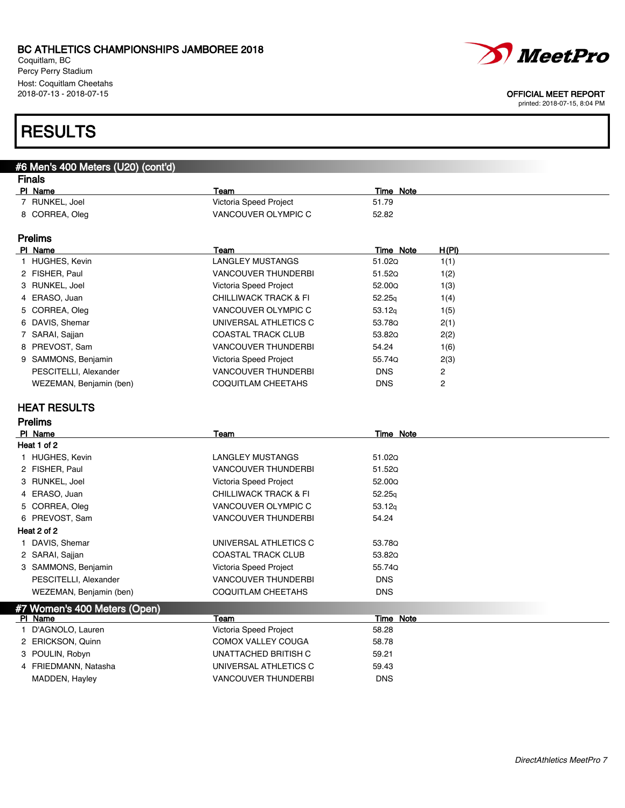Coquitlam, BC Percy Perry Stadium Host: Coquitlam Cheetahs<br>2018-07-13 - 2018-07-15



#### OFFICIAL MEET REPORT

printed: 2018-07-15, 8:04 PM

## **RESULTS**

#### #6 Men's 400 Meters (U20) (cont'd) Finals

| Team                   | Time Note                 |  |
|------------------------|---------------------------|--|
| Victoria Speed Project | 51.79                     |  |
| VANCOUVER OLYMPIC C    | 52.82                     |  |
| Team                   | <u>H(PI)</u><br>Time Note |  |
|                        |                           |  |

| 1 HUGHES, Kevin         | LANGLEY MUSTANGS                 | 51.020             | 1(1) |
|-------------------------|----------------------------------|--------------------|------|
| 2 FISHER, Paul          | <b>VANCOUVER THUNDERBI</b>       | 51.520             | 1(2) |
| 3 RUNKEL, Joel          | Victoria Speed Project           | 52.00Q             | 1(3) |
| 4 ERASO, Juan           | <b>CHILLIWACK TRACK &amp; FI</b> | 52.25q             | 1(4) |
| 5 CORREA, Oleg          | VANCOUVER OLYMPIC C              | 53.12 <sub>g</sub> | 1(5) |
| 6 DAVIS, Shemar         | UNIVERSAL ATHLETICS C            | 53.78Q             | 2(1) |
| 7 SARAI, Sajjan         | <b>COASTAL TRACK CLUB</b>        | 53.82Q             | 2(2) |
| 8 PREVOST, Sam          | <b>VANCOUVER THUNDERBI</b>       | 54.24              | 1(6) |
| 9 SAMMONS, Benjamin     | Victoria Speed Project           | 55.74Q             | 2(3) |
| PESCITELLI, Alexander   | <b>VANCOUVER THUNDERBI</b>       | <b>DNS</b>         | 2    |
| WEZEMAN, Benjamin (ben) | COQUITLAM CHEETAHS               | <b>DNS</b>         | 2    |

### HEAT RESULTS

| <b>Prelims</b>               |                                  |              |  |  |
|------------------------------|----------------------------------|--------------|--|--|
| PI Name                      | Team                             | Time Note    |  |  |
| Heat 1 of 2                  |                                  |              |  |  |
| 1 HUGHES, Kevin              | <b>LANGLEY MUSTANGS</b>          | 51.02Q       |  |  |
| 2 FISHER, Paul               | <b>VANCOUVER THUNDERBI</b>       | 51.52Q       |  |  |
| 3 RUNKEL, Joel               | Victoria Speed Project           | 52.00Q       |  |  |
| 4 ERASO, Juan                | <b>CHILLIWACK TRACK &amp; FI</b> | 52.25q       |  |  |
| 5 CORREA, Oleg               | VANCOUVER OLYMPIC C              | 53.12q       |  |  |
| 6 PREVOST, Sam               | <b>VANCOUVER THUNDERBI</b>       | 54.24        |  |  |
| Heat 2 of 2                  |                                  |              |  |  |
| 1 DAVIS, Shemar              | UNIVERSAL ATHLETICS C            | 53.78Q       |  |  |
| 2 SARAI, Sajjan              | <b>COASTAL TRACK CLUB</b>        | 53.820       |  |  |
| 3 SAMMONS, Benjamin          | Victoria Speed Project           | 55.74Q       |  |  |
| PESCITELLI, Alexander        | <b>VANCOUVER THUNDERBI</b>       | <b>DNS</b>   |  |  |
| WEZEMAN, Benjamin (ben)      | COQUITLAM CHEETAHS               | <b>DNS</b>   |  |  |
| #7 Women's 400 Meters (Open) |                                  |              |  |  |
| PI Name                      | Team                             | Note<br>Time |  |  |
| D'AGNOLO, Lauren             | Victoria Speed Project           | 58.28        |  |  |
| 2 ERICKSON, Quinn            | <b>COMOX VALLEY COUGA</b>        | 58.78        |  |  |
| 3 POULIN, Robyn              | UNATTACHED BRITISH C             | 59.21        |  |  |
| 4 FRIEDMANN, Natasha         | UNIVERSAL ATHLETICS C            | 59.43        |  |  |
| MADDEN, Hayley               | <b>VANCOUVER THUNDERBI</b>       | <b>DNS</b>   |  |  |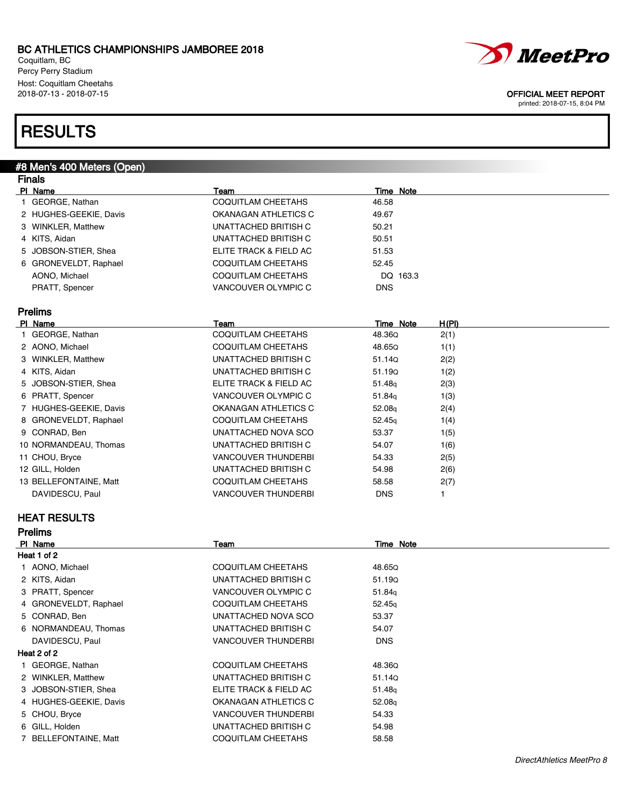Coquitlam, BC Percy Perry Stadium Host: Coquitlam Cheetahs

## **RESULTS**

#8 Men's 400 Meters (Open)

### Finals **Pl Name** Team Team Team Team Team Time Note 1 GEORGE, Nathan **1 COQUITLAM CHEETAHS** 46.58 2 HUGHES-GEEKIE, Davis **COMETA COMANAGAN ATHLETICS C** 49.67 3 WINKLER, Matthew COME CONTROLLER UNATTACHED BRITISH C 50.21 4 KITS, Aidan UNATTACHED BRITISH C 50.51 5 JOBSON-STIER, Shea **ELITE TRACK & FIELD AC** 51.53 6 GRONEVELDT, Raphael COQUITLAM CHEETAHS 52.45 AONO, Michael **COQUITLAM CHEETAHS** DQ 163.3 PRATT, Spencer and DNS UANCOUVER OLYMPIC C DNS Prelims Pl Name Team Time Note H(Pl) 1 GEORGE, Nathan COQUITLAM CHEETAHS 48.36Q 2(1) 2 AONO, Michael COQUITLAM CHEETAHS 48.65Q 1(1) 3 WINKLER, Matthew UNATTACHED BRITISH C 51.14Q 2(2) 4 KITS, Aidan 1(2) 1(2) UNATTACHED BRITISH C 51.19Q 1(2) 5 JOBSON-STIER, Shea **ELITE TRACK & FIELD AC** 51.48q 2(3) 6 PRATT, Spencer and Spencer CHANCOUVER OLYMPIC C and the state of the state of the state of the value of the v 7 HUGHES-GEEKIE, Davis **CHANAGAN ATHLETICS C** 52.08<sub>q</sub> 2(4) 8 GRONEVELDT, Raphael COQUITLAM CHEETAHS 52.45q 1(4) 9 CONRAD, Ben UNATTACHED NOVA SCO 53.37 1(5) 10 NORMANDEAU, Thomas CHANGER UNATTACHED BRITISH C 54.07 1(6) 11 CHOU, Bryce CHOU, Experiment CHOU, CHOU, CHOU, CHOU, CHOU, CHOU, CHOU, CHOU, CHOU, CHOU, CHOU, CHOU, CHOU, CHOU, CHOU, CHOU, CHOU, CHOU, CHOU, CHOU, CHOU, CHOU, CHOU, CHOU, CHOU, CHOU, CHOU, CHOU, CHOU, CHOU, CHOU, CHOU 12 GILL, Holden 2(6) 2(6) UNATTACHED BRITISH C 54.98 2(6) 13 BELLEFONTAINE, Matt **COQUITLAM CHEETAHS** 58.58 2(7) DAVIDESCU, Paul **DAVIDESCU, Paul COLLECTION** VANCOUVER THUNDERBI DNS

### HEAT RESULTS

| <b>Prelims</b>         |                            |                    |  |
|------------------------|----------------------------|--------------------|--|
| PI Name                | Team                       | Time Note          |  |
| Heat 1 of 2            |                            |                    |  |
| 1 AONO, Michael        | COQUITLAM CHEETAHS         | 48.65Q             |  |
| 2 KITS, Aidan          | UNATTACHED BRITISH C       | 51.190             |  |
| 3 PRATT, Spencer       | VANCOUVER OLYMPIC C        | 51.84g             |  |
| 4 GRONEVELDT, Raphael  | COQUITLAM CHEETAHS         | 52.45q             |  |
| 5 CONRAD, Ben          | UNATTACHED NOVA SCO        | 53.37              |  |
| 6 NORMANDEAU, Thomas   | UNATTACHED BRITISH C       | 54.07              |  |
| DAVIDESCU, Paul        | <b>VANCOUVER THUNDERBI</b> | <b>DNS</b>         |  |
| Heat 2 of 2            |                            |                    |  |
| GEORGE, Nathan         | <b>COQUITLAM CHEETAHS</b>  | 48.36Q             |  |
| 2 WINKLER, Matthew     | UNATTACHED BRITISH C       | 51.14Q             |  |
| 3 JOBSON STIER, Shea   | ELITE TRACK & FIELD AC     | 51.48q             |  |
| 4 HUGHES-GEEKIE, Davis | OKANAGAN ATHLETICS C       | 52.08 <sub>q</sub> |  |
| 5 CHOU, Bryce          | <b>VANCOUVER THUNDERBI</b> | 54.33              |  |
| 6 GILL, Holden         | UNATTACHED BRITISH C       | 54.98              |  |
| 7 BELLEFONTAINE, Matt  | COQUITLAM CHEETAHS         | 58.58              |  |

*MeetPro* 

### 2018-07-13 - 2018-07-15 OFFICIAL MEET REPORT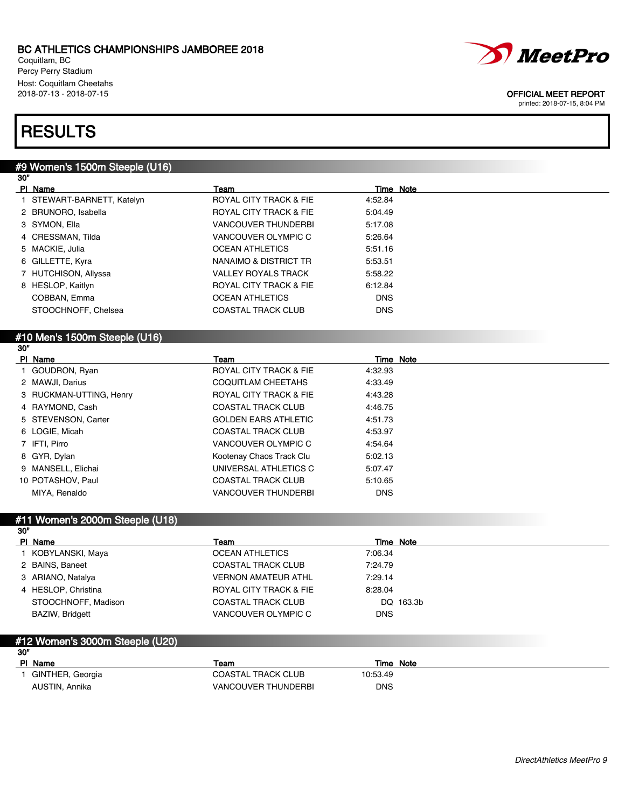Coquitlam, BC Percy Perry Stadium Host: Coquitlam Cheetahs<br>2018-07-13 - 2018-07-15



#### OFFICIAL MEET REPORT

printed: 2018-07-15, 8:04 PM

## **RESULTS**

### #9 Women's 1500m Steeple (U16)

| 30" |                            |                                   |            |  |
|-----|----------------------------|-----------------------------------|------------|--|
|     | PI Name                    | Team                              | Time Note  |  |
|     | 1 STEWART-BARNETT, Katelyn | ROYAL CITY TRACK & FIE            | 4:52.84    |  |
|     | 2 BRUNORO, Isabella        | <b>ROYAL CITY TRACK &amp; FIE</b> | 5:04.49    |  |
|     | 3 SYMON, Ella              | <b>VANCOUVER THUNDERBI</b>        | 5:17.08    |  |
|     | 4 CRESSMAN, Tilda          | VANCOUVER OLYMPIC C               | 5:26.64    |  |
|     | 5 MACKIE, Julia            | <b>OCEAN ATHLETICS</b>            | 5:51.16    |  |
|     | 6 GILLETTE, Kyra           | NANAIMO & DISTRICT TR             | 5:53.51    |  |
|     | 7 HUTCHISON, Allyssa       | <b>VALLEY ROYALS TRACK</b>        | 5:58.22    |  |
|     | 8 HESLOP, Kaitlyn          | <b>ROYAL CITY TRACK &amp; FIE</b> | 6:12.84    |  |
|     | COBBAN, Emma               | <b>OCEAN ATHLETICS</b>            | <b>DNS</b> |  |
|     | STOOCHNOFF, Chelsea        | <b>COASTAL TRACK CLUB</b>         | <b>DNS</b> |  |
|     |                            |                                   |            |  |

#### #10 Men's 1500m Steeple (U16) 30"

| PI Name |                         | Team                              | Time Note  |
|---------|-------------------------|-----------------------------------|------------|
|         | 1 GOUDRON, Ryan         | <b>ROYAL CITY TRACK &amp; FIE</b> | 4:32.93    |
|         | 2 MAWJI, Darius         | COQUITLAM CHEETAHS                | 4:33.49    |
|         | 3 RUCKMAN-UTTING, Henry | <b>ROYAL CITY TRACK &amp; FIE</b> | 4:43.28    |
|         | 4 RAYMOND, Cash         | <b>COASTAL TRACK CLUB</b>         | 4:46.75    |
|         | 5 STEVENSON, Carter     | <b>GOLDEN EARS ATHLETIC</b>       | 4:51.73    |
|         | 6 LOGIE, Micah          | <b>COASTAL TRACK CLUB</b>         | 4:53.97    |
|         | 7 IFTI, Pirro           | VANCOUVER OLYMPIC C               | 4:54.64    |
|         | 8 GYR, Dylan            | Kootenay Chaos Track Clu          | 5:02.13    |
|         | 9 MANSELL, Elichai      | UNIVERSAL ATHLETICS C             | 5:07.47    |
|         | 10 POTASHOV, Paul       | <b>COASTAL TRACK CLUB</b>         | 5:10.65    |
|         | MIYA, Renaldo           | <b>VANCOUVER THUNDERBI</b>        | <b>DNS</b> |
|         |                         |                                   |            |

#### #11 Women's 2000m Steeple (U18) 30"

| PI Name             | Team                       | Time Note  |
|---------------------|----------------------------|------------|
| I KOBYLANSKI, Maya  | <b>OCEAN ATHLETICS</b>     | 7:06.34    |
| 2 BAINS, Baneet     | <b>COASTAL TRACK CLUB</b>  | 7:24.79    |
| 3 ARIANO, Natalya   | <b>VERNON AMATEUR ATHL</b> | 7:29.14    |
| 4 HESLOP, Christina | ROYAL CITY TRACK & FIE     | 8:28.04    |
| STOOCHNOFF, Madison | <b>COASTAL TRACK CLUB</b>  | DQ 163.3b  |
| BAZIW, Bridgett     | VANCOUVER OLYMPIC C        | <b>DNS</b> |
|                     |                            |            |

### #12 Women's 3000m Steeple (U20)

| -30"             |                            |           |
|------------------|----------------------------|-----------|
| PI Name          | Team                       | Time Note |
| GINTHER, Georgia | <b>COASTAL TRACK CLUB</b>  | 10:53.49  |
| AUSTIN, Annika   | <b>VANCOUVER THUNDERBI</b> | DNS       |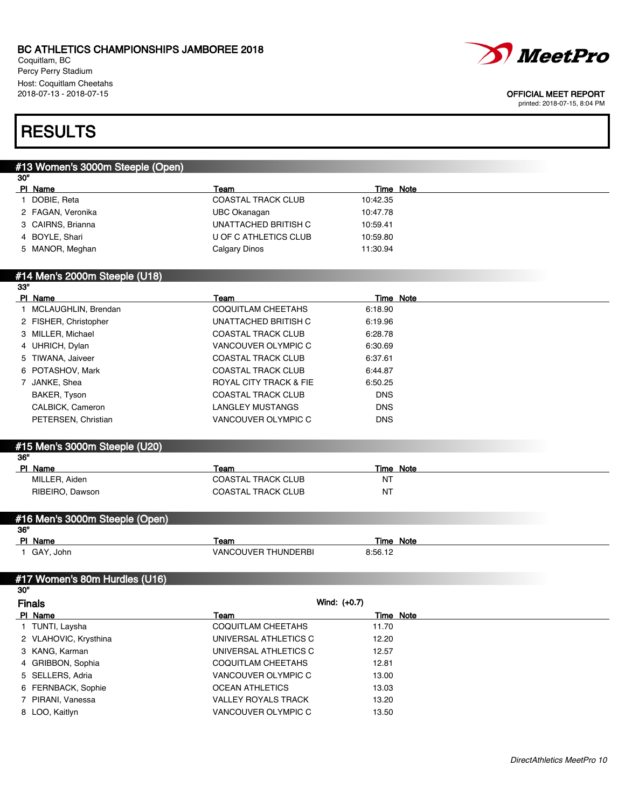Coquitlam, BC Percy Perry Stadium Host: Coquitlam Cheetahs



#### 2018-07-13 - 2018-07-15 OFFICIAL MEET REPORT

printed: 2018-07-15, 8:04 PM

## **RESULTS**

## #13 Women's 3000m Steeple (Open) 30" PI Name Team Team Team Team Team Time Note 1 DOBIE, Reta COASTAL TRACK CLUB 10:42.35 2 FAGAN, Veronika UBC Okanagan 10:47.78 3 CAIRNS, Brianna **CAIRNED BRITISH C 10:59.41** 4 BOYLE, Shari U OF C ATHLETICS CLUB 10:59.80 5 MANOR, Meghan Calgary Dinos 11:30.94 #14 Men's 2000m Steeple (U18) 33" **PI Name Team Team Team Team Time Note** 1 MCLAUGHLIN, Brendan **COQUITLAM CHEETAHS** 6:18.90 2 FISHER, Christopher UNATTACHED BRITISH C 6:19.96 3 MILLER, Michael COASTAL TRACK CLUB 6:28.78 4 UHRICH, Dylan VANCOUVER OLYMPIC C 6:30.69 5 TIWANA, Jaiveer COASTAL TRACK CLUB 6:37.61 6 POTASHOV, Mark COASTAL TRACK CLUB 6:44.87 7 JANKE, Shea **ROYAL CITY TRACK & FIE** 6:50.25 BAKER, Tyson COASTAL TRACK CLUB DNS CALBICK, Cameron **Disk and CALBICK, Cameron** CALBICK, Cameron DNS PETERSEN, Christian **VANCOUVER OLYMPIC C** DNS #15 Men's 3000m Steeple (U20) 36" Pl Name Team Time Note MILLER, Aiden Natural COASTAL TRACK CLUB NT RIBEIRO, Dawson **Network** COASTAL TRACK CLUB #16 Men's 3000m Steeple (Open) 36" PI Name Team Team Team Team Team Time Note 1 GAY, John VANCOUVER THUNDERBI 8:56.12 #17 Women's 80m Hurdles (U16) 30" Finals Wind: (+0.7) PI Name Team Team Team Team Time Note 1 TUNTI, Laysha **COQUITLAM CHEETAHS** 11.70 2 VLAHOVIC, Krysthina **New York CONIVERSAL ATHLETICS C** 12.20

3 KANG, Karman 12.57 CONSERVERS UNIVERSAL ATHLETICS C 12.57 4 GRIBBON, Sophia COQUITLAM CHEETAHS 12.81 5 SELLERS, Adria VANCOUVER OLYMPIC C 13.00 6 FERNBACK, Sophie **OCEAN ATHLETICS** 13.03 7 PIRANI, Vanessa VALLEY ROYALS TRACK 13.20 8 LOO, Kaitlyn 13.50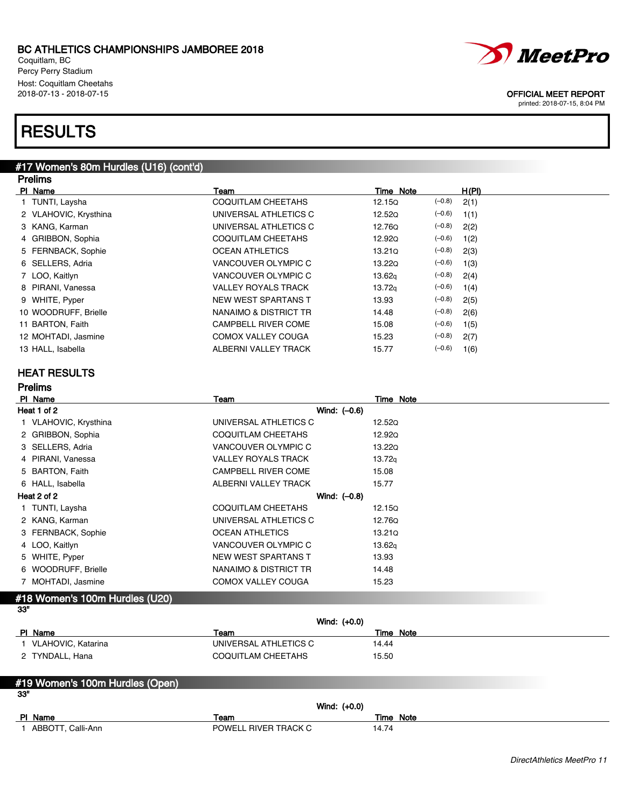Coquitlam, BC Percy Perry Stadium Host: Coquitlam Cheetahs<br>2018-07-13 - 2018-07-15

## **RESULTS**

### #17 Women's 80m Hurdles (U16) (cont'd) Prelims

| <i>MeetPro</i> |
|----------------|

OFFICIAL MEET REPORT

printed: 2018-07-15, 8:04 PM

| טווווטו               |                            |                    |          |       |
|-----------------------|----------------------------|--------------------|----------|-------|
| PI Name               | Team                       | Time Note          |          | H(PI) |
| 1 TUNTI, Laysha       | COQUITLAM CHEETAHS         | 12.15Q             | $(-0.8)$ | 2(1)  |
| 2 VLAHOVIC, Krysthina | UNIVERSAL ATHLETICS C      | 12.520             | $(-0.6)$ | 1(1)  |
| 3 KANG, Karman        | UNIVERSAL ATHLETICS C      | 12.76Q             | $(-0.8)$ | 2(2)  |
| 4 GRIBBON, Sophia     | COQUITLAM CHEETAHS         | 12.920             | $(-0.6)$ | 1(2)  |
| 5 FERNBACK, Sophie    | <b>OCEAN ATHLETICS</b>     | 13.210             | $(-0.8)$ | 2(3)  |
| 6 SELLERS, Adria      | VANCOUVER OLYMPIC C        | 13.220             | $(-0.6)$ | 1(3)  |
| 7 LOO, Kaitlyn        | VANCOUVER OLYMPIC C        | 13.62 <sub>q</sub> | $(-0.8)$ | 2(4)  |
| 8 PIRANI, Vanessa     | <b>VALLEY ROYALS TRACK</b> | 13.72 <sub>q</sub> | $(-0.6)$ | 1(4)  |
| 9 WHITE, Pyper        | NEW WEST SPARTANS T        | 13.93              | $(-0.8)$ | 2(5)  |
| 10 WOODRUFF, Brielle  | NANAIMO & DISTRICT TR      | 14.48              | $(-0.8)$ | 2(6)  |
| 11 BARTON, Faith      | <b>CAMPBELL RIVER COME</b> | 15.08              | $(-0.6)$ | 1(5)  |
| 12 MOHTADI, Jasmine   | COMOX VALLEY COUGA         | 15.23              | $(-0.8)$ | 2(7)  |
| 13 HALL, Isabella     | ALBERNI VALLEY TRACK       | 15.77              | $(-0.6)$ | 1(6)  |
|                       |                            |                    |          |       |

### HEAT RESULTS

| <b>Prelims</b>        |                            |                    |  |
|-----------------------|----------------------------|--------------------|--|
| PI Name               | Team                       | Time Note          |  |
| Heat 1 of 2           | Wind: $(-0.6)$             |                    |  |
| 1 VLAHOVIC, Krysthina | UNIVERSAL ATHLETICS C      | 12.52Q             |  |
| 2 GRIBBON, Sophia     | COQUITLAM CHEETAHS         | 12.920             |  |
| 3 SELLERS, Adria      | VANCOUVER OLYMPIC C        | 13.220             |  |
| 4 PIRANI, Vanessa     | <b>VALLEY ROYALS TRACK</b> | 13.72 <sub>q</sub> |  |
| 5 BARTON, Faith       | <b>CAMPBELL RIVER COME</b> | 15.08              |  |
| 6 HALL, Isabella      | ALBERNI VALLEY TRACK       | 15.77              |  |
| Heat 2 of 2           | Wind: $(-0.8)$             |                    |  |
| 1 TUNTI, Laysha       | <b>COQUITLAM CHEETAHS</b>  | 12.15Q             |  |
| 2 KANG, Karman        | UNIVERSAL ATHLETICS C      | 12.760             |  |
| 3 FERNBACK, Sophie    | <b>OCEAN ATHLETICS</b>     | 13.21Q             |  |
| 4 LOO, Kaitlyn        | VANCOUVER OLYMPIC C        | 13.62 <sub>q</sub> |  |
| 5 WHITE, Pyper        | NEW WEST SPARTANS T        | 13.93              |  |
| 6 WOODRUFF, Brielle   | NANAIMO & DISTRICT TR      | 14.48              |  |
| 7 MOHTADI, Jasmine    | <b>COMOX VALLEY COUGA</b>  | 15.23              |  |

#### #18 Women's 100m Hurdles (U20) 33"

| Wind: $(+0.0)$     |                       |           |
|--------------------|-----------------------|-----------|
| PI Name            | Team                  | Time Note |
| VLAHOVIC, Katarina | UNIVERSAL ATHLETICS C | 14.44     |
| 2 TYNDALL, Hana    | COQUITLAM CHEETAHS    | 15.50     |

### #19 Women's 100m Hurdles (Open) 33" Wind: (+0.0) PI Name **Team Team Team Team Team Time Note**

| D | Name              | eam                                      | Note<br>Гіmе                       |
|---|-------------------|------------------------------------------|------------------------------------|
|   | ABB0<br>Calli-Ann | $\sim$<br><b>RIVEI</b><br>POWE<br>TRACK. | $\overline{\phantom{a}}$<br>-14. . |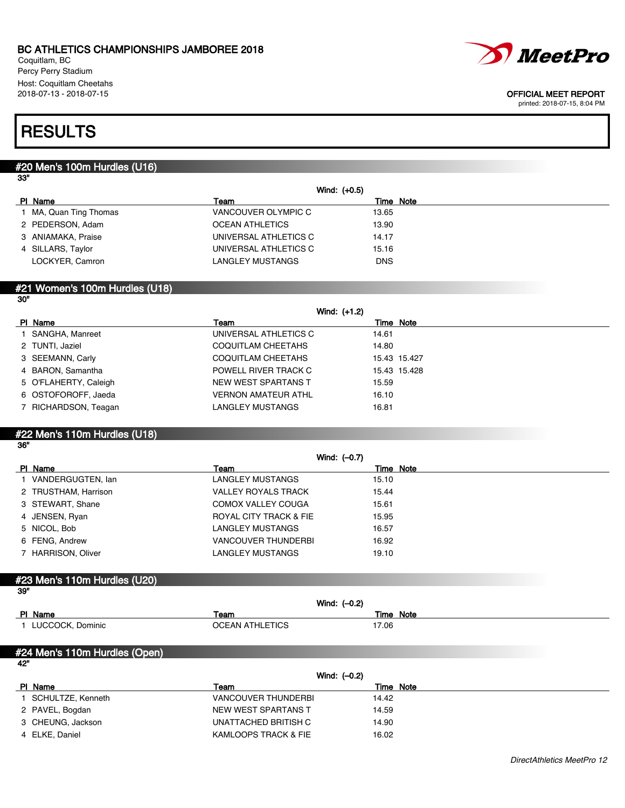Coquitlam, BC Percy Perry Stadium Host: Coquitlam Cheetahs<br>2018-07-13 - 2018-07-15



#### OFFICIAL MEET REPORT

printed: 2018-07-15, 8:04 PM

## **RESULTS**

### #20 Men's 100m Hurdles (U16)

| ۰.<br>I |  |
|---------|--|
|---------|--|

| Wind: (+0.5)           |                        |            |
|------------------------|------------------------|------------|
| PI Name                | Team                   | Time Note  |
| 1 MA, Quan Ting Thomas | VANCOUVER OLYMPIC C    | 13.65      |
| 2 PEDERSON, Adam       | <b>OCEAN ATHLETICS</b> | 13.90      |
| 3 ANIAMAKA, Praise     | UNIVERSAL ATHLETICS C  | 14.17      |
| 4 SILLARS, Taylor      | UNIVERSAL ATHLETICS C  | 15.16      |
| LOCKYER, Camron        | LANGLEY MUSTANGS       | <b>DNS</b> |

### #21 Women's 100m Hurdles (U18) 30"

|                       | Wind: (+1.2)               |              |
|-----------------------|----------------------------|--------------|
| PI Name               | Team                       | Time Note    |
| 1 SANGHA, Manreet     | UNIVERSAL ATHLETICS C      | 14.61        |
| 2 TUNTI, Jaziel       | COQUITLAM CHEETAHS         | 14.80        |
| 3 SEEMANN, Carly      | <b>COQUITLAM CHEETAHS</b>  | 15.43 15.427 |
| 4 BARON, Samantha     | POWELL RIVER TRACK C       | 15.43 15.428 |
| 5 O'FLAHERTY, Caleigh | NEW WEST SPARTANS T        | 15.59        |
| 6 OSTOFOROFF, Jaeda   | <b>VERNON AMATEUR ATHL</b> | 16.10        |
| 7 RICHARDSON, Teagan  | LANGLEY MUSTANGS           | 16.81        |

## #22 Men's 110m Hurdles (U18)

|                      | Wind: $(-0.7)$             |           |
|----------------------|----------------------------|-----------|
| PI Name              | Team                       | Time Note |
| 1 VANDERGUGTEN, lan  | LANGLEY MUSTANGS           | 15.10     |
| 2 TRUSTHAM, Harrison | <b>VALLEY ROYALS TRACK</b> | 15.44     |
| 3 STEWART, Shane     | COMOX VALLEY COUGA         | 15.61     |
| 4 JENSEN, Ryan       | ROYAL CITY TRACK & FIE     | 15.95     |
| 5 NICOL, Bob         | LANGLEY MUSTANGS           | 16.57     |
| 6 FENG, Andrew       | <b>VANCOUVER THUNDERBI</b> | 16.92     |
| 7 HARRISON, Oliver   | LANGLEY MUSTANGS           | 19.10     |

### #23 Men's 110m Hurdles (U20)

| -39"<br>Wind: $(-0.2)$ |                        |           |  |  |
|------------------------|------------------------|-----------|--|--|
| PI Name                | Team                   | Time Note |  |  |
| LUCCOCK, Dominic       | <b>OCEAN ATHLETICS</b> | 17.06     |  |  |

#### #24 Men's 110m Hurdles (Open) 42"

|                   | Wind: $(-0.2)$             |           |
|-------------------|----------------------------|-----------|
| PI Name           | Team                       | Time Note |
| SCHULTZE, Kenneth | <b>VANCOUVER THUNDERBI</b> | 14.42     |
| 2 PAVEL, Bogdan   | NEW WEST SPARTANS T        | 14.59     |
| 3 CHEUNG, Jackson | UNATTACHED BRITISH C       | 14.90     |
| 4 ELKE, Daniel    | KAMLOOPS TRACK & FIE       | 16.02     |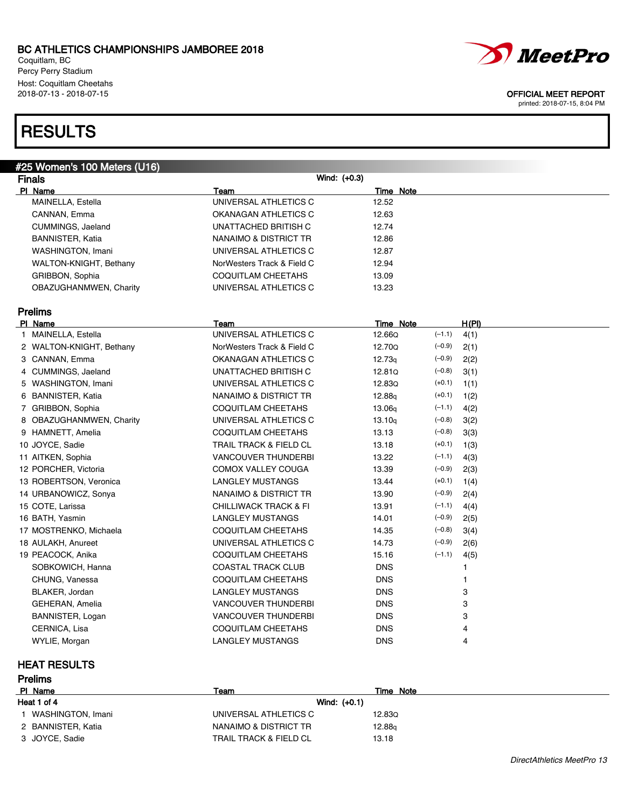Coquitlam, BC Percy Perry Stadium Host: Coquitlam Cheetahs<br>2018-07-13 - 2018-07-15

## **RESULTS**

| #25 Women's 100 Meters (U16) |                                  |                            |  |
|------------------------------|----------------------------------|----------------------------|--|
| <b>Finals</b>                | Wind: (+0.3)                     |                            |  |
| PI Name                      | Team                             | Time Note                  |  |
| MAINELLA, Estella            | UNIVERSAL ATHLETICS C            | 12.52                      |  |
| CANNAN, Emma                 | OKANAGAN ATHLETICS C             | 12.63                      |  |
| CUMMINGS, Jaeland            | UNATTACHED BRITISH C             | 12.74                      |  |
| <b>BANNISTER, Katia</b>      | NANAIMO & DISTRICT TR            | 12.86                      |  |
| <b>WASHINGTON, Imani</b>     | UNIVERSAL ATHLETICS C            | 12.87                      |  |
| WALTON-KNIGHT, Bethany       | NorWesters Track & Field C       | 12.94                      |  |
| GRIBBON, Sophia              | COQUITLAM CHEETAHS               | 13.09                      |  |
| OBAZUGHANMWEN, Charity       | UNIVERSAL ATHLETICS C            | 13.23                      |  |
|                              |                                  |                            |  |
| <b>Prelims</b>               |                                  |                            |  |
| PI Name                      | Team                             | H(PI)<br>Time Note         |  |
| 1 MAINELLA, Estella          | UNIVERSAL ATHLETICS C            | $(-1.1)$<br>12.66Q<br>4(1) |  |
| 2 WALTON-KNIGHT, Bethany     | NorWesters Track & Field C       | 12.70Q<br>$(-0.9)$<br>2(1) |  |
| 3 CANNAN, Emma               | OKANAGAN ATHLETICS C             | $(-0.9)$<br>12.73q<br>2(2) |  |
| 4 CUMMINGS, Jaeland          | UNATTACHED BRITISH C             | 12.81Q<br>$(-0.8)$<br>3(1) |  |
| 5 WASHINGTON, Imani          | UNIVERSAL ATHLETICS C            | $(+0.1)$<br>12.83Q<br>1(1) |  |
| 6 BANNISTER, Katia           | NANAIMO & DISTRICT TR            | $(+0.1)$<br>12.88g<br>1(2) |  |
| 7 GRIBBON, Sophia            | COQUITLAM CHEETAHS               | 13.06g<br>$(-1.1)$<br>4(2) |  |
| 8 OBAZUGHANMWEN, Charity     | UNIVERSAL ATHLETICS C            | $(-0.8)$<br>3(2)<br>13.10q |  |
| 9 HAMNETT, Amelia            | COQUITLAM CHEETAHS               | $(-0.8)$<br>13.13<br>3(3)  |  |
| 10 JOYCE, Sadie              | TRAIL TRACK & FIELD CL           | $(+0.1)$<br>13.18<br>1(3)  |  |
| 11 AITKEN, Sophia            | <b>VANCOUVER THUNDERBI</b>       | $(-1.1)$<br>13.22<br>4(3)  |  |
| 12 PORCHER, Victoria         | <b>COMOX VALLEY COUGA</b>        | $(-0.9)$<br>13.39<br>2(3)  |  |
| 13 ROBERTSON, Veronica       | <b>LANGLEY MUSTANGS</b>          | $(+0.1)$<br>13.44<br>1(4)  |  |
| 14 URBANOWICZ, Sonya         | NANAIMO & DISTRICT TR            | $(-0.9)$<br>13.90<br>2(4)  |  |
| 15 COTE, Larissa             | <b>CHILLIWACK TRACK &amp; FI</b> | $(-1.1)$<br>13.91<br>4(4)  |  |
| 16 BATH, Yasmin              | LANGLEY MUSTANGS                 | $(-0.9)$<br>14.01<br>2(5)  |  |
| 17 MOSTRENKO, Michaela       | COQUITLAM CHEETAHS               | $(-0.8)$<br>14.35<br>3(4)  |  |
| 18 AULAKH, Anureet           | UNIVERSAL ATHLETICS C            | $(-0.9)$<br>14.73<br>2(6)  |  |
| 19 PEACOCK, Anika            | COQUITLAM CHEETAHS               | $(-1.1)$<br>15.16<br>4(5)  |  |
| SOBKOWICH, Hanna             | <b>COASTAL TRACK CLUB</b>        | <b>DNS</b><br>1            |  |
| CHUNG, Vanessa               | COQUITLAM CHEETAHS               | <b>DNS</b><br>1            |  |
| BLAKER, Jordan               | <b>LANGLEY MUSTANGS</b>          | <b>DNS</b><br>3            |  |
| GEHERAN, Amelia              | <b>VANCOUVER THUNDERBI</b>       | <b>DNS</b><br>3            |  |
| BANNISTER, Logan             | <b>VANCOUVER THUNDERBI</b>       | 3<br><b>DNS</b>            |  |
| CERNICA, Lisa                | COQUITLAM CHEETAHS               | <b>DNS</b><br>4            |  |
| WYLIE, Morgan                | LANGLEY MUSTANGS                 | <b>DNS</b><br>4            |  |

## HEAT RESULTS

| <b>Prelims</b>     |                                   |           |  |
|--------------------|-----------------------------------|-----------|--|
| PI Name            | Team                              | Time Note |  |
| Heat 1 of 4        | Wind: $(+0.1)$                    |           |  |
| WASHINGTON, Imani  | UNIVERSAL ATHLETICS C             | 12.830    |  |
| 2 BANNISTER, Katia | NANAIMO & DISTRICT TR             | 12.88g    |  |
| 3 JOYCE, Sadie     | <b>TRAIL TRACK &amp; FIELD CL</b> | 13.18     |  |



#### OFFICIAL MEET REPORT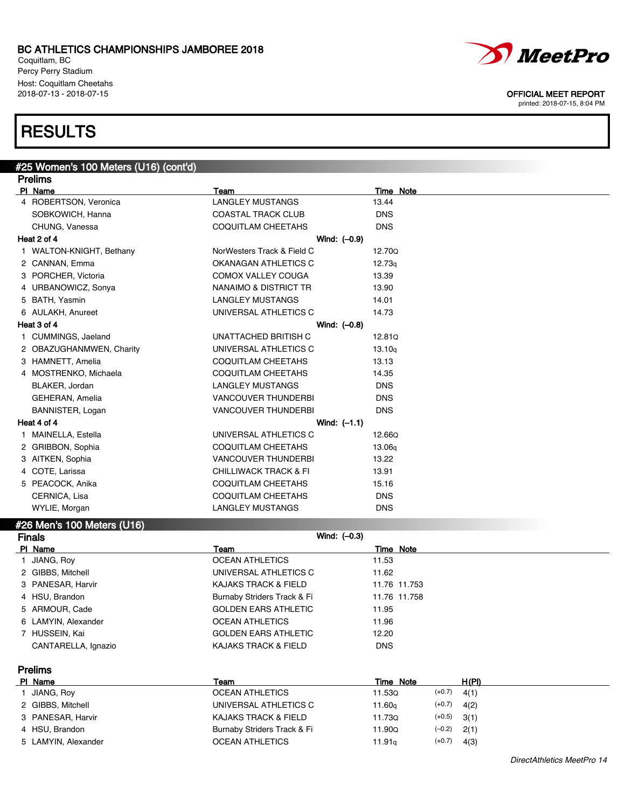Coquitlam, BC Percy Perry Stadium Host: Coquitlam Cheetahs

# **RESULTS**



### #26 Men's 100 Meters (U16)

| <b>Finals</b> |                     | Wind: $(-0.3)$              |              |
|---------------|---------------------|-----------------------------|--------------|
|               | PI Name             | Team                        | Time Note    |
|               | 1 JIANG, Roy        | <b>OCEAN ATHLETICS</b>      | 11.53        |
|               | 2 GIBBS, Mitchell   | UNIVERSAL ATHLETICS C       | 11.62        |
|               | 3 PANESAR, Harvir   | KAJAKS TRACK & FIELD        | 11.76 11.753 |
|               | 4 HSU, Brandon      | Burnaby Striders Track & Fi | 11.76 11.758 |
|               | 5 ARMOUR, Cade      | <b>GOLDEN EARS ATHLETIC</b> | 11.95        |
|               | 6 LAMYIN, Alexander | <b>OCEAN ATHLETICS</b>      | 11.96        |
|               | 7 HUSSEIN, Kai      | <b>GOLDEN EARS ATHLETIC</b> | 12.20        |
|               | CANTARELLA, Ignazio | KAJAKS TRACK & FIELD        | <b>DNS</b>   |
|               |                     |                             |              |

Prelims

| PI Name             | Team                        | Time Note |          | H(PI) |
|---------------------|-----------------------------|-----------|----------|-------|
| JIANG, Roy          | <b>OCEAN ATHLETICS</b>      | 11.53Q    | $(+0.7)$ | 4(1)  |
| 2 GIBBS, Mitchell   | UNIVERSAL ATHLETICS C       | 11.60a    | $(+0.7)$ | 4(2)  |
| 3 PANESAR, Harvir   | KAJAKS TRACK & FIELD        | 11.73Q    | $(+0.5)$ | 3(1)  |
| 4 HSU, Brandon      | Burnaby Striders Track & Fi | 11.90Q    | $(-0.2)$ | 2(1)  |
| 5 LAMYIN, Alexander | <b>OCEAN ATHLETICS</b>      | 11.91q    | $(+0.7)$ | 4(3)  |



2018-07-13 - 2018-07-15 OFFICIAL MEET REPORT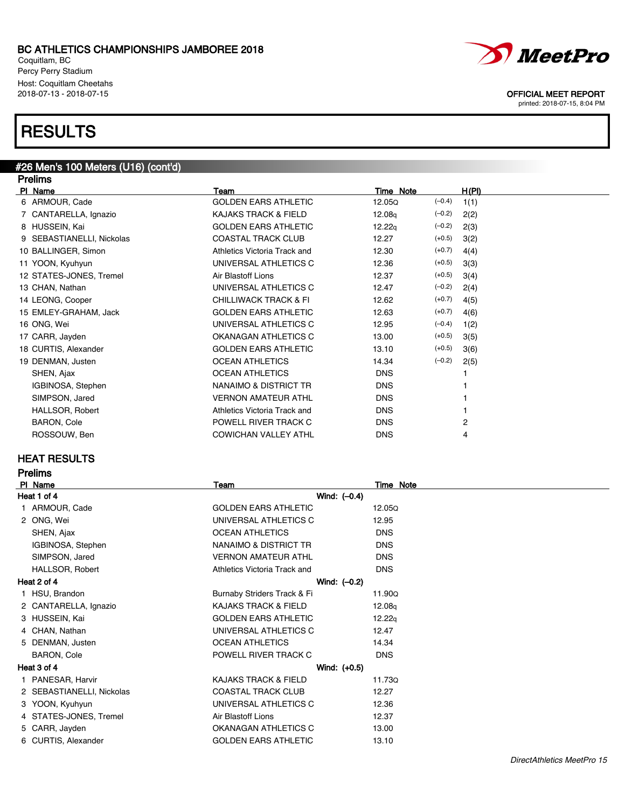Coquitlam, BC Percy Perry Stadium Host: Coquitlam Cheetahs<br>2018-07-13 - 2018-07-15

## **RESULTS**

### #26 Men's 100 Meters (U16) (cont'd) **Dralims**

| гіешір                    |                                  |                    |          |       |
|---------------------------|----------------------------------|--------------------|----------|-------|
| PI Name                   | Team                             | Time Note          |          | H(PI) |
| 6 ARMOUR, Cade            | <b>GOLDEN EARS ATHLETIC</b>      | 12.05Q             | $(-0.4)$ | 1(1)  |
| 7 CANTARELLA, Ignazio     | KAJAKS TRACK & FIELD             | 12.08 <sub>q</sub> | $(-0.2)$ | 2(2)  |
| 8 HUSSEIN, Kai            | <b>GOLDEN EARS ATHLETIC</b>      | 12.22q             | $(-0.2)$ | 2(3)  |
| 9 SEBASTIANELLI, Nickolas | <b>COASTAL TRACK CLUB</b>        | 12.27              | $(+0.5)$ | 3(2)  |
| 10 BALLINGER, Simon       | Athletics Victoria Track and     | 12.30              | $(+0.7)$ | 4(4)  |
| 11 YOON, Kyuhyun          | UNIVERSAL ATHLETICS C            | 12.36              | $(+0.5)$ | 3(3)  |
| 12 STATES-JONES, Tremel   | Air Blastoff Lions               | 12.37              | $(+0.5)$ | 3(4)  |
| 13 CHAN, Nathan           | UNIVERSAL ATHLETICS C            | 12.47              | $(-0.2)$ | 2(4)  |
| 14 LEONG, Cooper          | <b>CHILLIWACK TRACK &amp; FI</b> | 12.62              | $(+0.7)$ | 4(5)  |
| 15 EMLEY-GRAHAM, Jack     | <b>GOLDEN EARS ATHLETIC</b>      | 12.63              | $(+0.7)$ | 4(6)  |
| 16 ONG, Wei               | UNIVERSAL ATHLETICS C            | 12.95              | $(-0.4)$ | 1(2)  |
| 17 CARR, Jayden           | OKANAGAN ATHLETICS C             | 13.00              | $(+0.5)$ | 3(5)  |
| 18 CURTIS, Alexander      | <b>GOLDEN EARS ATHLETIC</b>      | 13.10              | $(+0.5)$ | 3(6)  |
| 19 DENMAN, Justen         | <b>OCEAN ATHLETICS</b>           | 14.34              | $(-0.2)$ | 2(5)  |
| SHEN, Ajax                | <b>OCEAN ATHLETICS</b>           | <b>DNS</b>         |          |       |
| IGBINOSA, Stephen         | NANAIMO & DISTRICT TR            | <b>DNS</b>         |          |       |
| SIMPSON, Jared            | <b>VERNON AMATEUR ATHL</b>       | <b>DNS</b>         |          |       |
| <b>HALLSOR, Robert</b>    | Athletics Victoria Track and     | <b>DNS</b>         |          |       |
| BARON, Cole               | POWELL RIVER TRACK C             | <b>DNS</b>         |          | 2     |
| ROSSOUW, Ben              | <b>COWICHAN VALLEY ATHL</b>      | <b>DNS</b>         |          | 4     |
|                           |                                  |                    |          |       |

### HEAT RESULTS

Prelims

|   | PI Name                   | Team                            | Time Note  |
|---|---------------------------|---------------------------------|------------|
|   | Heat 1 of 4               | Wind: $(-0.4)$                  |            |
|   | 1 ARMOUR, Cade            | <b>GOLDEN EARS ATHLETIC</b>     | 12.05Q     |
|   | 2 ONG, Wei                | UNIVERSAL ATHLETICS C           | 12.95      |
|   | SHEN, Ajax                | <b>OCEAN ATHLETICS</b>          | <b>DNS</b> |
|   | IGBINOSA, Stephen         | NANAIMO & DISTRICT TR           | <b>DNS</b> |
|   | SIMPSON, Jared            | <b>VERNON AMATEUR ATHL</b>      | <b>DNS</b> |
|   | HALLSOR, Robert           | Athletics Victoria Track and    | <b>DNS</b> |
|   | Heat 2 of 4               | Wind: $(-0.2)$                  |            |
|   | 1 HSU, Brandon            | Burnaby Striders Track & Fi     | 11.90Q     |
|   | 2 CANTARELLA, Ignazio     | <b>KAJAKS TRACK &amp; FIELD</b> | 12.08g     |
|   | 3 HUSSEIN, Kai            | <b>GOLDEN EARS ATHLETIC</b>     | 12.22q     |
|   | 4 CHAN, Nathan            | UNIVERSAL ATHLETICS C           | 12.47      |
|   | 5 DENMAN, Justen          | <b>OCEAN ATHLETICS</b>          | 14.34      |
|   | BARON, Cole               | POWELL RIVER TRACK C            | <b>DNS</b> |
|   | Heat 3 of 4               | Wind: $(+0.5)$                  |            |
|   | 1 PANESAR, Harvir         | <b>KAJAKS TRACK &amp; FIELD</b> | 11.73Q     |
|   | 2 SEBASTIANELLI, Nickolas | <b>COASTAL TRACK CLUB</b>       | 12.27      |
|   | 3 YOON, Kyuhyun           | UNIVERSAL ATHLETICS C           | 12.36      |
|   | 4 STATES-JONES, Tremel    | Air Blastoff Lions              | 12.37      |
|   | 5 CARR, Jayden            | OKANAGAN ATHLETICS C            | 13.00      |
| 6 | CURTIS, Alexander         | <b>GOLDEN EARS ATHLETIC</b>     | 13.10      |
|   |                           |                                 |            |



OFFICIAL MEET REPORT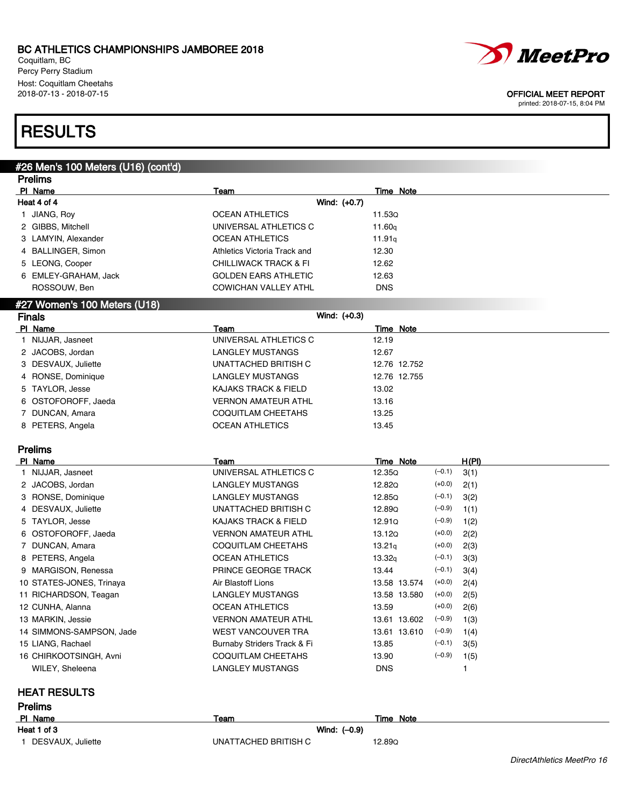Coquitlam, BC Percy Perry Stadium Host: Coquitlam Cheetahs<br>2018-07-13 - 2018-07-15



### OFFICIAL MEET REPORT

printed: 2018-07-15, 8:04 PM

## **RESULTS**

## #26 Men's 100 Meters (U16) (cont'd)

|   | <b>Prelims</b>               |                                  |                  |  |  |
|---|------------------------------|----------------------------------|------------------|--|--|
|   | PI Name                      | <b>Team</b>                      | <b>Time Note</b> |  |  |
|   | Heat 4 of 4                  | Wind: (+0.7)                     |                  |  |  |
|   | JIANG, Roy                   | <b>OCEAN ATHLETICS</b>           | 11.53Q           |  |  |
|   | 2 GIBBS, Mitchell            | UNIVERSAL ATHLETICS C            | 11.60g           |  |  |
| 3 | LAMYIN, Alexander            | <b>OCEAN ATHLETICS</b>           | 11.91q           |  |  |
|   | 4 BALLINGER, Simon           | Athletics Victoria Track and     | 12.30            |  |  |
|   | 5 LEONG, Cooper              | <b>CHILLIWACK TRACK &amp; FI</b> | 12.62            |  |  |
|   | 6 EMLEY-GRAHAM, Jack         | <b>GOLDEN EARS ATHLETIC</b>      | 12.63            |  |  |
|   | ROSSOUW, Ben                 | <b>COWICHAN VALLEY ATHL</b>      | <b>DNS</b>       |  |  |
|   | #27 Women's 100 Meters (U18) |                                  |                  |  |  |
|   | <b>Finals</b>                | Wind: (+0.3)                     |                  |  |  |
|   | PI Name                      | Team                             | <b>Time Note</b> |  |  |
|   | NIJJAR, Jasneet              | UNIVERSAL ATHLETICS C            | 12.19            |  |  |
|   | 2 JACOBS, Jordan             | <b>LANGLEY MUSTANGS</b>          | 12.67            |  |  |
| з | DESVAUX, Juliette            | UNATTACHED BRITISH C             | 12.76 12.752     |  |  |
|   | 4 RONSE, Dominique           | <b>LANGLEY MUSTANGS</b>          | 12.76 12.755     |  |  |
| 5 | TAYLOR, Jesse                | <b>KAJAKS TRACK &amp; FIELD</b>  | 13.02            |  |  |
| 6 | OSTOFOROFF, Jaeda            | <b>VERNON AMATEUR ATHL</b>       | 13.16            |  |  |
|   | DUNCAN, Amara                | <b>COQUITLAM CHEETAHS</b>        | 13.25            |  |  |
|   | 8 PETERS, Angela             | <b>OCEAN ATHLETICS</b>           | 13.45            |  |  |
|   | Prelims                      |                                  |                  |  |  |

| PI Name |                          | Team                            | Time Note          |          | H(PI) |
|---------|--------------------------|---------------------------------|--------------------|----------|-------|
|         | 1 NIJJAR, Jasneet        | UNIVERSAL ATHLETICS C           | 12.35Q             | $(-0.1)$ | 3(1)  |
|         | 2 JACOBS, Jordan         | LANGLEY MUSTANGS                | 12.82Q             | $(+0.0)$ | 2(1)  |
|         | 3 RONSE, Dominique       | LANGLEY MUSTANGS                | 12.85Q             | $(-0.1)$ | 3(2)  |
|         | 4 DESVAUX, Juliette      | UNATTACHED BRITISH C            | 12.89Q             | $(-0.9)$ | 1(1)  |
|         | 5 TAYLOR, Jesse          | <b>KAJAKS TRACK &amp; FIELD</b> | 12.91Q             | $(-0.9)$ | 1(2)  |
|         | 6 OSTOFOROFF, Jaeda      | <b>VERNON AMATEUR ATHL</b>      | 13.12Q             | $(+0.0)$ | 2(2)  |
|         | 7 DUNCAN, Amara          | COQUITLAM CHEETAHS              | 13.21q             | $(+0.0)$ | 2(3)  |
|         | 8 PETERS, Angela         | <b>OCEAN ATHLETICS</b>          | 13.32 <sub>g</sub> | $(-0.1)$ | 3(3)  |
|         | 9 MARGISON, Renessa      | <b>PRINCE GEORGE TRACK</b>      | 13.44              | $(-0.1)$ | 3(4)  |
|         | 10 STATES-JONES, Trinaya | Air Blastoff Lions              | 13.58 13.574       | $(+0.0)$ | 2(4)  |
|         | 11 RICHARDSON, Teagan    | LANGLEY MUSTANGS                | 13.58 13.580       | $(+0.0)$ | 2(5)  |
|         | 12 CUNHA, Alanna         | <b>OCEAN ATHLETICS</b>          | 13.59              | $(+0.0)$ | 2(6)  |
|         | 13 MARKIN, Jessie        | <b>VERNON AMATEUR ATHL</b>      | 13.61 13.602       | $(-0.9)$ | 1(3)  |
|         | 14 SIMMONS-SAMPSON, Jade | <b>WEST VANCOUVER TRA</b>       | 13.61 13.610       | $(-0.9)$ | 1(4)  |
|         | 15 LIANG, Rachael        | Burnaby Striders Track & Fi     | 13.85              | $(-0.1)$ | 3(5)  |
|         | 16 CHIRKOOTSINGH, Avni   | COQUITLAM CHEETAHS              | 13.90              | $(-0.9)$ | 1(5)  |
|         | WILEY, Sheleena          | LANGLEY MUSTANGS                | <b>DNS</b>         |          |       |

### HEAT RESULTS

| <b>Prelims</b>    |                      |              |
|-------------------|----------------------|--------------|
| PI Name           | Team                 | Note<br>Time |
| Heat 1 of 3       | Wind: $(-0.9)$       |              |
| DESVAUX, Juliette | UNATTACHED BRITISH C | 12.89Q       |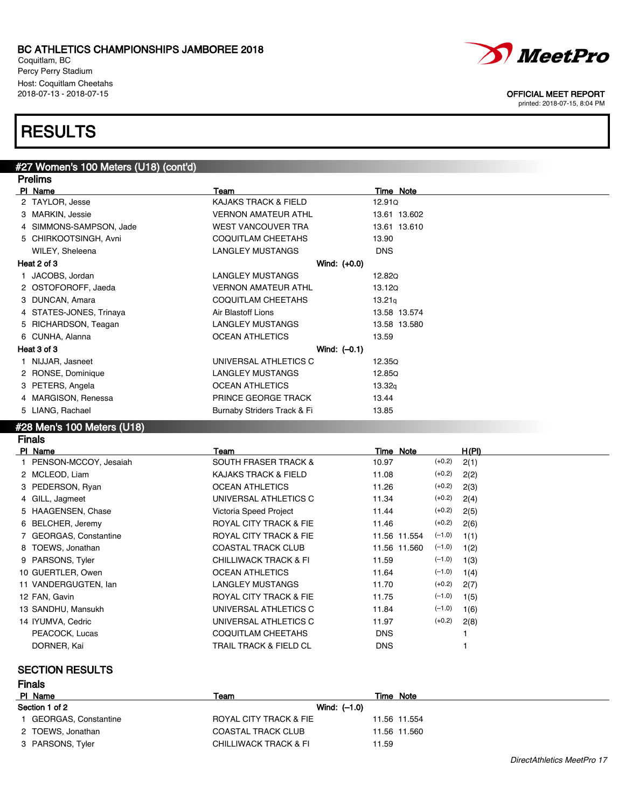Coquitlam, BC Percy Perry Stadium Host: Coquitlam Cheetahs

## **RESULTS**

#27 Women's 100 Meters (U18) (cont'd)

### Prelims **Pl Name** Team Team Team Team Team Time Note 2 TAYLOR, Jesse The Case CAJAKS TRACK & FIELD 12.91Q 3 MARKIN, Jessie 2012 - VERNON AMATEUR ATHL 13.61 13.602 4 SIMMONS-SAMPSON, Jade WEST VANCOUVER TRA 13.61 13.61 13.610 5 CHIRKOOTSINGH, Avni COQUITLAM CHEETAHS 13.90 WILEY, Sheleena **LANGLEY MUSTANGS** DNS Heat 2 of 3 Wind: (+0.0) 1 JACOBS, Jordan **LANGLEY MUSTANGS** 12.82Q 2 OSTOFOROFF, Jaeda VERNON AMATEUR ATHL 13.12Q 3 DUNCAN, Amara **COQUITLAM CHEETAHS** 13.21<sub>q</sub> 4 STATES-JONES, Trinaya **Air Blastoff Lions** 13.58 13.574 5 RICHARDSON, Teagan **LANGLEY MUSTANGS** 13.58 13.580 6 CUNHA, Alanna **13.59** OCEAN ATHLETICS 13.59 Heat 3 of 3 Wind: (–0.1) 1 NIJJAR, Jasneet 12.35Q 2 RONSE, Dominique LANGLEY MUSTANGS 12.85Q 3 PETERS, Angela OCEAN ATHLETICS 13.32q 4 MARGISON, Renessa **PRINCE GEORGE TRACK** 13.44 5 LIANG, Rachael **Burnaby Striders Track & Fi** 13.85

### #28 Men's 100 Meters (U18)

Finals

| PI Name                 | Team                              | Time Note                | H(PI) |
|-------------------------|-----------------------------------|--------------------------|-------|
| 1 PENSON-MCCOY, Jesaiah | <b>SOUTH FRASER TRACK &amp;</b>   | $(+0.2)$<br>10.97        | 2(1)  |
| 2 MCLEOD, Liam          | KAJAKS TRACK & FIELD              | $(+0.2)$<br>11.08        | 2(2)  |
| 3 PEDERSON, Ryan        | <b>OCEAN ATHLETICS</b>            | $(+0.2)$<br>11.26        | 2(3)  |
| 4 GILL, Jagmeet         | UNIVERSAL ATHLETICS C             | $(+0.2)$<br>11.34        | 2(4)  |
| 5 HAAGENSEN, Chase      | Victoria Speed Project            | $(+0.2)$<br>11.44        | 2(5)  |
| 6 BELCHER, Jeremy       | ROYAL CITY TRACK & FIE            | $(+0.2)$<br>11.46        | 2(6)  |
| 7 GEORGAS, Constantine  | ROYAL CITY TRACK & FIE            | $(-1.0)$<br>11.56 11.554 | 1(1)  |
| 8 TOEWS, Jonathan       | <b>COASTAL TRACK CLUB</b>         | $(-1.0)$<br>11.56 11.560 | 1(2)  |
| 9 PARSONS, Tyler        | <b>CHILLIWACK TRACK &amp; FI</b>  | $(-1.0)$<br>11.59        | 1(3)  |
| 10 GUERTLER, Owen       | <b>OCEAN ATHLETICS</b>            | $(-1.0)$<br>11.64        | 1(4)  |
| 11 VANDERGUGTEN, Ian    | <b>LANGLEY MUSTANGS</b>           | $(+0.2)$<br>11.70        | 2(7)  |
| 12 FAN, Gavin           | ROYAL CITY TRACK & FIE            | $(-1.0)$<br>11.75        | 1(5)  |
| 13 SANDHU, Mansukh      | UNIVERSAL ATHLETICS C             | $(-1.0)$<br>11.84        | 1(6)  |
| 14 IYUMVA, Cedric       | UNIVERSAL ATHLETICS C             | $(+0.2)$<br>11.97        | 2(8)  |
| PEACOCK, Lucas          | COQUITLAM CHEETAHS                | DNS.                     |       |
| DORNER, Kai             | <b>TRAIL TRACK &amp; FIELD CL</b> | <b>DNS</b>               |       |

### SECTION RESULTS

| <b>Finals</b>          |                                  |              |
|------------------------|----------------------------------|--------------|
| PI Name                | Team                             | Time Note    |
| Section 1 of 2         | Wind: $(-1.0)$                   |              |
| 1 GEORGAS, Constantine | ROYAL CITY TRACK & FIE           | 11.56 11.554 |
| 2 TOEWS, Jonathan      | <b>COASTAL TRACK CLUB</b>        | 11.56 11.560 |
| 3 PARSONS, Tyler       | <b>CHILLIWACK TRACK &amp; FI</b> | 11.59        |



### 2018-07-13 - 2018-07-15 OFFICIAL MEET REPORT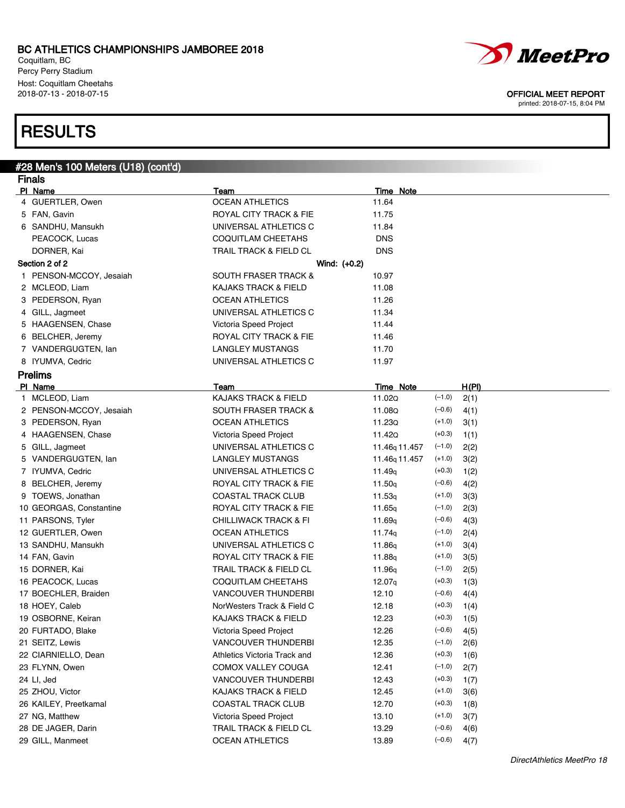Coquitlam, BC Percy Perry Stadium Host: Coquitlam Cheetahs<br>2018-07-13 - 2018-07-15

# **RESULTS**

#28 Men's 100 Meters (U18) (cont'd)

| <b>Finals</b>           |                                   |                           |               |       |  |  |
|-------------------------|-----------------------------------|---------------------------|---------------|-------|--|--|
| PI Name                 | Team                              | <b>Time Note</b>          |               |       |  |  |
| 4 GUERTLER, Owen        | <b>OCEAN ATHLETICS</b>            | 11.64                     |               |       |  |  |
| 5 FAN, Gavin            | ROYAL CITY TRACK & FIE            | 11.75                     |               |       |  |  |
| 6 SANDHU, Mansukh       | UNIVERSAL ATHLETICS C             | 11.84                     |               |       |  |  |
| PEACOCK, Lucas          | <b>COQUITLAM CHEETAHS</b>         | <b>DNS</b>                |               |       |  |  |
| DORNER, Kai             | TRAIL TRACK & FIELD CL            | <b>DNS</b>                |               |       |  |  |
| Section 2 of 2          | Wind: $(+0.2)$                    |                           |               |       |  |  |
| 1 PENSON-MCCOY, Jesaiah | <b>SOUTH FRASER TRACK &amp;</b>   | 10.97                     |               |       |  |  |
| 2 MCLEOD, Liam          | <b>KAJAKS TRACK &amp; FIELD</b>   | 11.08                     |               |       |  |  |
| 3 PEDERSON, Ryan        | <b>OCEAN ATHLETICS</b>            | 11.26                     |               |       |  |  |
| 4 GILL, Jagmeet         | UNIVERSAL ATHLETICS C             | 11.34                     |               |       |  |  |
| 5 HAAGENSEN, Chase      | Victoria Speed Project            | 11.44                     |               |       |  |  |
| 6 BELCHER, Jeremy       | ROYAL CITY TRACK & FIE            | 11.46                     |               |       |  |  |
| 7 VANDERGUGTEN, Ian     | LANGLEY MUSTANGS                  | 11.70                     |               |       |  |  |
| 8 IYUMVA, Cedric        | UNIVERSAL ATHLETICS C             | 11.97                     |               |       |  |  |
| <b>Prelims</b>          |                                   |                           |               |       |  |  |
| PI Name                 | Team                              | Time Note                 |               | H(PI) |  |  |
| 1 MCLEOD, Liam          | <b>KAJAKS TRACK &amp; FIELD</b>   | 11.02Q                    | $(-1.0)$      | 2(1)  |  |  |
| 2 PENSON-MCCOY, Jesaiah | <b>SOUTH FRASER TRACK &amp;</b>   | 11.08Q                    | $(-0.6)$      | 4(1)  |  |  |
| 3 PEDERSON, Ryan        | <b>OCEAN ATHLETICS</b>            | 11.23Q                    | $(+1.0)$      | 3(1)  |  |  |
| 4 HAAGENSEN, Chase      | Victoria Speed Project            | 11.42Q                    | $(+0.3)$      | 1(1)  |  |  |
| 5 GILL, Jagmeet         | UNIVERSAL ATHLETICS C             | 11.46 <sub>q</sub> 11.457 | $(-1.0)$      | 2(2)  |  |  |
| 5 VANDERGUGTEN, lan     | LANGLEY MUSTANGS                  | 11.46 <sub>q</sub> 11.457 | $(+1.0)$      | 3(2)  |  |  |
| 7 IYUMVA, Cedric        | UNIVERSAL ATHLETICS C             | 11.49q                    | $(+0.3)$      | 1(2)  |  |  |
| 8 BELCHER, Jeremy       | ROYAL CITY TRACK & FIE            | 11.50 <sub>q</sub>        | $(-0.6)$      | 4(2)  |  |  |
| 9 TOEWS, Jonathan       | <b>COASTAL TRACK CLUB</b>         | 11.53q                    | $(+1.0)$      | 3(3)  |  |  |
| 10 GEORGAS, Constantine | ROYAL CITY TRACK & FIE            | 11.65g                    | $(-1.0)$      | 2(3)  |  |  |
| 11 PARSONS, Tyler       | <b>CHILLIWACK TRACK &amp; FI</b>  | 11.69 <sub>q</sub>        | $(-0.6)$      | 4(3)  |  |  |
| 12 GUERTLER, Owen       | <b>OCEAN ATHLETICS</b>            | 11.74g                    | $(-1.0)$      | 2(4)  |  |  |
| 13 SANDHU, Mansukh      | UNIVERSAL ATHLETICS C             | 11.86g                    | $(+1.0)$      | 3(4)  |  |  |
| 14 FAN, Gavin           | ROYAL CITY TRACK & FIE            | 11.88g                    | $(+1.0)$      | 3(5)  |  |  |
| 15 DORNER, Kai          | <b>TRAIL TRACK &amp; FIELD CL</b> | 11.96 <sub>q</sub>        | $(-1.0)$      | 2(5)  |  |  |
| 16 PEACOCK, Lucas       | COQUITLAM CHEETAHS                | 12.07 <sub>q</sub>        | $(+0.3)$      | 1(3)  |  |  |
| 17 BOECHLER, Braiden    | <b>VANCOUVER THUNDERBI</b>        | 12.10                     | $(-0.6)$      | 4(4)  |  |  |
| 18 HOEY, Caleb          | NorWesters Track & Field C        | 12.18                     | $(+0.3)$      | 1(4)  |  |  |
| 19 OSBORNE, Keiran      | <b>KAJAKS TRACK &amp; FIELD</b>   | 12.23                     | $(+0.3)$      | 1(5)  |  |  |
| 20 FURTADO, Blake       | Victoria Speed Project            | 12.26                     | $(-0.6)$ 4(5) |       |  |  |
| 21 SEITZ, Lewis         | <b>VANCOUVER THUNDERBI</b>        | 12.35                     | $(-1.0)$      | 2(6)  |  |  |
| 22 CIARNIELLO, Dean     | Athletics Victoria Track and      | 12.36                     | $(+0.3)$      | 1(6)  |  |  |
| 23 FLYNN, Owen          | COMOX VALLEY COUGA                | 12.41                     | $(-1.0)$      | 2(7)  |  |  |
| 24 LI, Jed              | VANCOUVER THUNDERBI               | 12.43                     | $(+0.3)$      | 1(7)  |  |  |
| 25 ZHOU, Victor         | <b>KAJAKS TRACK &amp; FIELD</b>   | 12.45                     | $(+1.0)$      | 3(6)  |  |  |
| 26 KAILEY, Preetkamal   | <b>COASTAL TRACK CLUB</b>         | 12.70                     | $(+0.3)$      | 1(8)  |  |  |
| 27 NG, Matthew          | Victoria Speed Project            | 13.10                     | $(+1.0)$      | 3(7)  |  |  |
| 28 DE JAGER, Darin      | TRAIL TRACK & FIELD CL            | 13.29                     | $(-0.6)$      | 4(6)  |  |  |
| 29 GILL, Manmeet        | <b>OCEAN ATHLETICS</b>            | 13.89                     | $(-0.6)$      | 4(7)  |  |  |



OFFICIAL MEET REPORT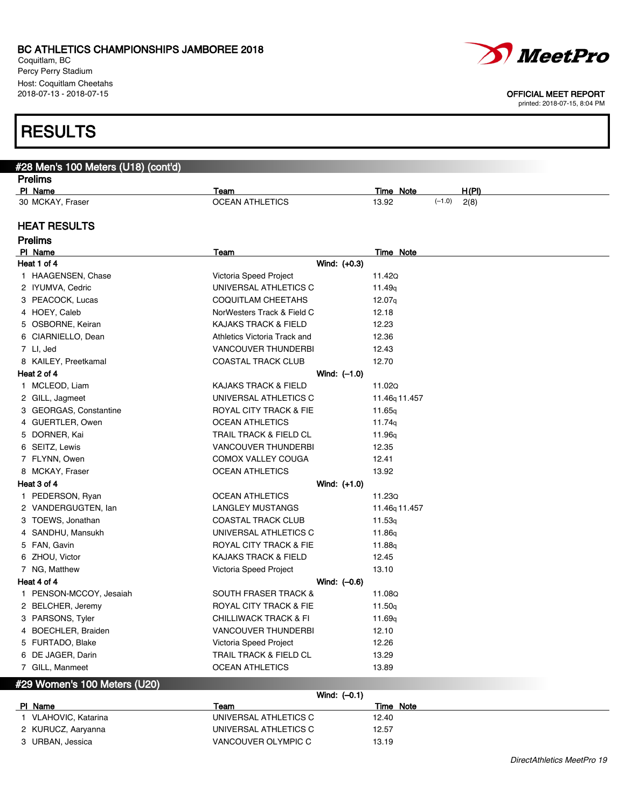Coquitlam, BC Percy Perry Stadium Host: Coquitlam Cheetahs<br>2018-07-13 - 2018-07-15

# **RESULTS**

| #28 Men's 100 Meters (U18) (cont'd) |                                  |                |                    |                           |          |       |
|-------------------------------------|----------------------------------|----------------|--------------------|---------------------------|----------|-------|
| <b>Prelims</b>                      |                                  |                |                    |                           |          |       |
| PI Name                             | Team                             |                | <b>Time Note</b>   |                           |          | H(PI) |
| 30 MCKAY, Fraser                    | <b>OCEAN ATHLETICS</b>           |                | 13.92              |                           | $(-1.0)$ | 2(8)  |
| <b>HEAT RESULTS</b>                 |                                  |                |                    |                           |          |       |
| <b>Prelims</b>                      |                                  |                |                    |                           |          |       |
| PI Name                             | <b>Team</b>                      |                | <b>Time Note</b>   |                           |          |       |
| Heat 1 of 4                         |                                  | Wind: (+0.3)   |                    |                           |          |       |
| 1 HAAGENSEN, Chase                  | Victoria Speed Project           |                | 11.42Q             |                           |          |       |
| 2 IYUMVA, Cedric                    | UNIVERSAL ATHLETICS C            |                | 11.49 <sub>q</sub> |                           |          |       |
| 3 PEACOCK, Lucas                    | COQUITLAM CHEETAHS               |                | 12.07 <sub>q</sub> |                           |          |       |
| 4 HOEY, Caleb                       | NorWesters Track & Field C       |                | 12.18              |                           |          |       |
| 5 OSBORNE, Keiran                   | KAJAKS TRACK & FIELD             |                | 12.23              |                           |          |       |
| 6 CIARNIELLO, Dean                  | Athletics Victoria Track and     |                | 12.36              |                           |          |       |
| 7 LI, Jed                           | <b>VANCOUVER THUNDERBI</b>       |                | 12.43              |                           |          |       |
| 8 KAILEY, Preetkamal                | <b>COASTAL TRACK CLUB</b>        |                | 12.70              |                           |          |       |
| Heat 2 of 4                         |                                  | Wind: $(-1.0)$ |                    |                           |          |       |
| 1 MCLEOD, Liam                      | KAJAKS TRACK & FIELD             |                | 11.02Q             |                           |          |       |
| 2 GILL, Jagmeet                     | UNIVERSAL ATHLETICS C            |                |                    | 11.46 <sub>q</sub> 11.457 |          |       |
| 3 GEORGAS, Constantine              | ROYAL CITY TRACK & FIE           |                | 11.65g             |                           |          |       |
| 4 GUERTLER, Owen                    | <b>OCEAN ATHLETICS</b>           |                | 11.74g             |                           |          |       |
| 5 DORNER, Kai                       | TRAIL TRACK & FIELD CL           |                | 11.96q             |                           |          |       |
| 6 SEITZ, Lewis                      | <b>VANCOUVER THUNDERBI</b>       |                | 12.35              |                           |          |       |
| 7 FLYNN, Owen                       | COMOX VALLEY COUGA               |                | 12.41              |                           |          |       |
| 8 MCKAY, Fraser                     | <b>OCEAN ATHLETICS</b>           |                | 13.92              |                           |          |       |
| Heat 3 of 4                         |                                  | Wind: (+1.0)   |                    |                           |          |       |
| 1 PEDERSON, Ryan                    | <b>OCEAN ATHLETICS</b>           |                | 11.23Q             |                           |          |       |
| 2 VANDERGUGTEN, lan                 | LANGLEY MUSTANGS                 |                |                    | 11.46 <sub>g</sub> 11.457 |          |       |
| 3 TOEWS, Jonathan                   | COASTAL TRACK CLUB               |                | 11.53 <sub>q</sub> |                           |          |       |
| 4 SANDHU, Mansukh                   | UNIVERSAL ATHLETICS C            |                | 11.86g             |                           |          |       |
| 5 FAN, Gavin                        | ROYAL CITY TRACK & FIE           |                | 11.88g             |                           |          |       |
| 6 ZHOU, Victor                      | KAJAKS TRACK & FIELD             |                | 12.45              |                           |          |       |
| 7 NG, Matthew                       | Victoria Speed Project           |                | 13.10              |                           |          |       |
| Heat 4 of 4                         |                                  | Wind: $(-0.6)$ |                    |                           |          |       |
| 1 PENSON-MCCOY, Jesaiah             | <b>SOUTH FRASER TRACK &amp;</b>  |                | 11.08Q             |                           |          |       |
| 2 BELCHER, Jeremy                   | ROYAL CITY TRACK & FIE           |                | 11.50 <sub>q</sub> |                           |          |       |
| 3 PARSONS, Tyler                    | <b>CHILLIWACK TRACK &amp; FI</b> |                | 11.69 <sub>q</sub> |                           |          |       |
| 4 BOECHLER, Braiden                 | <b>VANCOUVER THUNDERBI</b>       |                | 12.10              |                           |          |       |
| 5 FURTADO, Blake                    | Victoria Speed Project           |                | 12.26              |                           |          |       |
| 6 DE JAGER, Darin                   | TRAIL TRACK & FIELD CL           |                | 13.29              |                           |          |       |
| 7 GILL, Manmeet                     | <b>OCEAN ATHLETICS</b>           |                | 13.89              |                           |          |       |

## #29 Women's 100 Meters (U20)

|                    | Wind: $(-0.1)$        |           |  |
|--------------------|-----------------------|-----------|--|
| PI Name            | Team                  | Time Note |  |
| VLAHOVIC, Katarina | UNIVERSAL ATHLETICS C | 12.40     |  |
| 2 KURUCZ, Aaryanna | UNIVERSAL ATHLETICS C | 12.57     |  |
| 3 URBAN, Jessica   | VANCOUVER OLYMPIC C   | 13.19     |  |



#### OFFICIAL MEET REPORT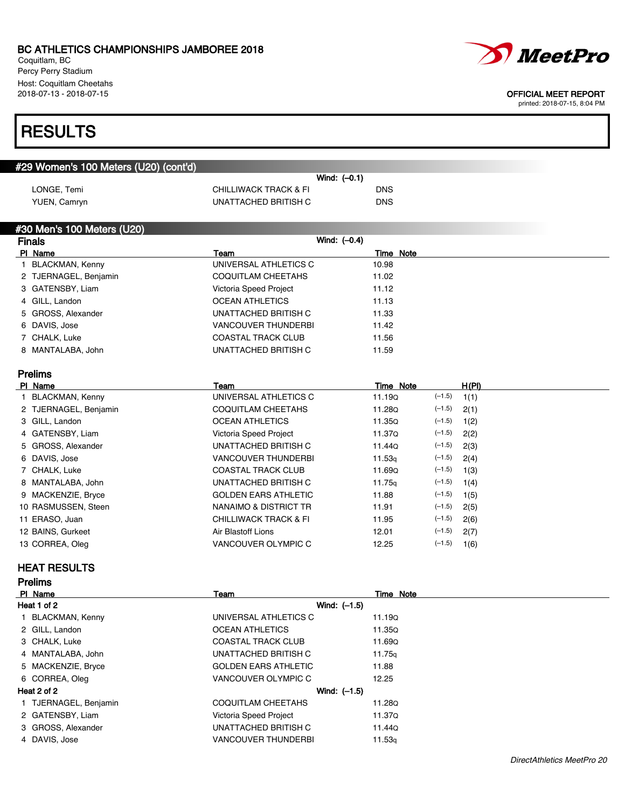Coquitlam, BC Percy Perry Stadium Host: Coquitlam Cheetahs<br>2018-07-13 - 2018-07-15

# **RESULTS**

| #29 Women's 100 Meters (U20) (cont'd) |                       |                |            |
|---------------------------------------|-----------------------|----------------|------------|
|                                       |                       | Wind: $(-0.1)$ |            |
| LONGE, Temi                           | CHILLIWACK TRACK & FI |                | <b>DNS</b> |
| YUEN, Camryn                          | UNATTACHED BRITISH C  |                | <b>DNS</b> |

### #30 Men's 100 Meters (U20)

| <b>Finals</b>         | Wind: $(-0.4)$             |           |
|-----------------------|----------------------------|-----------|
| PI Name               | Team                       | Time Note |
| 1 BLACKMAN, Kenny     | UNIVERSAL ATHLETICS C      | 10.98     |
| 2 TJERNAGEL, Benjamin | COQUITLAM CHEETAHS         | 11.02     |
| 3 GATENSBY, Liam      | Victoria Speed Project     | 11.12     |
| 4 GILL, Landon        | <b>OCEAN ATHLETICS</b>     | 11.13     |
| 5 GROSS, Alexander    | UNATTACHED BRITISH C       | 11.33     |
| 6 DAVIS, Jose         | <b>VANCOUVER THUNDERBI</b> | 11.42     |
| 7 CHALK, Luke         | <b>COASTAL TRACK CLUB</b>  | 11.56     |
| 8 MANTALABA, John     | UNATTACHED BRITISH C       | 11.59     |

## Prelims

| Team                             | Time Note          | H(PI)                                                                                                                                                    |
|----------------------------------|--------------------|----------------------------------------------------------------------------------------------------------------------------------------------------------|
| UNIVERSAL ATHLETICS C            | 11.190             | 1(1)                                                                                                                                                     |
| COQUITLAM CHEETAHS               | 11.28Q             | 2(1)                                                                                                                                                     |
| <b>OCEAN ATHLETICS</b>           | 11.35Q             | 1(2)                                                                                                                                                     |
| Victoria Speed Project           | 11.37Q             | 2(2)                                                                                                                                                     |
| UNATTACHED BRITISH C             | 11.44Q             | 2(3)                                                                                                                                                     |
| <b>VANCOUVER THUNDERBI</b>       | 11.53 <sub>q</sub> | 2(4)                                                                                                                                                     |
| <b>COASTAL TRACK CLUB</b>        | 11.690             | 1(3)                                                                                                                                                     |
| UNATTACHED BRITISH C             | 11.75a             | 1(4)                                                                                                                                                     |
| <b>GOLDEN EARS ATHLETIC</b>      | 11.88              | 1(5)                                                                                                                                                     |
| NANAIMO & DISTRICT TR            | 11.91              | 2(5)                                                                                                                                                     |
| <b>CHILLIWACK TRACK &amp; FI</b> | 11.95              | 2(6)                                                                                                                                                     |
| Air Blastoff Lions               | 12.01              | 2(7)                                                                                                                                                     |
| VANCOUVER OLYMPIC C              | 12.25              | 1(6)                                                                                                                                                     |
|                                  |                    | $(-1.5)$<br>$(-1.5)$<br>$(-1.5)$<br>$(-1.5)$<br>$(-1.5)$<br>$(-1.5)$<br>$(-1.5)$<br>$(-1.5)$<br>$(-1.5)$<br>$(-1.5)$<br>$(-1.5)$<br>$(-1.5)$<br>$(-1.5)$ |

### HEAT RESULTS

Prelims

| PI Name               | Team                        | Time Note          |
|-----------------------|-----------------------------|--------------------|
| Heat 1 of 2           | Wind: $(-1.5)$              |                    |
| 1 BLACKMAN, Kenny     | UNIVERSAL ATHLETICS C       | 11.19Q             |
| 2 GILL, Landon        | <b>OCEAN ATHLETICS</b>      | <b>11.35Q</b>      |
| 3 CHALK, Luke         | <b>COASTAL TRACK CLUB</b>   | 11.69Q             |
| 4 MANTALABA, John     | UNATTACHED BRITISH C        | 11.75g             |
| 5 MACKENZIE, Bryce    | <b>GOLDEN EARS ATHLETIC</b> | 11.88              |
| 6 CORREA, Oleg        | VANCOUVER OLYMPIC C         | 12.25              |
| Heat 2 of 2           | Wind: $(-1.5)$              |                    |
| 1 TJERNAGEL, Benjamin | <b>COQUITLAM CHEETAHS</b>   | 11.28Q             |
| 2 GATENSBY, Liam      | Victoria Speed Project      | 11.37Q             |
| 3 GROSS, Alexander    | UNATTACHED BRITISH C        | 11.44Q             |
| 4 DAVIS, Jose         | <b>VANCOUVER THUNDERBI</b>  | 11.53 <sub>q</sub> |
|                       |                             |                    |



#### OFFICIAL MEET REPORT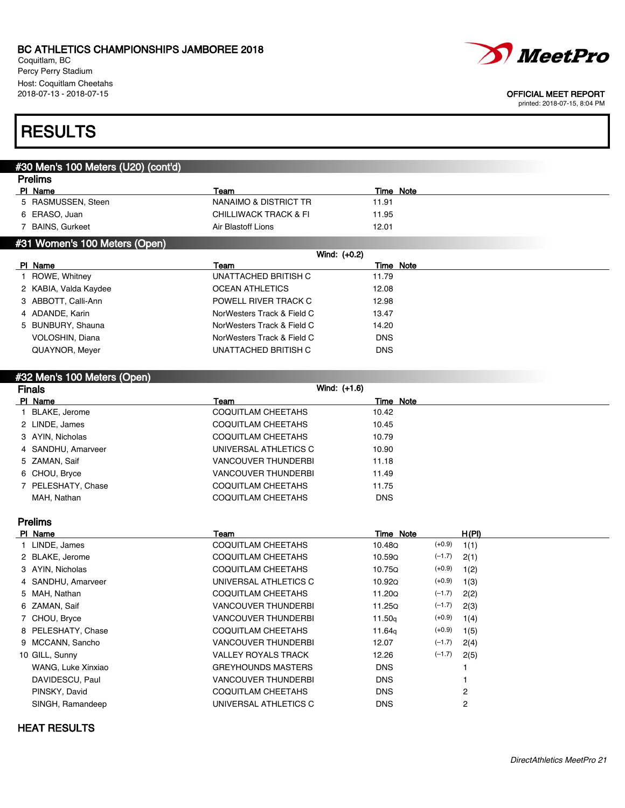Coquitlam, BC Percy Perry Stadium Host: Coquitlam Cheetahs<br>2018-07-13 - 2018-07-15



#### OFFICIAL MEET REPORT

printed: 2018-07-15, 8:04 PM

## **RESULTS**

### #30 Men's 100 Meters (U20) (cont'd)

| <b>Prelims</b>     |                       |           |  |
|--------------------|-----------------------|-----------|--|
| PI Name            | Team                  | Time Note |  |
| 5 RASMUSSEN, Steen | NANAIMO & DISTRICT TR | 11.91     |  |
| 6 ERASO, Juan      | CHILLIWACK TRACK & FI | 11.95     |  |
| BAINS, Gurkeet     | Air Blastoff Lions    | 12.01     |  |
|                    |                       |           |  |

### #31 Women's 100 Meters (Open)

| Wind: $(+0.2)$        |                            |            |
|-----------------------|----------------------------|------------|
| PI Name               | Team                       | Time Note  |
| ROWE, Whitney         | UNATTACHED BRITISH C       | 11.79      |
| 2 KABIA, Valda Kaydee | <b>OCEAN ATHLETICS</b>     | 12.08      |
| 3 ABBOTT, Calli-Ann   | POWELL RIVER TRACK C       | 12.98      |
| 4 ADANDE, Karin       | NorWesters Track & Field C | 13.47      |
| 5 BUNBURY, Shauna     | NorWesters Track & Field C | 14.20      |
| VOLOSHIN, Diana       | NorWesters Track & Field C | <b>DNS</b> |
| QUAYNOR, Meyer        | UNATTACHED BRITISH C       | <b>DNS</b> |
|                       |                            |            |

### #32 Men's 100 Meters (Open)

| <b>Finals</b>      | Wind: (+1.6)               |            |
|--------------------|----------------------------|------------|
| PI Name            | Team                       | Time Note  |
| 1 BLAKE, Jerome    | COQUITLAM CHEETAHS         | 10.42      |
| 2 LINDE, James     | COQUITLAM CHEETAHS         | 10.45      |
| 3 AYIN, Nicholas   | COQUITLAM CHEETAHS         | 10.79      |
| 4 SANDHU, Amarveer | UNIVERSAL ATHLETICS C      | 10.90      |
| 5 ZAMAN, Saif      | <b>VANCOUVER THUNDERBI</b> | 11.18      |
| 6 CHOU, Bryce      | <b>VANCOUVER THUNDERBI</b> | 11.49      |
| 7 PELESHATY, Chase | COQUITLAM CHEETAHS         | 11.75      |
| MAH, Nathan        | COQUITLAM CHEETAHS         | <b>DNS</b> |

### Prelims

| PI Name            | Team                       | Time Note          |          | H(PI) |
|--------------------|----------------------------|--------------------|----------|-------|
| 1 LINDE, James     | COQUITLAM CHEETAHS         | 10.48Q             | $(+0.9)$ | 1(1)  |
| 2 BLAKE, Jerome    | <b>COQUITLAM CHEETAHS</b>  | 10.59Q             | $(-1.7)$ | 2(1)  |
| 3 AYIN, Nicholas   | COQUITLAM CHEETAHS         | 10.75Q             | $(+0.9)$ | 1(2)  |
| 4 SANDHU, Amarveer | UNIVERSAL ATHLETICS C      | 10.920             | $(+0.9)$ | 1(3)  |
| 5 MAH, Nathan      | COQUITLAM CHEETAHS         | 11.20Q             | $(-1.7)$ | 2(2)  |
| 6 ZAMAN, Saif      | <b>VANCOUVER THUNDERBI</b> | 11.25Q             | $(-1.7)$ | 2(3)  |
| 7 CHOU, Bryce      | <b>VANCOUVER THUNDERBI</b> | 11.50 <sub>g</sub> | $(+0.9)$ | 1(4)  |
| 8 PELESHATY, Chase | <b>COQUITLAM CHEETAHS</b>  | 11.64 <sub>a</sub> | $(+0.9)$ | 1(5)  |
| 9 MCCANN, Sancho   | <b>VANCOUVER THUNDERBI</b> | 12.07              | $(-1.7)$ | 2(4)  |
| 10 GILL, Sunny     | <b>VALLEY ROYALS TRACK</b> | 12.26              | $(-1.7)$ | 2(5)  |
| WANG, Luke Xinxiao | <b>GREYHOUNDS MASTERS</b>  | <b>DNS</b>         |          |       |
| DAVIDESCU, Paul    | <b>VANCOUVER THUNDERBI</b> | <b>DNS</b>         |          |       |
| PINSKY, David      | <b>COQUITLAM CHEETAHS</b>  | <b>DNS</b>         |          | 2     |
| SINGH, Ramandeep   | UNIVERSAL ATHLETICS C      | <b>DNS</b>         |          | 2     |

### HEAT RESULTS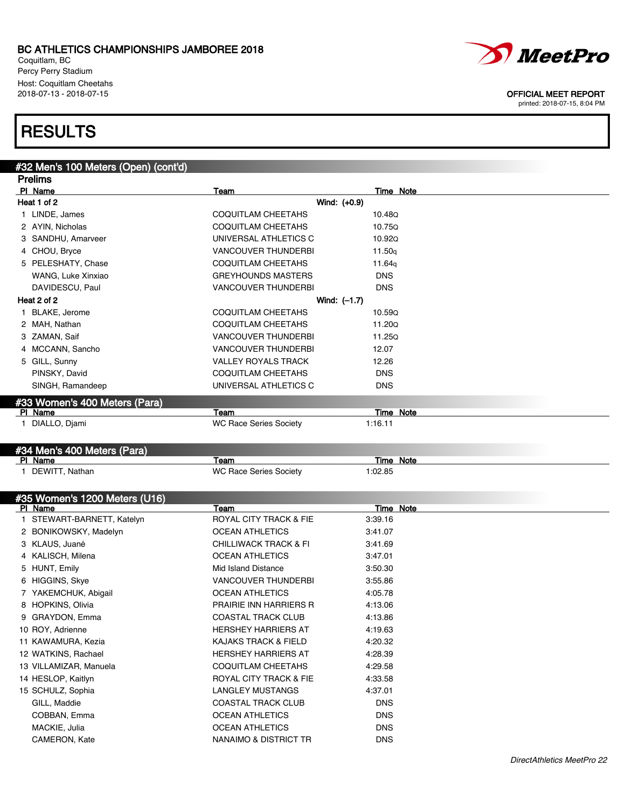Coquitlam, BC Percy Perry Stadium Host: Coquitlam Cheetahs<br>2018-07-13 - 2018-07-15

# **RESULTS**

#### #32 Men's 100 Meters (Open) (cont'd) Prelims

| PI Name<br>Team<br><b>Time Note</b><br>Wind: (+0.9)<br>Heat 1 of 2    |
|-----------------------------------------------------------------------|
|                                                                       |
|                                                                       |
| COQUITLAM CHEETAHS<br>1 LINDE, James<br>10.48Q                        |
| COQUITLAM CHEETAHS<br>2 AYIN, Nicholas<br>10.750                      |
| UNIVERSAL ATHLETICS C<br>3 SANDHU, Amarveer<br>10.920                 |
| 4 CHOU, Bryce<br><b>VANCOUVER THUNDERBI</b><br>11.50q                 |
| 5 PELESHATY, Chase<br><b>COQUITLAM CHEETAHS</b><br>11.64 <sub>g</sub> |
| WANG, Luke Xinxiao<br><b>GREYHOUNDS MASTERS</b><br><b>DNS</b>         |
| DAVIDESCU, Paul<br><b>VANCOUVER THUNDERBI</b><br><b>DNS</b>           |
| Heat 2 of 2<br>Wind: $(-1.7)$                                         |
| 1 BLAKE, Jerome<br><b>COQUITLAM CHEETAHS</b><br>10.59Q                |
| COQUITLAM CHEETAHS<br>2 MAH, Nathan<br>11.200                         |
| 3 ZAMAN, Saif<br><b>VANCOUVER THUNDERBI</b><br>11.250                 |
| 4 MCCANN, Sancho<br><b>VANCOUVER THUNDERBI</b><br>12.07               |
| 5 GILL, Sunny<br><b>VALLEY ROYALS TRACK</b><br>12.26                  |
| COQUITLAM CHEETAHS<br>PINSKY, David<br><b>DNS</b>                     |
| SINGH, Ramandeep<br>UNIVERSAL ATHLETICS C<br><b>DNS</b>               |
| #33 Women's 400 Meters (Para)                                         |
| Time Note<br>Team<br>PI Name                                          |
| 1 DIALLO, Djami<br><b>WC Race Series Society</b><br>1:16.11           |
|                                                                       |
| #34 Men's 400 Meters (Para)                                           |

## PI Name Team Team Team Team Time Note 1 DEWITT, Nathan 1:02.85

| #35 Women's 1200 Meters (U16) |                                  |            |
|-------------------------------|----------------------------------|------------|
| PI Name                       | Team                             | Time Note  |
| STEWART-BARNETT, Katelyn      | ROYAL CITY TRACK & FIE           | 3:39.16    |
| 2 BONIKOWSKY, Madelyn         | <b>OCEAN ATHLETICS</b>           | 3:41.07    |
| 3 KLAUS, Juané                | <b>CHILLIWACK TRACK &amp; FI</b> | 3:41.69    |
| 4 KALISCH, Milena             | <b>OCEAN ATHLETICS</b>           | 3:47.01    |
| 5 HUNT, Emily                 | Mid Island Distance              | 3:50.30    |
| 6 HIGGINS, Skye               | <b>VANCOUVER THUNDERBI</b>       | 3:55.86    |
| YAKEMCHUK, Abigail            | <b>OCEAN ATHLETICS</b>           | 4:05.78    |
| 8 HOPKINS, Olivia             | <b>PRAIRIE INN HARRIERS R</b>    | 4:13.06    |
| GRAYDON, Emma                 | <b>COASTAL TRACK CLUB</b>        | 4:13.86    |
| 10 ROY, Adrienne              | <b>HERSHEY HARRIERS AT</b>       | 4:19.63    |
| 11 KAWAMURA, Kezia            | KAJAKS TRACK & FIELD             | 4:20.32    |
| 12 WATKINS, Rachael           | <b>HERSHEY HARRIERS AT</b>       | 4:28.39    |
| 13 VILLAMIZAR, Manuela        | COQUITLAM CHEETAHS               | 4:29.58    |
| 14 HESLOP, Kaitlyn            | ROYAL CITY TRACK & FIE           | 4:33.58    |
| 15 SCHULZ, Sophia             | <b>LANGLEY MUSTANGS</b>          | 4:37.01    |
| GILL, Maddie                  | <b>COASTAL TRACK CLUB</b>        | <b>DNS</b> |
| COBBAN, Emma                  | <b>OCEAN ATHLETICS</b>           | <b>DNS</b> |
| MACKIE, Julia                 | <b>OCEAN ATHLETICS</b>           | <b>DNS</b> |
| CAMERON, Kate                 | NANAIMO & DISTRICT TR            | <b>DNS</b> |

OFFICIAL MEET REPORT printed: 2018-07-15, 8:04 PM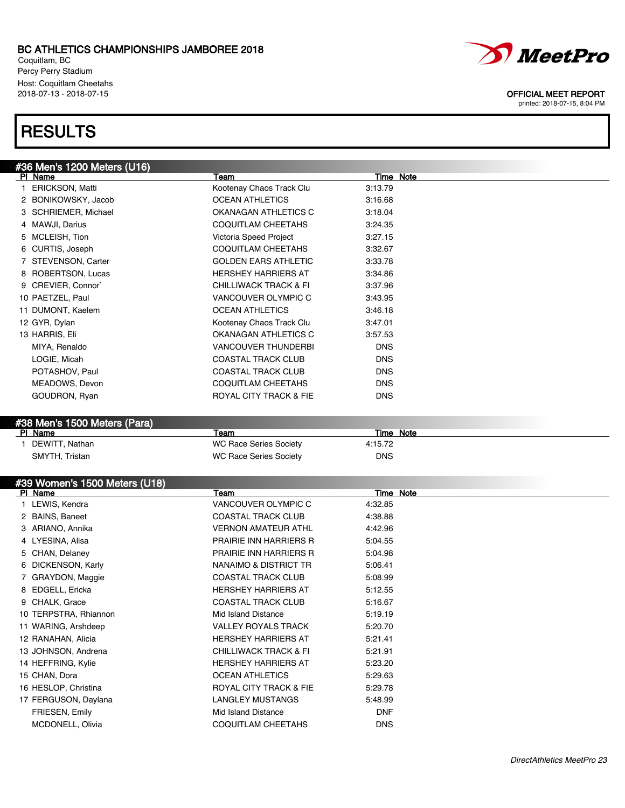Coquitlam, BC Percy Perry Stadium Host: Coquitlam Cheetahs<br>2018-07-13 - 2018-07-15

# **RESULTS**

| #36 Men's 1200 Meters (U16) |                                  |            |  |
|-----------------------------|----------------------------------|------------|--|
| PI Name                     | Team                             | Time Note  |  |
| 1 ERICKSON, Matti           | Kootenay Chaos Track Clu         | 3:13.79    |  |
| 2 BONIKOWSKY, Jacob         | <b>OCEAN ATHLETICS</b>           | 3:16.68    |  |
| 3 SCHRIEMER, Michael        | OKANAGAN ATHLETICS C             | 3:18.04    |  |
| 4 MAWJI, Darius             | <b>COQUITLAM CHEETAHS</b>        | 3:24.35    |  |
| 5 MCLEISH, Tion             | Victoria Speed Project           | 3:27.15    |  |
| 6 CURTIS, Joseph            | <b>COQUITLAM CHEETAHS</b>        | 3:32.67    |  |
| 7 STEVENSON, Carter         | <b>GOLDEN EARS ATHLETIC</b>      | 3:33.78    |  |
| 8 ROBERTSON, Lucas          | <b>HERSHEY HARRIERS AT</b>       | 3:34.86    |  |
| 9 CREVIER, Connor           | <b>CHILLIWACK TRACK &amp; FI</b> | 3:37.96    |  |
| 10 PAETZEL, Paul            | VANCOUVER OLYMPIC C              | 3:43.95    |  |
| 11 DUMONT, Kaelem           | <b>OCEAN ATHLETICS</b>           | 3:46.18    |  |
| 12 GYR, Dylan               | Kootenay Chaos Track Clu         | 3:47.01    |  |
| 13 HARRIS, Eli              | OKANAGAN ATHLETICS C             | 3:57.53    |  |
| MIYA, Renaldo               | <b>VANCOUVER THUNDERBI</b>       | <b>DNS</b> |  |
| LOGIE, Micah                | <b>COASTAL TRACK CLUB</b>        | <b>DNS</b> |  |
| POTASHOV, Paul              | <b>COASTAL TRACK CLUB</b>        | <b>DNS</b> |  |
| MEADOWS, Devon              | <b>COQUITLAM CHEETAHS</b>        | <b>DNS</b> |  |
| GOUDRON, Ryan               | ROYAL CITY TRACK & FIE           | <b>DNS</b> |  |
|                             |                                  |            |  |

## #38 Men's 1500 Meters (Para)

| PI Name        | ⊺eam                   | Time Note  |  |
|----------------|------------------------|------------|--|
| DEWITT, Nathan | WC Race Series Society | 4:15.72    |  |
| SMYTH, Tristan | WC Race Series Society | <b>DNS</b> |  |

### #39 Women's 1500 Meters (U18)

| $\sim$<br>PI Name       | Team                             | Time Note  |
|-------------------------|----------------------------------|------------|
| 1 LEWIS, Kendra         | VANCOUVER OLYMPIC C              | 4:32.85    |
| 2 BAINS, Baneet         | <b>COASTAL TRACK CLUB</b>        | 4:38.88    |
| 3 ARIANO, Annika        | <b>VERNON AMATEUR ATHL</b>       | 4:42.96    |
| 4 LYESINA, Alisa        | <b>PRAIRIE INN HARRIERS R</b>    | 5:04.55    |
| 5 CHAN, Delaney         | <b>PRAIRIE INN HARRIERS R</b>    | 5:04.98    |
| 6 DICKENSON, Karly      | NANAIMO & DISTRICT TR            | 5:06.41    |
| 7 GRAYDON, Maggie       | <b>COASTAL TRACK CLUB</b>        | 5:08.99    |
| 8 EDGELL, Ericka        | <b>HERSHEY HARRIERS AT</b>       | 5:12.55    |
| 9 CHALK, Grace          | <b>COASTAL TRACK CLUB</b>        | 5:16.67    |
| 10 TERPSTRA, Rhiannon   | Mid Island Distance              | 5:19.19    |
| 11 WARING, Arshdeep     | <b>VALLEY ROYALS TRACK</b>       | 5:20.70    |
| 12 RANAHAN, Alicia      | <b>HERSHEY HARRIERS AT</b>       | 5:21.41    |
| 13 JOHNSON, Andrena     | <b>CHILLIWACK TRACK &amp; FI</b> | 5:21.91    |
| 14 HEFFRING, Kylie      | <b>HERSHEY HARRIERS AT</b>       | 5:23.20    |
| 15 CHAN, Dora           | <b>OCEAN ATHLETICS</b>           | 5:29.63    |
| 16 HESLOP, Christina    | ROYAL CITY TRACK & FIE           | 5:29.78    |
| 17 FERGUSON, Daylana    | <b>LANGLEY MUSTANGS</b>          | 5:48.99    |
| FRIESEN, Emily          | Mid Island Distance              | <b>DNF</b> |
| <b>MCDONELL, Olivia</b> | <b>COQUITLAM CHEETAHS</b>        | <b>DNS</b> |



### OFFICIAL MEET REPORT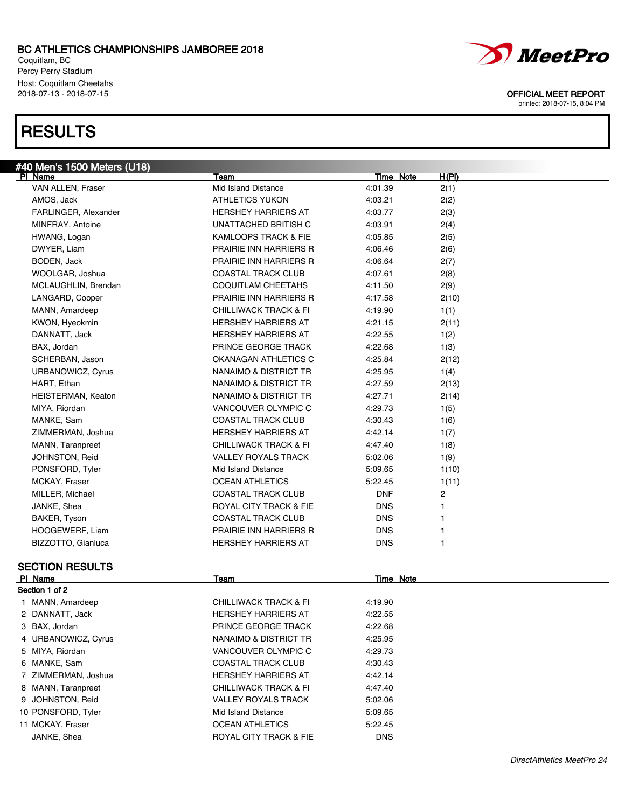Coquitlam, BC Percy Perry Stadium Host: Coquitlam Cheetahs<br>2018-07-13 - 2018-07-15

## **RESULTS**



OFFICIAL MEET REPORT

| <u>#40 Men's 150</u> 0 Meters (U18) |                                  |                  |       |
|-------------------------------------|----------------------------------|------------------|-------|
| PI Name                             | Team                             | Time Note        | H(PI) |
| VAN ALLEN, Fraser                   | Mid Island Distance              | 4:01.39          | 2(1)  |
| AMOS, Jack                          | <b>ATHLETICS YUKON</b>           | 4:03.21          | 2(2)  |
| FARLINGER, Alexander                | <b>HERSHEY HARRIERS AT</b>       | 4:03.77          | 2(3)  |
| MINFRAY, Antoine                    | UNATTACHED BRITISH C             | 4:03.91          | 2(4)  |
| HWANG, Logan                        | KAMLOOPS TRACK & FIE             | 4:05.85          | 2(5)  |
| DWYER, Liam                         | <b>PRAIRIE INN HARRIERS R</b>    | 4:06.46          | 2(6)  |
| BODEN, Jack                         | PRAIRIE INN HARRIERS R           | 4:06.64          | 2(7)  |
| WOOLGAR, Joshua                     | <b>COASTAL TRACK CLUB</b>        | 4:07.61          | 2(8)  |
| MCLAUGHLIN, Brendan                 | COQUITLAM CHEETAHS               | 4:11.50          | 2(9)  |
| LANGARD, Cooper                     | <b>PRAIRIE INN HARRIERS R</b>    | 4:17.58          | 2(10) |
| MANN, Amardeep                      | <b>CHILLIWACK TRACK &amp; FI</b> | 4:19.90          | 1(1)  |
| KWON, Hyeokmin                      | <b>HERSHEY HARRIERS AT</b>       | 4:21.15          | 2(11) |
| DANNATT, Jack                       | <b>HERSHEY HARRIERS AT</b>       | 4:22.55          | 1(2)  |
| BAX, Jordan                         | PRINCE GEORGE TRACK              | 4:22.68          | 1(3)  |
| SCHERBAN, Jason                     | OKANAGAN ATHLETICS C             | 4:25.84          | 2(12) |
| URBANOWICZ, Cyrus                   | NANAIMO & DISTRICT TR            | 4:25.95          | 1(4)  |
| HART, Ethan                         | NANAIMO & DISTRICT TR            | 4:27.59          | 2(13) |
| <b>HEISTERMAN, Keaton</b>           | NANAIMO & DISTRICT TR            | 4:27.71          | 2(14) |
| MIYA, Riordan                       | VANCOUVER OLYMPIC C              | 4:29.73          | 1(5)  |
| MANKE, Sam                          | <b>COASTAL TRACK CLUB</b>        | 4:30.43          | 1(6)  |
| ZIMMERMAN, Joshua                   | <b>HERSHEY HARRIERS AT</b>       | 4:42.14          | 1(7)  |
| MANN, Taranpreet                    | <b>CHILLIWACK TRACK &amp; FI</b> | 4:47.40          | 1(8)  |
| JOHNSTON, Reid                      | <b>VALLEY ROYALS TRACK</b>       | 5:02.06          | 1(9)  |
| PONSFORD, Tyler                     | Mid Island Distance              | 5:09.65          | 1(10) |
| MCKAY, Fraser                       | <b>OCEAN ATHLETICS</b>           | 5:22.45          | 1(11) |
| MILLER, Michael                     | <b>COASTAL TRACK CLUB</b>        | <b>DNF</b>       | 2     |
| JANKE, Shea                         | ROYAL CITY TRACK & FIE           | <b>DNS</b>       | 1     |
| BAKER, Tyson                        | <b>COASTAL TRACK CLUB</b>        | <b>DNS</b>       | 1     |
| HOOGEWERF, Liam                     | <b>PRAIRIE INN HARRIERS R</b>    | <b>DNS</b>       | 1     |
| BIZZOTTO, Gianluca                  | <b>HERSHEY HARRIERS AT</b>       | <b>DNS</b>       | 1     |
| <b>SECTION RESULTS</b>              |                                  |                  |       |
| PI Name                             | <u>Team</u>                      | <b>Time Note</b> |       |
| Section 1 of 2                      |                                  |                  |       |
| 1 MANN, Amardeep                    | <b>CHILLIWACK TRACK &amp; FI</b> | 4:19.90          |       |
| 2 DANNATT, Jack                     | <b>HERSHEY HARRIERS AT</b>       | 4:22.55          |       |
| 3 BAX, Jordan                       | PRINCE GEORGE TRACK              | 4:22.68          |       |
| 4 URBANOWICZ, Cyrus                 | NANAIMO & DISTRICT TR            | 4:25.95          |       |
| 5 MIYA, Riordan                     | VANCOUVER OLYMPIC C              | 4:29.73          |       |
| 6 MANKE, Sam                        | <b>COASTAL TRACK CLUB</b>        | 4:30.43          |       |
| ZIMMERMAN, Joshua<br>7              | HERSHEY HARRIERS AT              | 4:42.14          |       |
| 8 MANN, Taranpreet                  | CHILLIWACK TRACK & FI            | 4:47.40          |       |
| JOHNSTON, Reid<br>9                 | <b>VALLEY ROYALS TRACK</b>       | 5:02.06          |       |
| 10 PONSFORD, Tyler                  | Mid Island Distance              | 5:09.65          |       |
| 11 MCKAY, Fraser                    | <b>OCEAN ATHLETICS</b>           | 5:22.45          |       |
| JANKE, Shea                         | ROYAL CITY TRACK & FIE           | <b>DNS</b>       |       |
|                                     |                                  |                  |       |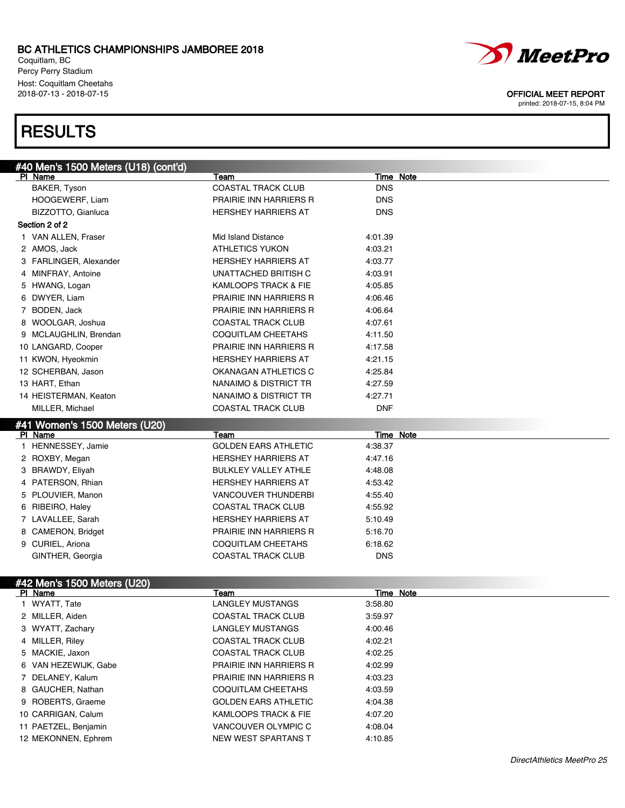Coquitlam, BC Percy Perry Stadium Host: Coquitlam Cheetahs<br>2018-07-13 - 2018-07-15

## **RESULTS**



### OFFICIAL MEET REPORT

|   | #40 Men's 1500 Meters (U18) (cont'd) |                               |                  |
|---|--------------------------------------|-------------------------------|------------------|
|   | PI Name                              | Team                          | Time Note        |
|   | BAKER, Tyson                         | <b>COASTAL TRACK CLUB</b>     | <b>DNS</b>       |
|   | HOOGEWERF, Liam                      | PRAIRIE INN HARRIERS R        | <b>DNS</b>       |
|   | BIZZOTTO, Gianluca                   | <b>HERSHEY HARRIERS AT</b>    | <b>DNS</b>       |
|   | Section 2 of 2                       |                               |                  |
|   | 1 VAN ALLEN, Fraser                  | Mid Island Distance           | 4:01.39          |
|   | 2 AMOS, Jack                         | <b>ATHLETICS YUKON</b>        | 4:03.21          |
|   | 3 FARLINGER, Alexander               | <b>HERSHEY HARRIERS AT</b>    | 4:03.77          |
|   | 4 MINFRAY, Antoine                   | UNATTACHED BRITISH C          | 4:03.91          |
|   | 5 HWANG, Logan                       | KAMLOOPS TRACK & FIE          | 4:05.85          |
|   | 6 DWYER, Liam                        | PRAIRIE INN HARRIERS R        | 4:06.46          |
| 7 | BODEN, Jack                          | PRAIRIE INN HARRIERS R        | 4:06.64          |
|   | 8 WOOLGAR, Joshua                    | <b>COASTAL TRACK CLUB</b>     | 4:07.61          |
|   | 9 MCLAUGHLIN, Brendan                | COQUITLAM CHEETAHS            | 4:11.50          |
|   | 10 LANGARD, Cooper                   | PRAIRIE INN HARRIERS R        | 4:17.58          |
|   | 11 KWON, Hyeokmin                    | <b>HERSHEY HARRIERS AT</b>    | 4:21.15          |
|   | 12 SCHERBAN, Jason                   | OKANAGAN ATHLETICS C          | 4:25.84          |
|   | 13 HART, Ethan                       | NANAIMO & DISTRICT TR         | 4:27.59          |
|   | 14 HEISTERMAN, Keaton                | NANAIMO & DISTRICT TR         | 4:27.71          |
|   | MILLER, Michael                      | <b>COASTAL TRACK CLUB</b>     | <b>DNF</b>       |
|   | #41 Women's 1500 Meters (U20)        |                               |                  |
|   | PI Name                              | Team                          | <b>Time Note</b> |
|   | 1 HENNESSEY, Jamie                   | <b>GOLDEN EARS ATHLETIC</b>   | 4:38.37          |
|   | 2 ROXBY, Megan                       | <b>HERSHEY HARRIERS AT</b>    | 4:47.16          |
|   | 3 BRAWDY, Eliyah                     | <b>BULKLEY VALLEY ATHLE</b>   | 4:48.08          |
|   | 4 PATERSON, Rhian                    | HERSHEY HARRIERS AT           | 4:53.42          |
|   | 5 PLOUVIER, Manon                    | <b>VANCOUVER THUNDERBI</b>    | 4:55.40          |
|   | 6 RIBEIRO, Haley                     | <b>COASTAL TRACK CLUB</b>     | 4:55.92          |
|   | 7 LAVALLEE, Sarah                    | HERSHEY HARRIERS AT           | 5:10.49          |
|   | 8 CAMERON, Bridget                   | <b>PRAIRIE INN HARRIERS R</b> | 5:16.70          |
|   | 9 CURIEL, Ariona                     | COQUITLAM CHEETAHS            | 6:18.62          |
|   | GINTHER, Georgia                     | <b>COASTAL TRACK CLUB</b>     | <b>DNS</b>       |
|   |                                      |                               |                  |
|   | #42 Men's 1500 Meters (U20)          |                               |                  |
|   | PI Name                              | Team                          | Time Note        |
|   | 1 WYATT, Tate                        | <b>LANGLEY MUSTANGS</b>       | 3:58.80          |
|   | 2 MILLER, Aiden                      | <b>COASTAL TRACK CLUB</b>     | 3:59.97          |
|   | 3 WYATT, Zachary                     | <b>LANGLEY MUSTANGS</b>       | 4:00.46          |
|   | 4 MILLER, Riley                      | <b>COASTAL TRACK CLUB</b>     | 4:02.21          |
|   | 5 MACKIE, Jaxon                      | COASTAL TRACK CLUB            | 4:02.25          |
|   | 6 VAN HEZEWIJK, Gabe                 | PRAIRIE INN HARRIERS R        | 4:02.99          |
|   | 7 DELANEY, Kalum                     | PRAIRIE INN HARRIERS R        | 4:03.23          |
|   | 8 GAUCHER, Nathan                    | COQUITLAM CHEETAHS            | 4:03.59          |
|   | 9 ROBERTS, Graeme                    | <b>GOLDEN EARS ATHLETIC</b>   | 4:04.38          |
|   | 10 CARRIGAN, Calum                   | KAMLOOPS TRACK & FIE          | 4:07.20          |
|   | 11 PAETZEL, Benjamin                 | VANCOUVER OLYMPIC C           | 4:08.04          |
|   | 12 MEKONNEN, Ephrem                  | NEW WEST SPARTANS T           | 4:10.85          |
|   |                                      |                               |                  |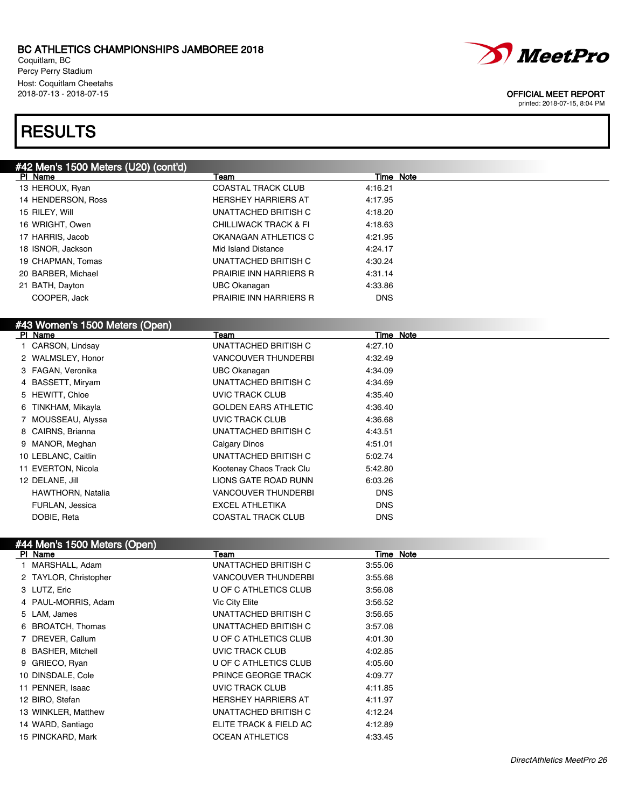Coquitlam, BC Percy Perry Stadium Host: Coquitlam Cheetahs<br>2018-07-13 - 2018-07-15

# **RESULTS**

| #42 Men's 1500 Meters (U20) (cont'd) |                                  |                  |  |
|--------------------------------------|----------------------------------|------------------|--|
| PI Name                              | Team                             | <b>Time Note</b> |  |
| 13 HEROUX, Ryan                      | <b>COASTAL TRACK CLUB</b>        | 4:16.21          |  |
| 14 HENDERSON, Ross                   | <b>HERSHEY HARRIERS AT</b>       | 4:17.95          |  |
| 15 RILEY, Will                       | UNATTACHED BRITISH C             | 4:18.20          |  |
| 16 WRIGHT, Owen                      | <b>CHILLIWACK TRACK &amp; FI</b> | 4:18.63          |  |
| 17 HARRIS, Jacob                     | OKANAGAN ATHLETICS C             | 4:21.95          |  |
| 18 ISNOR, Jackson                    | Mid Island Distance              | 4:24.17          |  |
| 19 CHAPMAN, Tomas                    | <b>UNATTACHED BRITISH C</b>      | 4:30.24          |  |
| 20 BARBER, Michael                   | <b>PRAIRIE INN HARRIERS R</b>    | 4:31.14          |  |
| 21 BATH, Dayton                      | <b>UBC Okanagan</b>              | 4:33.86          |  |
| COOPER, Jack                         | PRAIRIE INN HARRIERS R           | <b>DNS</b>       |  |
|                                      |                                  |                  |  |
| #43 Women's 1500 Meters (Open)       |                                  |                  |  |
| PI_Name                              | Team                             | Time Note        |  |
| 1 CARSON, Lindsay                    | UNATTACHED BRITISH C             | 4:27.10          |  |
| 2 WALMSLEY, Honor                    | <b>VANCOUVER THUNDERBI</b>       | 4:32.49          |  |
| 3 FAGAN, Veronika                    | <b>UBC Okanagan</b>              | 4:34.09          |  |
| 4 BASSETT, Miryam                    | UNATTACHED BRITISH C             | 4:34.69          |  |
| 5 HEWITT, Chloe                      | <b>UVIC TRACK CLUB</b>           | 4:35.40          |  |
| 6 TINKHAM, Mikayla                   | <b>GOLDEN EARS ATHLETIC</b>      | 4:36.40          |  |
| 7 MOUSSEAU, Alyssa                   | <b>UVIC TRACK CLUB</b>           | 4:36.68          |  |
| 8 CAIRNS, Brianna                    | <b>UNATTACHED BRITISH C</b>      | 4:43.51          |  |
| 9 MANOR, Meghan                      | <b>Calgary Dinos</b>             | 4:51.01          |  |
| 10 LEBLANC, Caitlin                  | UNATTACHED BRITISH C             | 5:02.74          |  |
| 11 EVERTON, Nicola                   | Kootenay Chaos Track Clu         | 5:42.80          |  |
| 12 DELANE, Jill                      | LIONS GATE ROAD RUNN             | 6:03.26          |  |
|                                      | <b>VANCOUVER THUNDERBI</b>       | <b>DNS</b>       |  |
| HAWTHORN, Natalia                    |                                  |                  |  |
| FURLAN, Jessica                      | <b>EXCEL ATHLETIKA</b>           | <b>DNS</b>       |  |

### #44 Men's 1500 Meters (Open)

| PI Name               | Team                       | Time Note |  |
|-----------------------|----------------------------|-----------|--|
| 1 MARSHALL, Adam      | UNATTACHED BRITISH C       | 3:55.06   |  |
| 2 TAYLOR, Christopher | <b>VANCOUVER THUNDERBI</b> | 3:55.68   |  |
| 3 LUTZ, Eric          | U OF C ATHLETICS CLUB      | 3:56.08   |  |
| 4 PAUL-MORRIS, Adam   | Vic City Elite             | 3:56.52   |  |
| 5 LAM, James          | UNATTACHED BRITISH C       | 3:56.65   |  |
| 6 BROATCH, Thomas     | UNATTACHED BRITISH C       | 3:57.08   |  |
| 7 DREVER, Callum      | U OF C ATHLETICS CLUB      | 4:01.30   |  |
| 8 BASHER, Mitchell    | UVIC TRACK CLUB            | 4:02.85   |  |
| 9 GRIECO, Ryan        | U OF C ATHLETICS CLUB      | 4:05.60   |  |
| 10 DINSDALE, Cole     | <b>PRINCE GEORGE TRACK</b> | 4:09.77   |  |
| 11 PENNER, Isaac      | UVIC TRACK CLUB            | 4:11.85   |  |
| 12 BIRO, Stefan       | <b>HERSHEY HARRIERS AT</b> | 4:11.97   |  |
| 13 WINKLER, Matthew   | UNATTACHED BRITISH C       | 4:12.24   |  |
| 14 WARD, Santiago     | ELITE TRACK & FIELD AC     | 4:12.89   |  |
| 15 PINCKARD, Mark     | <b>OCEAN ATHLETICS</b>     | 4:33.45   |  |

DirectAthletics MeetPro 26



### OFFICIAL MEET REPORT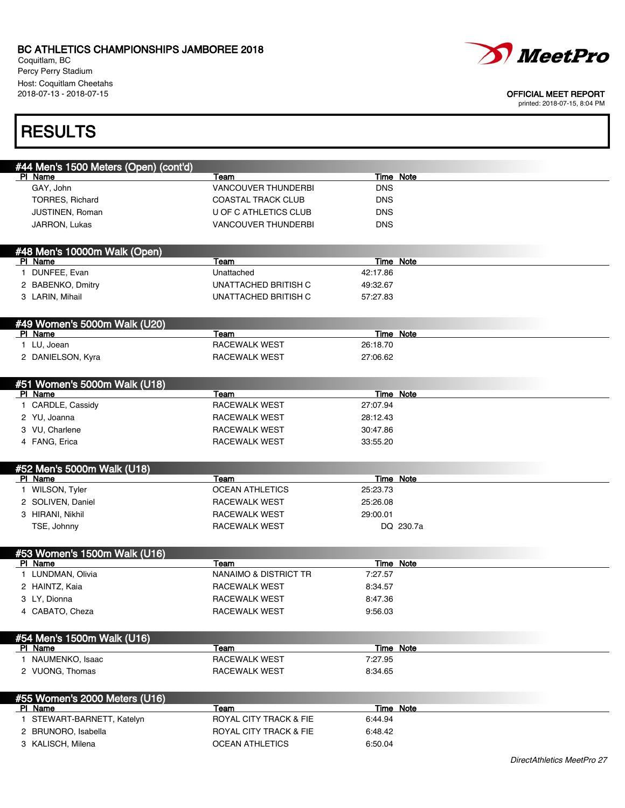Coquitlam, BC Percy Perry Stadium Host: Coquitlam Cheetahs<br>2018-07-13 - 2018-07-15



#### OFFICIAL MEET REPORT

printed: 2018-07-15, 8:04 PM

# **RESULTS**

| #44 Men's 1500 Meters (Open) (cont'd)    |                                   |                  |                  |
|------------------------------------------|-----------------------------------|------------------|------------------|
| PI Name                                  | Team                              |                  | Time Note        |
| GAY, John                                | <b>VANCOUVER THUNDERBI</b>        | <b>DNS</b>       |                  |
| <b>TORRES, Richard</b>                   | <b>COASTAL TRACK CLUB</b>         | <b>DNS</b>       |                  |
| JUSTINEN, Roman                          | U OF C ATHLETICS CLUB             | <b>DNS</b>       |                  |
| JARRON, Lukas                            | <b>VANCOUVER THUNDERBI</b>        | <b>DNS</b>       |                  |
|                                          |                                   |                  |                  |
| #48 Men's 10000m Walk (Open)<br>PI Name  | <b>Team</b>                       | <b>Time Note</b> |                  |
| 1 DUNFEE, Evan                           | Unattached                        | 42:17.86         |                  |
| 2 BABENKO, Dmitry                        | UNATTACHED BRITISH C              | 49:32.67         |                  |
|                                          | UNATTACHED BRITISH C              |                  |                  |
| 3 LARIN, Mihail                          |                                   | 57:27.83         |                  |
| #49 Women's 5000m Walk (U20)             |                                   |                  |                  |
| PI Name                                  | Team                              | <b>Time Note</b> |                  |
| 1 LU, Joean                              | RACEWALK WEST                     | 26:18.70         |                  |
| 2 DANIELSON, Kyra                        | RACEWALK WEST                     | 27:06.62         |                  |
|                                          |                                   |                  |                  |
| #51 Women's 5000m Walk (U18)<br>PI Name  | <b>Team</b>                       | Time Note        |                  |
| 1 CARDLE, Cassidy                        | <b>RACEWALK WEST</b>              | 27:07.94         |                  |
| 2 YU, Joanna                             | <b>RACEWALK WEST</b>              | 28:12.43         |                  |
|                                          |                                   |                  |                  |
| 3 VU, Charlene                           | RACEWALK WEST                     | 30:47.86         |                  |
| 4 FANG, Erica                            | RACEWALK WEST                     | 33:55.20         |                  |
| #52 Men's 5000m Walk (U18)               |                                   |                  |                  |
| PI Name                                  | Team                              | <b>Time Note</b> |                  |
| 1 WILSON, Tyler                          | <b>OCEAN ATHLETICS</b>            | 25:23.73         |                  |
|                                          |                                   |                  |                  |
| 2 SOLIVEN, Daniel                        | RACEWALK WEST                     | 25:26.08         |                  |
| 3 HIRANI, Nikhil                         | RACEWALK WEST                     | 29:00.01         |                  |
| TSE, Johnny                              | RACEWALK WEST                     |                  | DQ 230.7a        |
|                                          |                                   |                  |                  |
| #53 Women's 1500m Walk (U16)<br>PI Name  | Team                              |                  | Time Note        |
| 1 LUNDMAN, Olivia                        | NANAIMO & DISTRICT TR             | 7:27.57          |                  |
| 2 HAINTZ, Kaia                           | RACEWALK WEST                     | 8:34.57          |                  |
|                                          | RACEWALK WEST                     | 8:47.36          |                  |
| 3 LY, Dionna<br>4 CABATO, Cheza          | RACEWALK WEST                     | 9:56.03          |                  |
|                                          |                                   |                  |                  |
| #54 Men's 1500m Walk (U16)               |                                   |                  |                  |
| PI Name                                  | Team                              |                  | Time Note        |
| 1 NAUMENKO, Isaac                        | <b>RACEWALK WEST</b>              | 7:27.95          |                  |
| 2 VUONG, Thomas                          | <b>RACEWALK WEST</b>              | 8:34.65          |                  |
|                                          |                                   |                  |                  |
| #55 Women's 2000 Meters (U16)<br>PI Name | Team                              |                  | <b>Time Note</b> |
| 1 STEWART-BARNETT, Katelyn               | <b>ROYAL CITY TRACK &amp; FIE</b> | 6:44.94          |                  |
| 2 BRUNORO, Isabella                      | <b>ROYAL CITY TRACK &amp; FIE</b> | 6:48.42          |                  |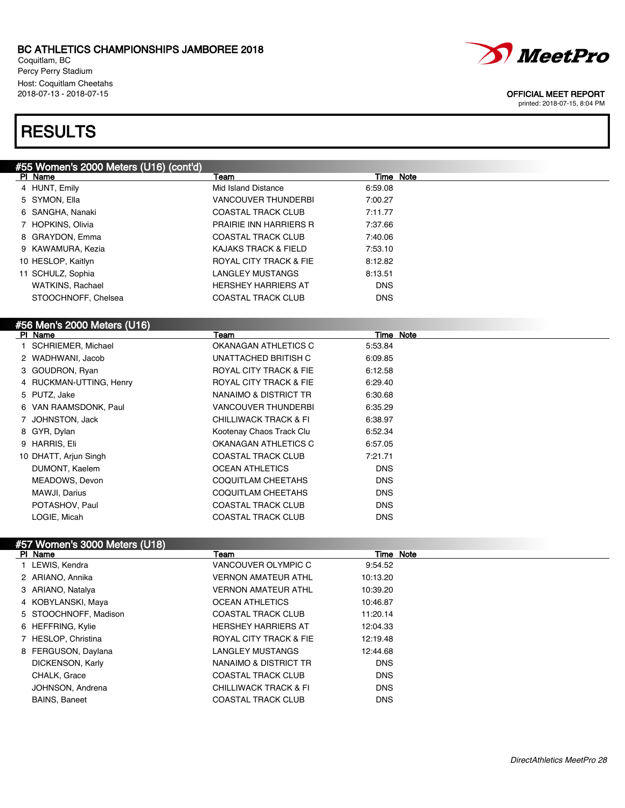Coquitlam, BC Percy Perry Stadium Host: Coquitlam Cheetahs<br>2018-07-13 - 2018-07-15

## **RESULTS**

| #55 Women's 2000 Meters (U16) (cont'd)<br>PI Name |                                   |                  |
|---------------------------------------------------|-----------------------------------|------------------|
|                                                   | Team                              | Time Note        |
| 4 HUNT, Emily                                     | <b>Mid Island Distance</b>        | 6:59.08          |
| 5 SYMON, Ella                                     | <b>VANCOUVER THUNDERBI</b>        | 7:00.27          |
| 6 SANGHA, Nanaki                                  | <b>COASTAL TRACK CLUB</b>         | 7:11.77          |
| 7 HOPKINS, Olivia                                 | <b>PRAIRIE INN HARRIERS R</b>     | 7:37.66          |
| 8 GRAYDON, Emma                                   | <b>COASTAL TRACK CLUB</b>         | 7:40.06          |
| 9 KAWAMURA, Kezia                                 | <b>KAJAKS TRACK &amp; FIELD</b>   | 7:53.10          |
| 10 HESLOP, Kaitlyn                                | <b>ROYAL CITY TRACK &amp; FIE</b> | 8:12.82          |
| 11 SCHULZ, Sophia                                 | <b>LANGLEY MUSTANGS</b>           | 8:13.51          |
| <b>WATKINS, Rachael</b>                           | <b>HERSHEY HARRIERS AT</b>        | <b>DNS</b>       |
| STOOCHNOFF, Chelsea                               | <b>COASTAL TRACK CLUB</b>         | <b>DNS</b>       |
|                                                   |                                   |                  |
|                                                   |                                   |                  |
| PI Name                                           | Team                              | <b>Time Note</b> |
| 1 SCHRIEMER, Michael                              | OKANAGAN ATHLETICS C              | 5:53.84          |
| 2 WADHWANI, Jacob                                 | UNATTACHED BRITISH C              | 6:09.85          |
| 3 GOUDRON, Ryan                                   | ROYAL CITY TRACK & FIE            | 6:12.58          |
| 4 RUCKMAN-UTTING, Henry                           | <b>ROYAL CITY TRACK &amp; FIE</b> | 6:29.40          |
| 5 PUTZ, Jake                                      | NANAIMO & DISTRICT TR             | 6:30.68          |
| 6 VAN RAAMSDONK, Paul                             | <b>VANCOUVER THUNDERBI</b>        | 6:35.29          |
| 7 JOHNSTON, Jack                                  | <b>CHILLIWACK TRACK &amp; FI</b>  | 6:38.97          |
| 8 GYR, Dylan                                      | Kootenay Chaos Track Clu          | 6:52.34          |
| 9 HARRIS, Eli                                     | OKANAGAN ATHLETICS C              | 6:57.05          |
| 10 DHATT, Arjun Singh                             | <b>COASTAL TRACK CLUB</b>         | 7:21.71          |
| DUMONT, Kaelem                                    | <b>OCEAN ATHLETICS</b>            | <b>DNS</b>       |
| MEADOWS, Devon                                    | <b>COQUITLAM CHEETAHS</b>         | <b>DNS</b>       |
| MAWJI, Darius                                     | <b>COQUITLAM CHEETAHS</b>         | <b>DNS</b>       |
| POTASHOV, Paul                                    | <b>COASTAL TRACK CLUB</b>         | <b>DNS</b>       |
| LOGIE, Micah                                      | <b>COASTAL TRACK CLUB</b>         | <b>DNS</b>       |
|                                                   | #56 Men's 2000 Meters (U16)       |                  |

## #57 Women's 3000 Meters (U18)

| PI Name               | Team                              |            | Time Note |
|-----------------------|-----------------------------------|------------|-----------|
| 1 LEWIS, Kendra       | VANCOUVER OLYMPIC C               | 9:54.52    |           |
| 2 ARIANO, Annika      | <b>VERNON AMATEUR ATHL</b>        | 10:13.20   |           |
| 3 ARIANO, Natalya     | <b>VERNON AMATEUR ATHL</b>        | 10:39.20   |           |
| 4 KOBYLANSKI, Maya    | <b>OCEAN ATHLETICS</b>            | 10:46.87   |           |
| 5 STOOCHNOFF, Madison | <b>COASTAL TRACK CLUB</b>         | 11:20.14   |           |
| 6 HEFFRING, Kylie     | <b>HERSHEY HARRIERS AT</b>        | 12:04.33   |           |
| 7 HESLOP, Christina   | <b>ROYAL CITY TRACK &amp; FIE</b> | 12:19.48   |           |
| 8 FERGUSON, Daylana   | <b>LANGLEY MUSTANGS</b>           | 12:44.68   |           |
| DICKENSON, Karly      | NANAIMO & DISTRICT TR             | <b>DNS</b> |           |
| CHALK, Grace          | <b>COASTAL TRACK CLUB</b>         | <b>DNS</b> |           |
| JOHNSON, Andrena      | <b>CHILLIWACK TRACK &amp; FI</b>  | <b>DNS</b> |           |
| <b>BAINS, Baneet</b>  | <b>COASTAL TRACK CLUB</b>         | <b>DNS</b> |           |
|                       |                                   |            |           |



### OFFICIAL MEET REPORT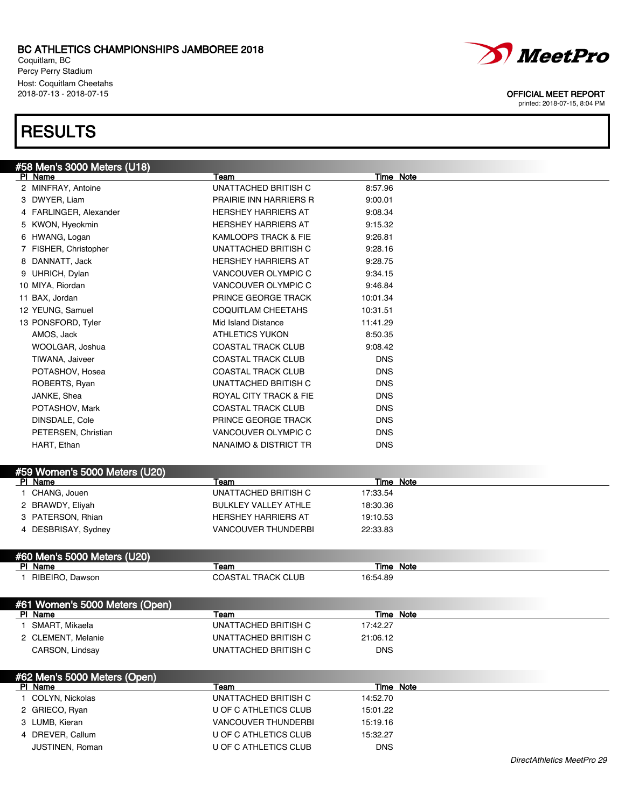Coquitlam, BC Percy Perry Stadium Host: Coquitlam Cheetahs

## **RESULTS**





### 2018-07-13 - 2018-07-15 OFFICIAL MEET REPORT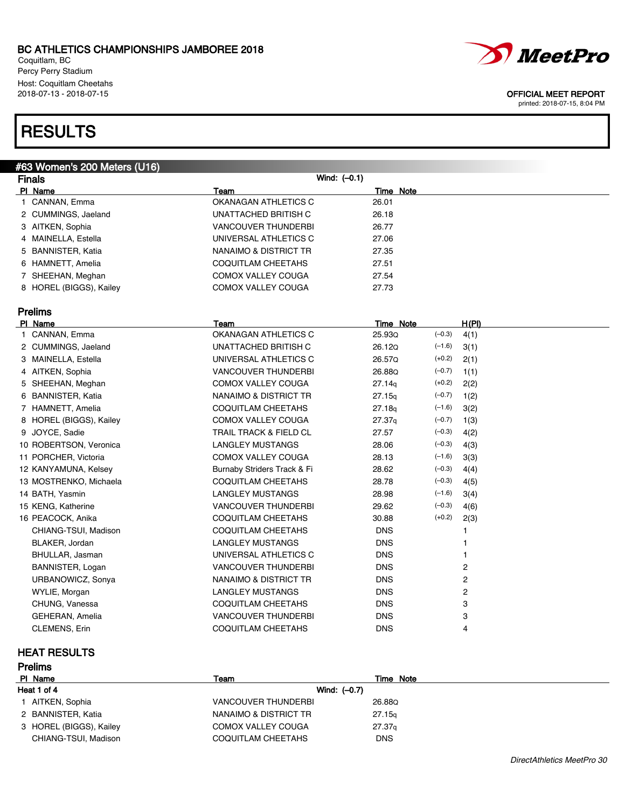Coquitlam, BC Percy Perry Stadium Host: Coquitlam Cheetahs<br>2018-07-13 - 2018-07-15

# **RESULTS**

| #63 Women's 200 Meters (U16) |                                   |                    |                |
|------------------------------|-----------------------------------|--------------------|----------------|
| Finals                       | Wind: $(-0.1)$                    |                    |                |
| PI Name                      | Team                              | <b>Time Note</b>   |                |
| 1 CANNAN, Emma               | OKANAGAN ATHLETICS C              | 26.01              |                |
| 2 CUMMINGS, Jaeland          | UNATTACHED BRITISH C              | 26.18              |                |
| 3 AITKEN, Sophia             | <b>VANCOUVER THUNDERBI</b>        | 26.77              |                |
| 4 MAINELLA, Estella          | UNIVERSAL ATHLETICS C             | 27.06              |                |
| 5 BANNISTER, Katia           | NANAIMO & DISTRICT TR             | 27.35              |                |
| 6 HAMNETT, Amelia            | COQUITLAM CHEETAHS                | 27.51              |                |
| 7 SHEEHAN, Meghan            | COMOX VALLEY COUGA                | 27.54              |                |
| 8 HOREL (BIGGS), Kailey      | <b>COMOX VALLEY COUGA</b>         | 27.73              |                |
| Prelims                      |                                   |                    |                |
| PI Name                      | Team                              | Time Note          | H(PI)          |
| 1 CANNAN, Emma               | OKANAGAN ATHLETICS C              | 25.93Q<br>$(-0.3)$ | 4(1)           |
| 2 CUMMINGS, Jaeland          | UNATTACHED BRITISH C              | 26.12Q<br>$(-1.6)$ | 3(1)           |
| 3 MAINELLA, Estella          | UNIVERSAL ATHLETICS C             | $(+0.2)$<br>26.57Q | 2(1)           |
| 4 AITKEN, Sophia             | <b>VANCOUVER THUNDERBI</b>        | $(-0.7)$<br>26.88Q | 1(1)           |
| 5 SHEEHAN, Meghan            | <b>COMOX VALLEY COUGA</b>         | $(+0.2)$<br>27.14q | 2(2)           |
| 6 BANNISTER, Katia           | NANAIMO & DISTRICT TR             | $(-0.7)$<br>27.15q | 1(2)           |
| 7 HAMNETT, Amelia            | COQUITLAM CHEETAHS                | $(-1.6)$<br>27.18q | 3(2)           |
| 8 HOREL (BIGGS), Kailey      | COMOX VALLEY COUGA                | $(-0.7)$<br>27.37q | 1(3)           |
| 9 JOYCE, Sadie               | <b>TRAIL TRACK &amp; FIELD CL</b> | $(-0.3)$<br>27.57  | 4(2)           |
| 10 ROBERTSON, Veronica       | <b>LANGLEY MUSTANGS</b>           | $(-0.3)$<br>28.06  | 4(3)           |
| 11 PORCHER, Victoria         | COMOX VALLEY COUGA                | $(-1.6)$<br>28.13  | 3(3)           |
| 12 KANYAMUNA, Kelsey         | Burnaby Striders Track & Fi       | $(-0.3)$<br>28.62  | 4(4)           |
| 13 MOSTRENKO, Michaela       | COQUITLAM CHEETAHS                | $(-0.3)$<br>28.78  | 4(5)           |
| 14 BATH, Yasmin              | <b>LANGLEY MUSTANGS</b>           | $(-1.6)$<br>28.98  | 3(4)           |
| 15 KENG, Katherine           | <b>VANCOUVER THUNDERBI</b>        | $(-0.3)$<br>29.62  | 4(6)           |
| 16 PEACOCK, Anika            | COQUITLAM CHEETAHS                | $(+0.2)$<br>30.88  | 2(3)           |
| CHIANG-TSUI, Madison         | COQUITLAM CHEETAHS                | <b>DNS</b>         | 1              |
| BLAKER, Jordan               | <b>LANGLEY MUSTANGS</b>           | <b>DNS</b>         | 1              |
| BHULLAR, Jasman              | UNIVERSAL ATHLETICS C             | <b>DNS</b>         | 1              |
| BANNISTER, Logan             | <b>VANCOUVER THUNDERBI</b>        | <b>DNS</b>         | 2              |
| URBANOWICZ, Sonya            | NANAIMO & DISTRICT TR             | <b>DNS</b>         | 2              |
| WYLIE, Morgan                | <b>LANGLEY MUSTANGS</b>           | <b>DNS</b>         | 2              |
| CHUNG, Vanessa               | COQUITLAM CHEETAHS                | <b>DNS</b>         | 3              |
| GEHERAN, Amelia              | <b>VANCOUVER THUNDERBI</b>        | <b>DNS</b>         | 3              |
| CLEMENS, Erin                | <b>COQUITLAM CHEETAHS</b>         | <b>DNS</b>         | $\overline{4}$ |

### HEAT RESULTS

| <b>Prelims</b> |                         |                            |                    |  |
|----------------|-------------------------|----------------------------|--------------------|--|
| PI Name        |                         | Team                       | Time Note          |  |
| Heat 1 of 4    |                         | Wind: $(-0.7)$             |                    |  |
|                | 1 AITKEN, Sophia        | <b>VANCOUVER THUNDERBI</b> | 26.88Q             |  |
|                | 2 BANNISTER, Katia      | NANAIMO & DISTRICT TR      | 27.15q             |  |
|                | 3 HOREL (BIGGS), Kailey | <b>COMOX VALLEY COUGA</b>  | 27.37 <sub>q</sub> |  |
|                | CHIANG-TSUI, Madison    | COQUITLAM CHEETAHS         | <b>DNS</b>         |  |



*MeetPro*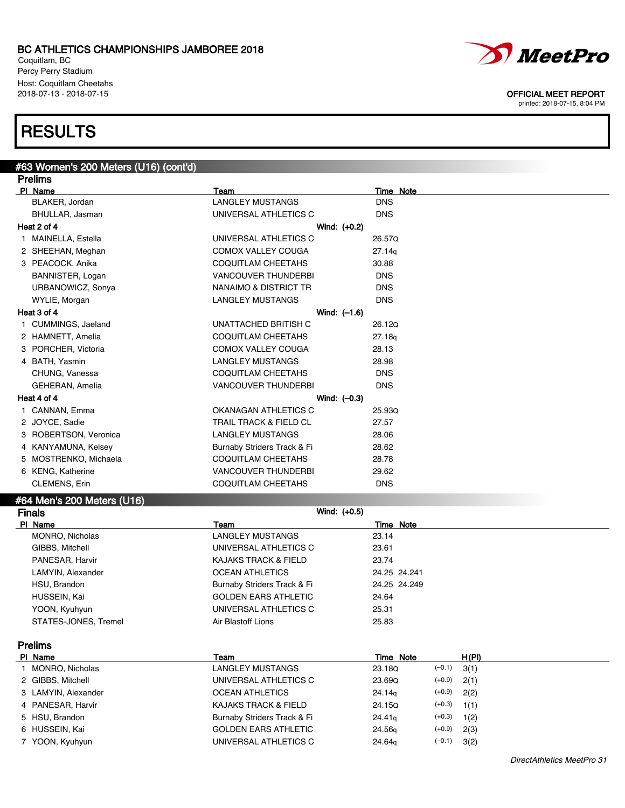Coquitlam, BC Percy Perry Stadium Host: Coquitlam Cheetahs



### 2018-07-13 - 2018-07-15 OFFICIAL MEET REPORT

printed: 2018-07-15, 8:04 PM

## **RESULTS**

### #63 Women's 200 Meters (U16) (cont'd) Prelims **Pl Name** Team Team Team Team Team Time Note BLAKER, Jordan **DISCOTE CONSTRUCTS OF A LANGLEY MUSTANGS** DISCONSING BHULLAR, Jasman UNIVERSAL ATHLETICS C DNS Heat 2 of 4 Wind: (+0.2) 1 MAINELLA, Estella UNIVERSAL ATHLETICS C 26.57Q 2 SHEEHAN, Meghan COMOX VALLEY COUGA 27.14q 3 PEACOCK, Anika COQUITLAM CHEETAHS 30.88 BANNISTER, Logan **DISCOUVER THUNDERBI** DNS URBANOWICZ, Sonya **NANAIMO & DISTRICT TR** DNS WYLIE, Morgan **DISCOTE:** MOSTANG LANGLEY MUSTANGS DISCONSING Heat 3 of 4 Wind: (–1.6) 1 CUMMINGS, Jaeland CUMMINGS, Jaeland UNATTACHED BRITISH C 2 HAMNETT, Amelia COQUITLAM CHEETAHS 27.18q 3 PORCHER, Victoria COMOX VALLEY COUGA 28.13 4 BATH, Yasmin LANGLEY MUSTANGS 28.98 CHUNG, Vanessa COQUITLAM CHEETAHS DNS GEHERAN, Amelia **VANCOUVER THUNDERBI** DNS Heat 4 of 4 Wind: (–0.3) 1 CANNAN, Emma CKANAGAN ATHLETICS C 25.93Q 2 JOYCE, Sadie **TRAIL TRACK & FIELD CL** 27.57 3 ROBERTSON, Veronica LANGLEY MUSTANGS 28.06 4 KANYAMUNA, Kelsey **Burnaby Striders Track & Fi** 28.62 5 MOSTRENKO, Michaela COQUITLAM CHEETAHS 28.78 6 KENG, Katherine VANCOUVER THUNDERBI 29.62 CLEMENS, Erin **DISCULLEMENT COQUITLAM CHEETAHS** #64 Men's 200 Meters (U16)

### Finals Wind: (+0.5) **Pl Name** Team Team Team Team Time Note MONRO, Nicholas **LANGLEY MUSTANGS** 23.14 GIBBS, Mitchell **CONINGITY CONSIDERS** UNIVERSAL ATHLETICS C 23.61 PANESAR, Harvir **Canadian Communist CALIC METAL CAULE 188**.74 LAMYIN, Alexander and COEAN ATHLETICS 24.25 24.241 HSU, Brandon Burnaby Striders Track & Fi 24.25 24.249 HUSSEIN, Kai GOLDEN EARS ATHLETIC 24.64 YOON, Kyuhyun UNIVERSAL ATHLETICS C 25.31 STATES-JONES, Tremel 25.83

Prelims

| PI Name             | Team                        | Time Note          |          | H(PI) |
|---------------------|-----------------------------|--------------------|----------|-------|
| MONRO, Nicholas     | LANGLEY MUSTANGS            | 23.18Q             | $(-0.1)$ | 3(1)  |
| 2 GIBBS, Mitchell   | UNIVERSAL ATHLETICS C       | 23.69Q             | $(+0.9)$ | 2(1)  |
| 3 LAMYIN, Alexander | <b>OCEAN ATHLETICS</b>      | 24.14 <sub>q</sub> | $(+0.9)$ | 2(2)  |
| 4 PANESAR, Harvir   | KAJAKS TRACK & FIELD        | 24.15Q             | $(+0.3)$ | 1(1)  |
| 5 HSU, Brandon      | Burnaby Striders Track & Fi | 24.41 <sub>q</sub> | $(+0.3)$ | 1(2)  |
| 6 HUSSEIN, Kai      | <b>GOLDEN EARS ATHLETIC</b> | 24.56 <sub>q</sub> | $(+0.9)$ | 2(3)  |
| 7 YOON, Kyuhyun     | UNIVERSAL ATHLETICS C       | 24.64g             | $(-0.1)$ | 3(2)  |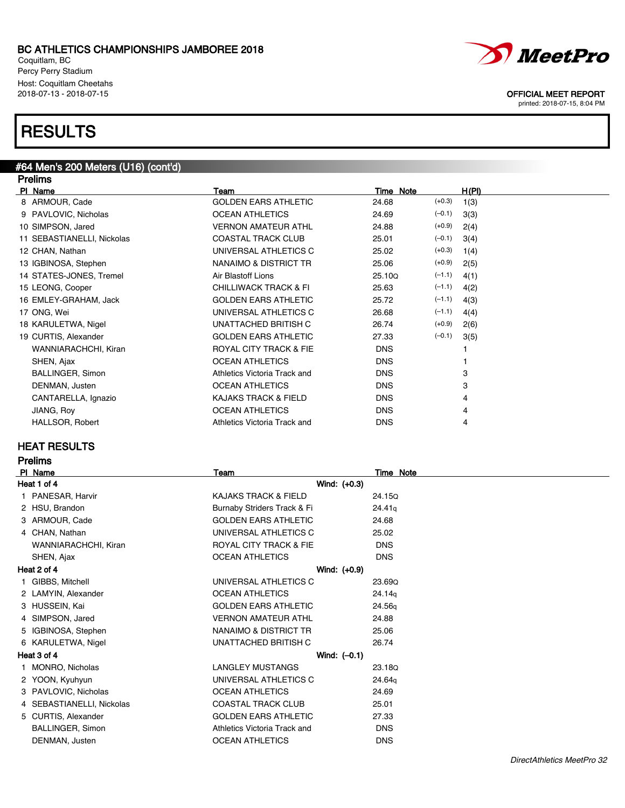Coquitlam, BC Percy Perry Stadium Host: Coquitlam Cheetahs<br>2018-07-13 - 2018-07-15

## **RESULTS**

### #64 Men's 200 Meters (U16) (cont'd) **Dralime**

| טוווסו ו                   |                                   |            |          |                |
|----------------------------|-----------------------------------|------------|----------|----------------|
| PI Name                    | Team                              | Time Note  |          | H(PI)          |
| 8 ARMOUR, Cade             | <b>GOLDEN EARS ATHLETIC</b>       | 24.68      | $(+0.3)$ | 1(3)           |
| 9 PAVLOVIC, Nicholas       | <b>OCEAN ATHLETICS</b>            | 24.69      | $(-0.1)$ | 3(3)           |
| 10 SIMPSON, Jared          | <b>VERNON AMATEUR ATHL</b>        | 24.88      | $(+0.9)$ | 2(4)           |
| 11 SEBASTIANELLI, Nickolas | <b>COASTAL TRACK CLUB</b>         | 25.01      | $(-0.1)$ | 3(4)           |
| 12 CHAN, Nathan            | UNIVERSAL ATHLETICS C             | 25.02      | $(+0.3)$ | 1(4)           |
| 13 IGBINOSA, Stephen       | NANAIMO & DISTRICT TR             | 25.06      | $(+0.9)$ | 2(5)           |
| 14 STATES-JONES, Tremel    | Air Blastoff Lions                | 25.10Q     | $(-1.1)$ | 4(1)           |
| 15 LEONG, Cooper           | <b>CHILLIWACK TRACK &amp; FI</b>  | 25.63      | $(-1.1)$ | 4(2)           |
| 16 EMLEY-GRAHAM, Jack      | <b>GOLDEN EARS ATHLETIC</b>       | 25.72      | $(-1.1)$ | 4(3)           |
| 17 ONG, Wei                | UNIVERSAL ATHLETICS C             | 26.68      | $(-1.1)$ | 4(4)           |
| 18 KARULETWA, Nigel        | UNATTACHED BRITISH C              | 26.74      | $(+0.9)$ | 2(6)           |
| 19 CURTIS, Alexander       | <b>GOLDEN EARS ATHLETIC</b>       | 27.33      | $(-0.1)$ | 3(5)           |
| WANNIARACHCHI, Kiran       | <b>ROYAL CITY TRACK &amp; FIE</b> | <b>DNS</b> |          |                |
| SHEN, Ajax                 | <b>OCEAN ATHLETICS</b>            | <b>DNS</b> |          |                |
| <b>BALLINGER, Simon</b>    | Athletics Victoria Track and      | <b>DNS</b> |          | 3              |
| DENMAN, Justen             | <b>OCEAN ATHLETICS</b>            | <b>DNS</b> |          | 3              |
| CANTARELLA, Ignazio        | KAJAKS TRACK & FIELD              | <b>DNS</b> |          | 4              |
| JIANG, Roy                 | <b>OCEAN ATHLETICS</b>            | <b>DNS</b> |          | $\overline{4}$ |
| HALLSOR, Robert            | Athletics Victoria Track and      | <b>DNS</b> |          | 4              |
|                            |                                   |            |          |                |

### HEAT RESULTS

| relıms |
|--------|
|        |

| <b>PI</b>   | Name                      | <b>Team</b>                     | Time Note  |
|-------------|---------------------------|---------------------------------|------------|
| Heat 1 of 4 |                           | Wind: (+0.3)                    |            |
|             | 1 PANESAR, Harvir         | <b>KAJAKS TRACK &amp; FIELD</b> | 24.15Q     |
|             | 2 HSU, Brandon            | Burnaby Striders Track & Fi     | 24.41q     |
|             | 3 ARMOUR, Cade            | <b>GOLDEN EARS ATHLETIC</b>     | 24.68      |
|             | 4 CHAN, Nathan            | UNIVERSAL ATHLETICS C           | 25.02      |
|             | WANNIARACHCHI, Kiran      | ROYAL CITY TRACK & FIE          | <b>DNS</b> |
|             | SHEN, Ajax                | <b>OCEAN ATHLETICS</b>          | <b>DNS</b> |
|             | Heat 2 of 4               | Wind: (+0.9)                    |            |
|             | GIBBS, Mitchell           | UNIVERSAL ATHLETICS C           | 23.69Q     |
|             | 2 LAMYIN, Alexander       | <b>OCEAN ATHLETICS</b>          | 24.14g     |
|             | 3 HUSSEIN, Kai            | <b>GOLDEN EARS ATHLETIC</b>     | 24.56g     |
|             | 4 SIMPSON, Jared          | <b>VERNON AMATEUR ATHL</b>      | 24.88      |
|             | 5 IGBINOSA, Stephen       | NANAIMO & DISTRICT TR           | 25.06      |
|             | 6 KARULETWA, Nigel        | UNATTACHED BRITISH C            | 26.74      |
|             | Heat 3 of 4               | Wind: $(-0.1)$                  |            |
|             | MONRO, Nicholas           | <b>LANGLEY MUSTANGS</b>         | 23.18Q     |
|             | 2 YOON, Kyuhyun           | UNIVERSAL ATHLETICS C           | 24.64g     |
|             | 3 PAVLOVIC, Nicholas      | <b>OCEAN ATHLETICS</b>          | 24.69      |
|             | 4 SEBASTIANELLI, Nickolas | <b>COASTAL TRACK CLUB</b>       | 25.01      |
|             | 5 CURTIS, Alexander       | <b>GOLDEN EARS ATHLETIC</b>     | 27.33      |
|             | <b>BALLINGER, Simon</b>   | Athletics Victoria Track and    | <b>DNS</b> |
|             | DENMAN, Justen            | <b>OCEAN ATHLETICS</b>          | <b>DNS</b> |



OFFICIAL MEET REPORT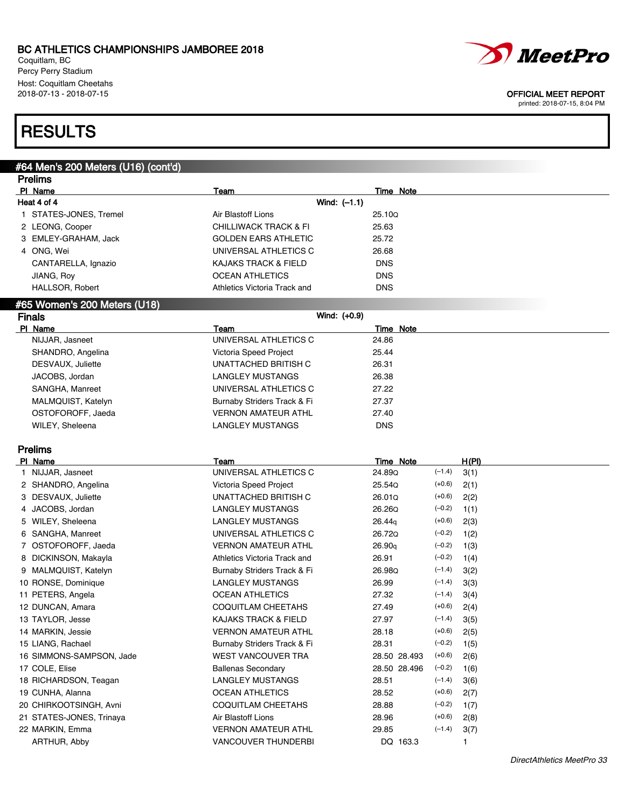Coquitlam, BC Percy Perry Stadium Host: Coquitlam Cheetahs<br>2018-07-13 - 2018-07-15



#### OFFICIAL MEET REPORT

printed: 2018-07-15, 8:04 PM

## **RESULTS**

## #64 Men's 200 Meters (U16) (cont'd)

| <b>Prelims</b>               |                                  |            |  |  |
|------------------------------|----------------------------------|------------|--|--|
| PI Name                      | Team                             | Time Note  |  |  |
| Heat 4 of 4                  | Wind: $(-1.1)$                   |            |  |  |
| STATES-JONES, Tremel         | Air Blastoff Lions               | 25.100     |  |  |
| 2 LEONG, Cooper              | <b>CHILLIWACK TRACK &amp; FI</b> | 25.63      |  |  |
| 3 EMLEY-GRAHAM, Jack         | <b>GOLDEN EARS ATHLETIC</b>      | 25.72      |  |  |
| 4 ONG, Wei                   | UNIVERSAL ATHLETICS C            | 26.68      |  |  |
| CANTARELLA, Ignazio          | <b>KAJAKS TRACK &amp; FIELD</b>  | <b>DNS</b> |  |  |
| JIANG, Roy                   | <b>OCEAN ATHLETICS</b>           | <b>DNS</b> |  |  |
| <b>HALLSOR, Robert</b>       | Athletics Victoria Track and     | <b>DNS</b> |  |  |
| #65 Women's 200 Meters (U18) |                                  |            |  |  |
| <b>Finals</b>                | Wind: (+0.9)                     |            |  |  |
| PI Name                      | Team                             | Time Note  |  |  |
| NIJJAR, Jasneet              | UNIVERSAL ATHLETICS C            | 24.86      |  |  |
| SHANDRO, Angelina            | Victoria Speed Project           | 25.44      |  |  |
| DESVAUX, Juliette            | UNATTACHED BRITISH C             | 26.31      |  |  |
| JACOBS, Jordan               | <b>LANGLEY MUSTANGS</b>          | 26.38      |  |  |
| SANGHA, Manreet              | UNIVERSAL ATHLETICS C            | 27.22      |  |  |
| MALMQUIST, Katelyn           | Burnaby Striders Track & Fi      | 27.37      |  |  |
| OSTOFOROFF, Jaeda            | <b>VERNON AMATEUR ATHL</b>       | 27.40      |  |  |
| WILEY, Sheleena              | <b>LANGLEY MUSTANGS</b>          | <b>DNS</b> |  |  |

### Prelims

| PI_Name                  | Team                            | Time Note    |          | H(PI) |
|--------------------------|---------------------------------|--------------|----------|-------|
| NIJJAR, Jasneet          | UNIVERSAL ATHLETICS C           | 24.89Q       | $(-1.4)$ | 3(1)  |
| 2 SHANDRO, Angelina      | Victoria Speed Project          | 25.54Q       | $(+0.6)$ | 2(1)  |
| 3 DESVAUX, Juliette      | UNATTACHED BRITISH C            | 26.01Q       | $(+0.6)$ | 2(2)  |
| 4 JACOBS, Jordan         | <b>LANGLEY MUSTANGS</b>         | 26.26Q       | $(-0.2)$ | 1(1)  |
| 5 WILEY, Sheleena        | LANGLEY MUSTANGS                | 26.44g       | $(+0.6)$ | 2(3)  |
| 6 SANGHA, Manreet        | UNIVERSAL ATHLETICS C           | 26.72Q       | $(-0.2)$ | 1(2)  |
| 7 OSTOFOROFF, Jaeda      | <b>VERNON AMATEUR ATHL</b>      | 26.90q       | $(-0.2)$ | 1(3)  |
| 8 DICKINSON, Makayla     | Athletics Victoria Track and    | 26.91        | $(-0.2)$ | 1(4)  |
| 9 MALMQUIST, Katelyn     | Burnaby Striders Track & Fi     | 26.98Q       | $(-1.4)$ | 3(2)  |
| 10 RONSE, Dominique      | <b>LANGLEY MUSTANGS</b>         | 26.99        | $(-1.4)$ | 3(3)  |
| 11 PETERS, Angela        | <b>OCEAN ATHLETICS</b>          | 27.32        | $(-1.4)$ | 3(4)  |
| 12 DUNCAN, Amara         | <b>COQUITLAM CHEETAHS</b>       | 27.49        | $(+0.6)$ | 2(4)  |
| 13 TAYLOR, Jesse         | <b>KAJAKS TRACK &amp; FIELD</b> | 27.97        | $(-1.4)$ | 3(5)  |
| 14 MARKIN, Jessie        | <b>VERNON AMATEUR ATHL</b>      | 28.18        | $(+0.6)$ | 2(5)  |
| 15 LIANG, Rachael        | Burnaby Striders Track & Fi     | 28.31        | $(-0.2)$ | 1(5)  |
| 16 SIMMONS-SAMPSON, Jade | WEST VANCOUVER TRA              | 28.50 28.493 | $(+0.6)$ | 2(6)  |
| 17 COLE, Elise           | <b>Ballenas Secondary</b>       | 28.50 28.496 | $(-0.2)$ | 1(6)  |
| 18 RICHARDSON, Teagan    | <b>LANGLEY MUSTANGS</b>         | 28.51        | $(-1.4)$ | 3(6)  |
| 19 CUNHA, Alanna         | <b>OCEAN ATHLETICS</b>          | 28.52        | $(+0.6)$ | 2(7)  |
| 20 CHIRKOOTSINGH, Avni   | <b>COQUITLAM CHEETAHS</b>       | 28.88        | $(-0.2)$ | 1(7)  |
| 21 STATES-JONES, Trinaya | Air Blastoff Lions              | 28.96        | $(+0.6)$ | 2(8)  |
| 22 MARKIN, Emma          | <b>VERNON AMATEUR ATHL</b>      | 29.85        | $(-1.4)$ | 3(7)  |
| ARTHUR, Abby             | <b>VANCOUVER THUNDERBI</b>      | DQ 163.3     |          | 1     |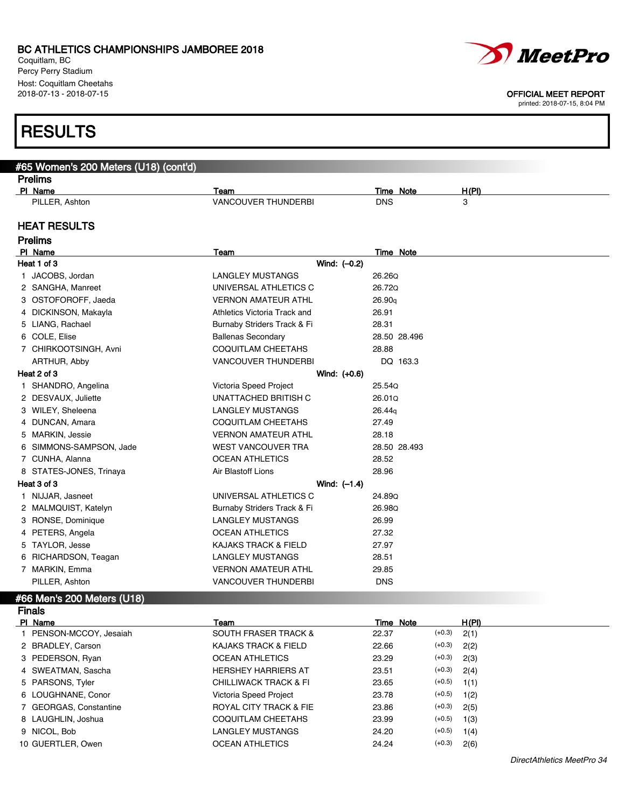Coquitlam, BC Percy Perry Stadium Host: Coquitlam Cheetahs 2018-07-13 - 2018-07-15 OFFICIAL MEET REPORT

## RESL

| <b>RESULTS</b>                        |                                 |                                              |
|---------------------------------------|---------------------------------|----------------------------------------------|
|                                       |                                 |                                              |
| #65 Women's 200 Meters (U18) (cont'd) |                                 |                                              |
| <b>Prelims</b>                        |                                 |                                              |
| PI Name<br>PILLER, Ashton             | Team<br>VANCOUVER THUNDERBI     | H(PI)<br><b>Time Note</b><br><b>DNS</b><br>3 |
|                                       |                                 |                                              |
| <b>HEAT RESULTS</b>                   |                                 |                                              |
| <b>Prelims</b>                        |                                 |                                              |
| PI Name                               | Team                            | <b>Time Note</b>                             |
| Heat 1 of 3                           | Wind: $(-0.2)$                  |                                              |
| 1 JACOBS, Jordan                      | <b>LANGLEY MUSTANGS</b>         | 26.26Q                                       |
| 2 SANGHA, Manreet                     | UNIVERSAL ATHLETICS C           | 26.72Q                                       |
| 3 OSTOFOROFF, Jaeda                   | <b>VERNON AMATEUR ATHL</b>      | 26.90q                                       |
| 4 DICKINSON, Makayla                  | Athletics Victoria Track and    | 26.91<br>28.31                               |
| 5 LIANG, Rachael                      | Burnaby Striders Track & Fi     | 28.50 28.496                                 |
| 6 COLE, Elise                         | <b>Ballenas Secondary</b>       |                                              |
| 7 CHIRKOOTSINGH, Avni                 | COQUITLAM CHEETAHS              | 28.88                                        |
| ARTHUR, Abby                          | <b>VANCOUVER THUNDERBI</b>      | DQ 163.3                                     |
| Heat 2 of 3                           | Wind: (+0.6)                    |                                              |
| 1 SHANDRO, Angelina                   | Victoria Speed Project          | 25.54Q                                       |
| 2 DESVAUX, Juliette                   | UNATTACHED BRITISH C            | 26.01Q                                       |
| 3 WILEY, Sheleena                     | <b>LANGLEY MUSTANGS</b>         | 26.44g                                       |
| 4 DUNCAN, Amara                       | COQUITLAM CHEETAHS              | 27.49                                        |
| 5 MARKIN, Jessie                      | <b>VERNON AMATEUR ATHL</b>      | 28.18                                        |
| 6 SIMMONS-SAMPSON, Jade               | WEST VANCOUVER TRA              | 28.50 28.493                                 |
| 7 CUNHA, Alanna                       | <b>OCEAN ATHLETICS</b>          | 28.52                                        |
| 8 STATES-JONES, Trinaya               | Air Blastoff Lions              | 28.96                                        |
| Heat 3 of 3                           | Wind: $(-1.4)$                  |                                              |
| 1 NIJJAR, Jasneet                     | UNIVERSAL ATHLETICS C           | 24.89Q                                       |
| 2 MALMQUIST, Katelyn                  | Burnaby Striders Track & Fi     | 26.98Q                                       |
| 3 RONSE, Dominique                    | <b>LANGLEY MUSTANGS</b>         | 26.99                                        |
| 4 PETERS, Angela                      | <b>OCEAN ATHLETICS</b>          | 27.32                                        |
| 5 TAYLOR, Jesse                       | <b>KAJAKS TRACK &amp; FIELD</b> | 27.97                                        |
| 6 RICHARDSON, Teagan                  | <b>LANGLEY MUSTANGS</b>         | 28.51                                        |
| 7 MARKIN, Emma                        | <b>VERNON AMATEUR ATHL</b>      | 29.85                                        |
| PILLER, Ashton                        | <b>VANCOUVER THUNDERBI</b>      | <b>DNS</b>                                   |
| #66 Men's 200 Meters (U18)            |                                 |                                              |
| <b>Finals</b>                         |                                 |                                              |
| PI Name                               | Team                            | <b>Time Note</b><br>H(PI)                    |
| 1 PENSON-MCCOY, Jesaiah               | <b>SOUTH FRASER TRACK &amp;</b> | $(+0.3)$<br>22.37<br>2(1)                    |

| <b>Finals</b>           |                                   |           |          |       |  |
|-------------------------|-----------------------------------|-----------|----------|-------|--|
| PI Name                 | Team                              | Time Note |          | H(PI) |  |
| 1 PENSON-MCCOY, Jesaiah | <b>SOUTH FRASER TRACK &amp;</b>   | 22.37     | $(+0.3)$ | 2(1)  |  |
| 2 BRADLEY, Carson       | KAJAKS TRACK & FIELD              | 22.66     | $(+0.3)$ | 2(2)  |  |
| 3 PEDERSON, Ryan        | <b>OCEAN ATHLETICS</b>            | 23.29     | $(+0.3)$ | 2(3)  |  |
| 4 SWEATMAN, Sascha      | <b>HERSHEY HARRIERS AT</b>        | 23.51     | $(+0.3)$ | 2(4)  |  |
| 5 PARSONS, Tyler        | CHILLIWACK TRACK & FI             | 23.65     | $(+0.5)$ | 1(1)  |  |
| 6 LOUGHNANE, Conor      | Victoria Speed Project            | 23.78     | $(+0.5)$ | 1(2)  |  |
| 7 GEORGAS, Constantine  | <b>ROYAL CITY TRACK &amp; FIE</b> | 23.86     | $(+0.3)$ | 2(5)  |  |
| 8 LAUGHLIN, Joshua      | COQUITLAM CHEETAHS                | 23.99     | $(+0.5)$ | 1(3)  |  |
| 9 NICOL. Bob            | LANGLEY MUSTANGS                  | 24.20     | $(+0.5)$ | 1(4)  |  |
| 10 GUERTLER, Owen       | <b>OCEAN ATHLETICS</b>            | 24.24     | $(+0.3)$ | 2(6)  |  |



DirectAthletics MeetPro 34

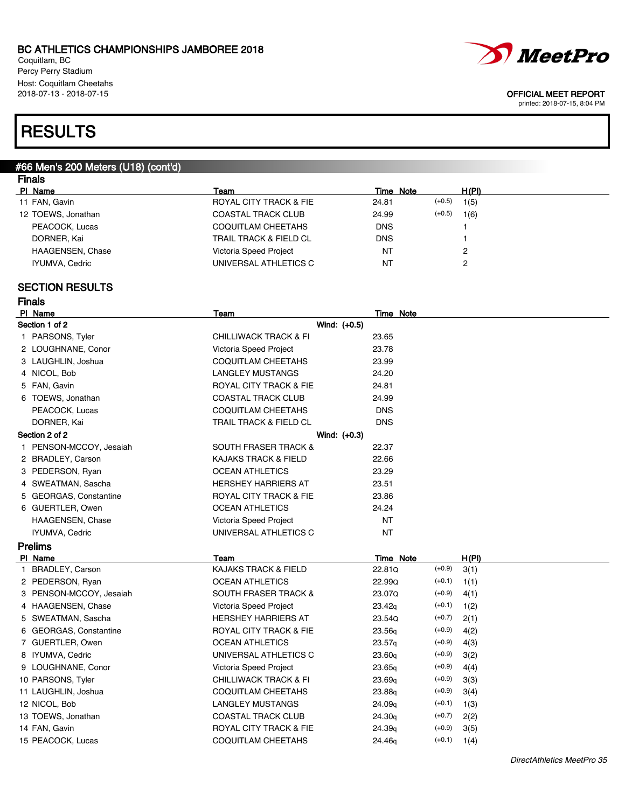Coquitlam, BC Percy Perry Stadium Host: Coquitlam Cheetahs

# *MeetPro*

2018-07-13 - 2018-07-15 OFFICIAL MEET REPORT

printed: 2018-07-15, 8:04 PM

## **RESULTS**

#### #66 Men's 200 Meters (U18) (cont'd) Finals

| סוסו ור            |                                   |                   |       |  |
|--------------------|-----------------------------------|-------------------|-------|--|
| PI Name            | Team                              | Time Note         | H(PI) |  |
| 11 FAN, Gavin      | ROYAL CITY TRACK & FIE            | $(+0.5)$<br>24.81 | 1(5)  |  |
| 12 TOEWS, Jonathan | <b>COASTAL TRACK CLUB</b>         | $(+0.5)$<br>24.99 | 1(6)  |  |
| PEACOCK, Lucas     | <b>COQUITLAM CHEETAHS</b>         | <b>DNS</b>        |       |  |
| DORNER, Kai        | <b>TRAIL TRACK &amp; FIELD CL</b> | <b>DNS</b>        |       |  |
| HAAGENSEN, Chase   | Victoria Speed Project            | N1                | 2     |  |
| IYUMVA, Cedric     | UNIVERSAL ATHLETICS C             | NT.               | っ     |  |
|                    |                                   |                   |       |  |

### SECTION RESULTS

Finals

| PI Name                 | Team                              | Time Note  |
|-------------------------|-----------------------------------|------------|
| Section 1 of 2          | Wind: (+0.5)                      |            |
| 1 PARSONS, Tyler        | <b>CHILLIWACK TRACK &amp; FI</b>  | 23.65      |
| 2 LOUGHNANE, Conor      | Victoria Speed Project            | 23.78      |
| 3 LAUGHLIN, Joshua      | <b>COQUITLAM CHEETAHS</b>         | 23.99      |
| 4 NICOL, Bob            | <b>LANGLEY MUSTANGS</b>           | 24.20      |
| 5 FAN, Gavin            | ROYAL CITY TRACK & FIE            | 24.81      |
| 6 TOEWS, Jonathan       | <b>COASTAL TRACK CLUB</b>         | 24.99      |
| PEACOCK, Lucas          | COQUITLAM CHEETAHS                | <b>DNS</b> |
| DORNER, Kai             | <b>TRAIL TRACK &amp; FIELD CL</b> | <b>DNS</b> |
| Section 2 of 2          | Wind: $(+0.3)$                    |            |
| 1 PENSON-MCCOY, Jesaiah | <b>SOUTH FRASER TRACK &amp;</b>   | 22.37      |
| 2 BRADLEY, Carson       | <b>KAJAKS TRACK &amp; FIELD</b>   | 22.66      |
| 3 PEDERSON, Ryan        | <b>OCEAN ATHLETICS</b>            | 23.29      |
| 4 SWEATMAN, Sascha      | <b>HERSHEY HARRIERS AT</b>        | 23.51      |
| 5 GEORGAS, Constantine  | ROYAL CITY TRACK & FIE            | 23.86      |
| 6 GUERTLER, Owen        | <b>OCEAN ATHLETICS</b>            | 24.24      |
| <b>HAAGENSEN, Chase</b> | Victoria Speed Project            | <b>NT</b>  |
| IYUMVA, Cedric          | UNIVERSAL ATHLETICS C             | <b>NT</b>  |
| <b>Prelims</b>          |                                   |            |

### Pl Name Team Time Note H(Pl) 1 BRADLEY, Carson **Carson Carson CALCACC ACCESS TRACK & FIELD** 22.81Q (+0.9) 3(1) 2 PEDERSON, Ryan OCEAN ATHLETICS 22.99Q (+0.1) 1(1) 3 PENSON-MCCOY, Jesaiah SOUTH FRASER TRACK & 23.07Q (+0.9) 4(1) 4 HAAGENSEN, Chase Victoria Speed Project 23.42q (+0.1) 1(2) 5 SWEATMAN, Sascha **HERSHEY HARRIERS AT** 23.54Q (+0.7) 2(1) 6 GEORGAS, Constantine ROYAL CITY TRACK & FIE 23.56q (+0.9) 4(2) 7 GUERTLER, Owen **OCEAN ATHLETICS** 23.57q (+0.9) 4(3) 8 IYUMVA, Cedric CHA CONSERVERSAL ATHLETICS C 23.60q (+0.9) 3(2) 9 LOUGHNANE, Conor Victoria Speed Project 23.65q (+0.9) 4(4) 10 PARSONS, Tyler CHILLIWACK TRACK & FI 23.69q (+0.9) 3(3) 11 LAUGHLIN, Joshua COQUITLAM CHEETAHS 23.88q (+0.9) 3(4) 12 NICOL, Bob **LANGLEY MUSTANGS** 24.09q (+0.1) 1(3) 13 TOEWS, Jonathan COASTAL TRACK CLUB 24.30q (+0.7) 2(2) 14 FAN, Gavin **Example 24.39q** (+0.9) 3(5) 15 PEACOCK, Lucas **COQUITLAM CHEETAHS** 24.46q (+0.1) 1(4)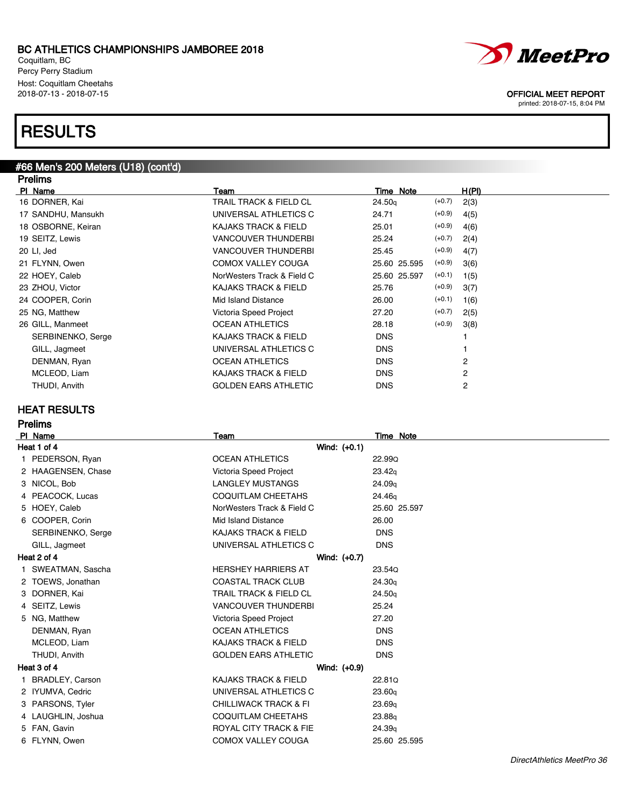Coquitlam, BC Percy Perry Stadium Host: Coquitlam Cheetahs<br>2018-07-13 - 2018-07-15

## **RESULTS**

### #66 Men's 200 Meters (U18) (cont'd) **Dralime**

| гтешнэ             |                             |                    |                  |
|--------------------|-----------------------------|--------------------|------------------|
| PI Name            | Team                        | Time Note          | H(PI)            |
| 16 DORNER, Kai     | TRAIL TRACK & FIELD CL      | 24.50 <sub>q</sub> | $(+0.7)$<br>2(3) |
| 17 SANDHU, Mansukh | UNIVERSAL ATHLETICS C       | 24.71              | $(+0.9)$<br>4(5) |
| 18 OSBORNE, Keiran | KAJAKS TRACK & FIELD        | 25.01              | $(+0.9)$<br>4(6) |
| 19 SEITZ, Lewis    | <b>VANCOUVER THUNDERBI</b>  | 25.24              | $(+0.7)$<br>2(4) |
| 20 LI, Jed         | <b>VANCOUVER THUNDERBI</b>  | 25.45              | $(+0.9)$<br>4(7) |
| 21 FLYNN, Owen     | <b>COMOX VALLEY COUGA</b>   | 25.60 25.595       | $(+0.9)$<br>3(6) |
| 22 HOEY, Caleb     | NorWesters Track & Field C  | 25.60 25.597       | $(+0.1)$<br>1(5) |
| 23 ZHOU, Victor    | KAJAKS TRACK & FIELD        | 25.76              | $(+0.9)$<br>3(7) |
| 24 COOPER, Corin   | Mid Island Distance         | 26.00              | $(+0.1)$<br>1(6) |
| 25 NG, Matthew     | Victoria Speed Project      | 27.20              | $(+0.7)$<br>2(5) |
| 26 GILL, Manmeet   | <b>OCEAN ATHLETICS</b>      | 28.18              | $(+0.9)$<br>3(8) |
| SERBINENKO, Serge  | KAJAKS TRACK & FIELD        | <b>DNS</b>         |                  |
| GILL, Jagmeet      | UNIVERSAL ATHLETICS C       | <b>DNS</b>         |                  |
| DENMAN, Ryan       | <b>OCEAN ATHLETICS</b>      | <b>DNS</b>         | 2                |
| MCLEOD, Liam       | KAJAKS TRACK & FIELD        | <b>DNS</b>         | 2                |
| THUDI, Anvith      | <b>GOLDEN EARS ATHLETIC</b> | <b>DNS</b>         | 2                |
|                    |                             |                    |                  |

### HEAT RESULTS

| relims |  |
|--------|--|
|--------|--|

| PI Name                | Team                              | <b>Time Note</b>   |
|------------------------|-----------------------------------|--------------------|
| Heat 1 of 4            | Wind: $(+0.1)$                    |                    |
| 1 PEDERSON, Ryan       | <b>OCEAN ATHLETICS</b>            | 22.99Q             |
| 2 HAAGENSEN, Chase     | Victoria Speed Project            | 23.42q             |
| 3 NICOL, Bob           | <b>LANGLEY MUSTANGS</b>           | 24.09g             |
| 4 PEACOCK, Lucas       | COQUITLAM CHEETAHS                | 24.46g             |
| 5 HOEY, Caleb          | NorWesters Track & Field C        | 25.60 25.597       |
| 6 COOPER, Corin        | Mid Island Distance               | 26.00              |
| SERBINENKO, Serge      | <b>KAJAKS TRACK &amp; FIELD</b>   | <b>DNS</b>         |
| GILL, Jagmeet          | UNIVERSAL ATHLETICS C             | <b>DNS</b>         |
| Heat 2 of 4            | Wind: (+0.7)                      |                    |
| SWEATMAN, Sascha       | <b>HERSHEY HARRIERS AT</b>        | 23.54Q             |
| 2 TOEWS, Jonathan      | <b>COASTAL TRACK CLUB</b>         | 24.30 <sub>q</sub> |
| 3 DORNER, Kai          | <b>TRAIL TRACK &amp; FIELD CL</b> | 24.50 <sub>q</sub> |
| 4 SEITZ, Lewis         | <b>VANCOUVER THUNDERBI</b>        | 25.24              |
| 5 NG, Matthew          | Victoria Speed Project            | 27.20              |
| DENMAN, Ryan           | <b>OCEAN ATHLETICS</b>            | <b>DNS</b>         |
| MCLEOD, Liam           | <b>KAJAKS TRACK &amp; FIELD</b>   | <b>DNS</b>         |
| THUDI, Anvith          | <b>GOLDEN EARS ATHLETIC</b>       | <b>DNS</b>         |
| Heat 3 of 4            | Wind: $(+0.9)$                    |                    |
| <b>BRADLEY, Carson</b> | KAJAKS TRACK & FIELD              | 22.81Q             |
| 2 IYUMVA, Cedric       | UNIVERSAL ATHLETICS C             | 23.60q             |
| 3 PARSONS, Tyler       | <b>CHILLIWACK TRACK &amp; FI</b>  | 23.69 <sub>q</sub> |
| 4 LAUGHLIN, Joshua     | <b>COQUITLAM CHEETAHS</b>         | 23.88 <sub>q</sub> |
| 5 FAN, Gavin           | <b>ROYAL CITY TRACK &amp; FIE</b> | 24.39q             |
| 6 FLYNN, Owen          | COMOX VALLEY COUGA                | 25.60 25.595       |



OFFICIAL MEET REPORT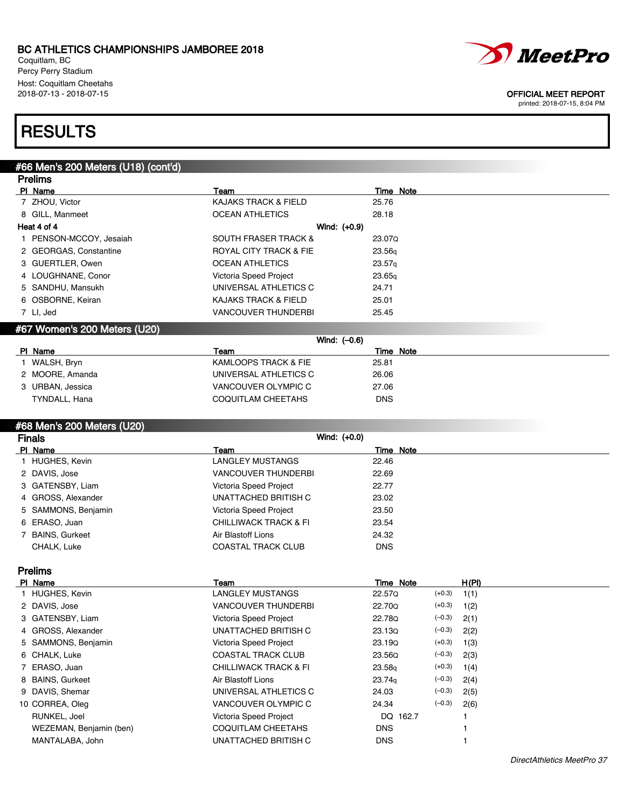Coquitlam, BC Percy Perry Stadium Host: Coquitlam Cheetahs<br>2018-07-13 - 2018-07-15



### OFFICIAL MEET REPORT

printed: 2018-07-15, 8:04 PM

## **RESULTS**

## #66 Men's 200 Meters (U18) (cont'd)

|                              | <b>Prelims</b>          |                                 |                    |  |  |
|------------------------------|-------------------------|---------------------------------|--------------------|--|--|
|                              | PI Name                 | Team                            | Time Note          |  |  |
|                              | 7 ZHOU, Victor          | <b>KAJAKS TRACK &amp; FIELD</b> | 25.76              |  |  |
|                              | 8 GILL, Manmeet         | <b>OCEAN ATHLETICS</b>          | 28.18              |  |  |
|                              | Heat 4 of 4             | Wind: $(+0.9)$                  |                    |  |  |
|                              | 1 PENSON-MCCOY, Jesaiah | <b>SOUTH FRASER TRACK &amp;</b> | 23.07Q             |  |  |
|                              | 2 GEORGAS, Constantine  | ROYAL CITY TRACK & FIE          | 23.56 <sub>q</sub> |  |  |
|                              | 3 GUERTLER, Owen        | <b>OCEAN ATHLETICS</b>          | 23.57 <sub>q</sub> |  |  |
|                              | 4 LOUGHNANE, Conor      | Victoria Speed Project          | 23.65q             |  |  |
|                              | 5 SANDHU, Mansukh       | UNIVERSAL ATHLETICS C           | 24.71              |  |  |
|                              | 6 OSBORNE, Keiran       | KAJAKS TRACK & FIELD            | 25.01              |  |  |
|                              | 7 LI, Jed               | <b>VANCOUVER THUNDERBI</b>      | 25.45              |  |  |
| #67 Women's 200 Meters (U20) |                         |                                 |                    |  |  |
|                              |                         | Wind: $(-0.6)$                  |                    |  |  |
|                              | PI Name                 | Team                            | Time Note          |  |  |
|                              |                         |                                 |                    |  |  |

| г мате           | ı əam                 |            | Time Note |
|------------------|-----------------------|------------|-----------|
| WALSH, Bryn      | KAMLOOPS TRACK & FIE  | 25.81      |           |
| 2 MOORE, Amanda  | UNIVERSAL ATHLETICS C | 26.06      |           |
| 3 URBAN, Jessica | VANCOUVER OLYMPIC C   | 27.06      |           |
| TYNDALL, Hana    | COQUITLAM CHEETAHS    | <b>DNS</b> |           |
|                  |                       |            |           |

### #68 Men's 200 Meters (U20)

| <b>Finals</b> |                     | Wind: $(+0.0)$                   |            |
|---------------|---------------------|----------------------------------|------------|
|               | PI Name             | Team                             | Time Note  |
|               | 1 HUGHES, Kevin     | LANGLEY MUSTANGS                 | 22.46      |
|               | 2 DAVIS, Jose       | <b>VANCOUVER THUNDERBI</b>       | 22.69      |
|               | 3 GATENSBY, Liam    | Victoria Speed Project           | 22.77      |
|               | 4 GROSS, Alexander  | UNATTACHED BRITISH C             | 23.02      |
|               | 5 SAMMONS, Benjamin | Victoria Speed Project           | 23.50      |
|               | 6 ERASO, Juan       | <b>CHILLIWACK TRACK &amp; FI</b> | 23.54      |
|               | 7 BAINS, Gurkeet    | Air Blastoff Lions               | 24.32      |
|               | CHALK, Luke         | <b>COASTAL TRACK CLUB</b>        | <b>DNS</b> |

Prelims

| PI Name                 | Team                             | Time Note          |          | H(PI) |
|-------------------------|----------------------------------|--------------------|----------|-------|
| 1 HUGHES, Kevin         | LANGLEY MUSTANGS                 | 22.57Q             | $(+0.3)$ | 1(1)  |
| 2 DAVIS, Jose           | <b>VANCOUVER THUNDERBI</b>       | 22.70Q             | $(+0.3)$ | 1(2)  |
| 3 GATENSBY, Liam        | Victoria Speed Project           | 22.78Q             | $(-0.3)$ | 2(1)  |
| 4 GROSS, Alexander      | UNATTACHED BRITISH C             | 23.13Q             | $(-0.3)$ | 2(2)  |
| 5 SAMMONS, Benjamin     | Victoria Speed Project           | 23.19Q             | $(+0.3)$ | 1(3)  |
| 6 CHALK, Luke           | <b>COASTAL TRACK CLUB</b>        | 23.56Q             | $(-0.3)$ | 2(3)  |
| 7 ERASO, Juan           | <b>CHILLIWACK TRACK &amp; FI</b> | 23.58 <sub>q</sub> | $(+0.3)$ | 1(4)  |
| 8 BAINS, Gurkeet        | Air Blastoff Lions               | 23.74 <sub>q</sub> | $(-0.3)$ | 2(4)  |
| 9 DAVIS, Shemar         | UNIVERSAL ATHLETICS C            | 24.03              | $(-0.3)$ | 2(5)  |
| 10 CORREA, Oleg         | VANCOUVER OLYMPIC C              | 24.34              | $(-0.3)$ | 2(6)  |
| RUNKEL, Joel            | Victoria Speed Project           | DQ 162.7           |          |       |
| WEZEMAN, Benjamin (ben) | COQUITLAM CHEETAHS               | <b>DNS</b>         |          |       |
| MANTALABA, John         | UNATTACHED BRITISH C             | <b>DNS</b>         |          |       |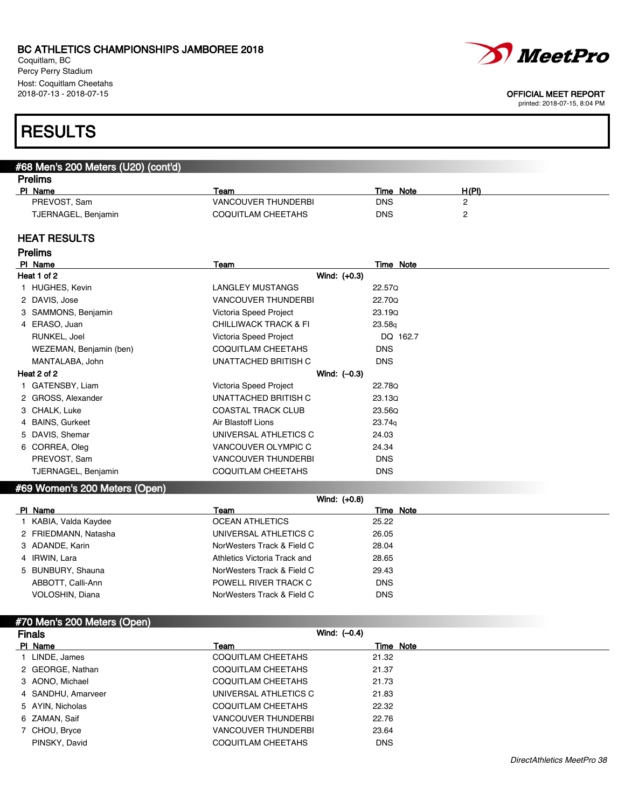Coquitlam, BC Percy Perry Stadium Host: Coquitlam Cheetahs<br>2018-07-13 - 2018-07-15



### OFFICIAL MEET REPORT

printed: 2018-07-15, 8:04 PM

## **RESULTS**

## #68 Men's 200 Meters (U20) (cont'd)

| PI Name             | Геаm                       | <b>Note</b><br>Time | H(PI) |
|---------------------|----------------------------|---------------------|-------|
| PREVOST, Sam        | <b>VANCOUVER THUNDERBI</b> | DNS                 |       |
| TJERNAGEL, Benjamin | COQUITLAM CHEETAHS         | DNS                 |       |

### HEAT RESULTS

| <b>Prelims</b>          |                                  |            |  |
|-------------------------|----------------------------------|------------|--|
| PI Name                 | Team                             | Time Note  |  |
| Heat 1 of 2             | Wind: (+0.3)                     |            |  |
| 1 HUGHES, Kevin         | LANGLEY MUSTANGS                 | 22.57Q     |  |
| 2 DAVIS, Jose           | <b>VANCOUVER THUNDERBI</b>       | 22.70Q     |  |
| 3 SAMMONS, Benjamin     | Victoria Speed Project           | 23.19Q     |  |
| 4 ERASO, Juan           | <b>CHILLIWACK TRACK &amp; FI</b> | 23.58q     |  |
| RUNKEL, Joel            | Victoria Speed Project           | DQ 162.7   |  |
| WEZEMAN, Benjamin (ben) | <b>COQUITLAM CHEETAHS</b>        | <b>DNS</b> |  |
| MANTALABA, John         | UNATTACHED BRITISH C             | <b>DNS</b> |  |
| Heat 2 of 2             | Wind: $(-0.3)$                   |            |  |
| 1 GATENSBY, Liam        | Victoria Speed Project           | 22.78Q     |  |
| 2 GROSS, Alexander      | UNATTACHED BRITISH C             | 23.13Q     |  |
| 3 CHALK, Luke           | <b>COASTAL TRACK CLUB</b>        | 23.56Q     |  |
| 4 BAINS, Gurkeet        | Air Blastoff Lions               | 23.74g     |  |
| 5 DAVIS, Shemar         | UNIVERSAL ATHLETICS C            | 24.03      |  |
| 6 CORREA, Oleg          | VANCOUVER OLYMPIC C              | 24.34      |  |
| PREVOST, Sam            | <b>VANCOUVER THUNDERBI</b>       | <b>DNS</b> |  |
| TJERNAGEL, Benjamin     | <b>COQUITLAM CHEETAHS</b>        | <b>DNS</b> |  |
|                         |                                  |            |  |

## #69 Women's 200 Meters (Open)

|                      | Wind: $(+0.8)$               |            |
|----------------------|------------------------------|------------|
| PI Name              | Team                         | Time Note  |
| KABIA, Valda Kaydee  | <b>OCEAN ATHLETICS</b>       | 25.22      |
| 2 FRIEDMANN, Natasha | UNIVERSAL ATHLETICS C        | 26.05      |
| 3 ADANDE, Karin      | NorWesters Track & Field C   | 28.04      |
| 4 IRWIN, Lara        | Athletics Victoria Track and | 28.65      |
| 5 BUNBURY, Shauna    | NorWesters Track & Field C   | 29.43      |
| ABBOTT, Calli-Ann    | POWELL RIVER TRACK C         | <b>DNS</b> |
| VOLOSHIN, Diana      | NorWesters Track & Field C   | <b>DNS</b> |

| #70 Men's 200 Meters (Open), |                            |            |
|------------------------------|----------------------------|------------|
| <b>Finals</b>                | Wind: $(-0.4)$             |            |
| PI Name                      | Team                       | Time Note  |
| LINDE, James                 | <b>COQUITLAM CHEETAHS</b>  | 21.32      |
| 2 GEORGE, Nathan             | COQUITLAM CHEETAHS         | 21.37      |
| 3 AONO, Michael              | COQUITLAM CHEETAHS         | 21.73      |
| 4 SANDHU, Amarveer           | UNIVERSAL ATHLETICS C      | 21.83      |
| 5 AYIN, Nicholas             | COQUITLAM CHEETAHS         | 22.32      |
| 6 ZAMAN, Saif                | <b>VANCOUVER THUNDERBI</b> | 22.76      |
| 7 CHOU, Bryce                | <b>VANCOUVER THUNDERBI</b> | 23.64      |
| PINSKY, David                | COQUITLAM CHEETAHS         | <b>DNS</b> |
|                              |                            |            |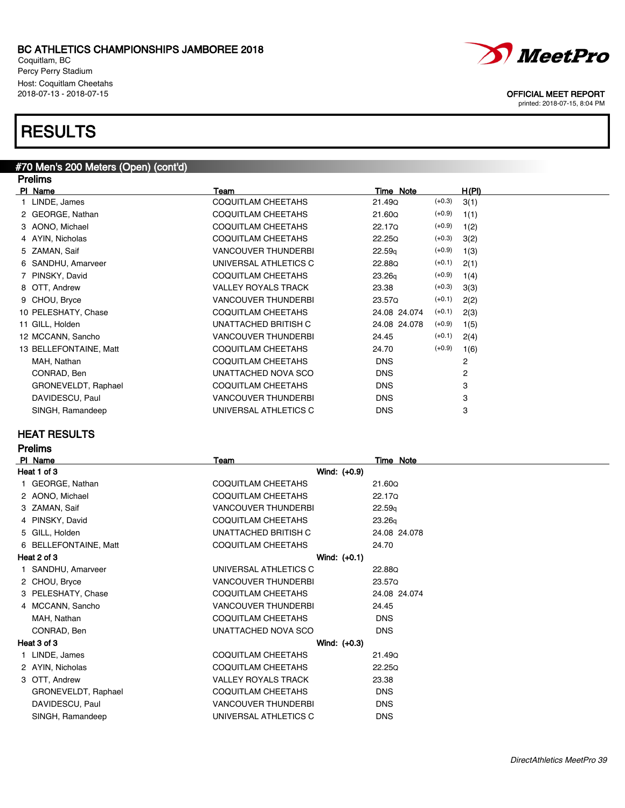Coquitlam, BC Percy Perry Stadium Host: Coquitlam Cheetahs<br>2018-07-13 - 2018-07-15

## **RESULTS**

#### #70 Men's 200 Meters (Open) (cont'd) **Dralime**

| гісшір                 |                            |                    |          |                |
|------------------------|----------------------------|--------------------|----------|----------------|
| PI Name                | Team                       | Time Note          |          | H(PI)          |
| LINDE, James           | COQUITLAM CHEETAHS         | 21.49Q             | $(+0.3)$ | 3(1)           |
| 2 GEORGE, Nathan       | COQUITLAM CHEETAHS         | 21.60Q             | $(+0.9)$ | 1(1)           |
| 3 AONO, Michael        | COQUITLAM CHEETAHS         | 22.17Q             | $(+0.9)$ | 1(2)           |
| 4 AYIN, Nicholas       | <b>COQUITLAM CHEETAHS</b>  | 22.25Q             | $(+0.3)$ | 3(2)           |
| 5 ZAMAN, Saif          | <b>VANCOUVER THUNDERBI</b> | 22.59 <sub>q</sub> | $(+0.9)$ | 1(3)           |
| 6 SANDHU, Amarveer     | UNIVERSAL ATHLETICS C      | 22.88Q             | $(+0.1)$ | 2(1)           |
| 7 PINSKY, David        | <b>COQUITLAM CHEETAHS</b>  | 23.26q             | $(+0.9)$ | 1(4)           |
| 8 OTT, Andrew          | <b>VALLEY ROYALS TRACK</b> | 23.38              | $(+0.3)$ | 3(3)           |
| 9 CHOU, Bryce          | <b>VANCOUVER THUNDERBI</b> | 23.57Q             | $(+0.1)$ | 2(2)           |
| 10 PELESHATY, Chase    | COQUITLAM CHEETAHS         | 24.08 24.074       | $(+0.1)$ | 2(3)           |
| 11 GILL, Holden        | UNATTACHED BRITISH C       | 24.08 24.078       | $(+0.9)$ | 1(5)           |
| 12 MCCANN, Sancho      | <b>VANCOUVER THUNDERBI</b> | 24.45              | $(+0.1)$ | 2(4)           |
| 13 BELLEFONTAINE, Matt | <b>COQUITLAM CHEETAHS</b>  | 24.70              | $(+0.9)$ | 1(6)           |
| MAH, Nathan            | COQUITLAM CHEETAHS         | <b>DNS</b>         |          | 2              |
| CONRAD, Ben            | UNATTACHED NOVA SCO        | <b>DNS</b>         |          | $\overline{2}$ |
| GRONEVELDT, Raphael    | <b>COQUITLAM CHEETAHS</b>  | <b>DNS</b>         |          | 3              |
| DAVIDESCU, Paul        | <b>VANCOUVER THUNDERBI</b> | <b>DNS</b>         |          | 3              |
| SINGH, Ramandeep       | UNIVERSAL ATHLETICS C      | <b>DNS</b>         |          | 3              |
|                        |                            |                    |          |                |

### HEAT RESULTS

## Prelims

| PI Name               | Team                       | Time Note     |
|-----------------------|----------------------------|---------------|
| Heat 1 of 3           | Wind: (+0.9)               |               |
| 1 GEORGE, Nathan      | COQUITLAM CHEETAHS         | 21.60Q        |
| 2 AONO, Michael       | <b>COQUITLAM CHEETAHS</b>  | <b>22.17Q</b> |
| 3 ZAMAN, Saif         | <b>VANCOUVER THUNDERBI</b> | 22.59q        |
| 4 PINSKY, David       | <b>COQUITLAM CHEETAHS</b>  | 23.26q        |
| 5 GILL, Holden        | UNATTACHED BRITISH C       | 24.08 24.078  |
| 6 BELLEFONTAINE, Matt | COQUITLAM CHEETAHS         | 24.70         |
| Heat 2 of 3           | Wind: $(+0.1)$             |               |
| 1 SANDHU, Amarveer    | UNIVERSAL ATHLETICS C      | 22.88Q        |
| 2 CHOU, Bryce         | <b>VANCOUVER THUNDERBI</b> | 23.57Q        |
| 3 PELESHATY, Chase    | <b>COQUITLAM CHEETAHS</b>  | 24.08 24.074  |
| 4 MCCANN, Sancho      | <b>VANCOUVER THUNDERBI</b> | 24.45         |
| MAH, Nathan           | <b>COQUITLAM CHEETAHS</b>  | <b>DNS</b>    |
| CONRAD, Ben           | UNATTACHED NOVA SCO        | <b>DNS</b>    |
| Heat 3 of 3           | Wind: $(+0.3)$             |               |
| 1 LINDE, James        | <b>COQUITLAM CHEETAHS</b>  | 21.49Q        |
| 2 AYIN, Nicholas      | COQUITLAM CHEETAHS         | 22.25Q        |
| 3 OTT, Andrew         | <b>VALLEY ROYALS TRACK</b> | 23.38         |
| GRONEVELDT, Raphael   | COQUITLAM CHEETAHS         | <b>DNS</b>    |
| DAVIDESCU, Paul       | <b>VANCOUVER THUNDERBI</b> | <b>DNS</b>    |
| SINGH, Ramandeep      | UNIVERSAL ATHLETICS C      | <b>DNS</b>    |
|                       |                            |               |



OFFICIAL MEET REPORT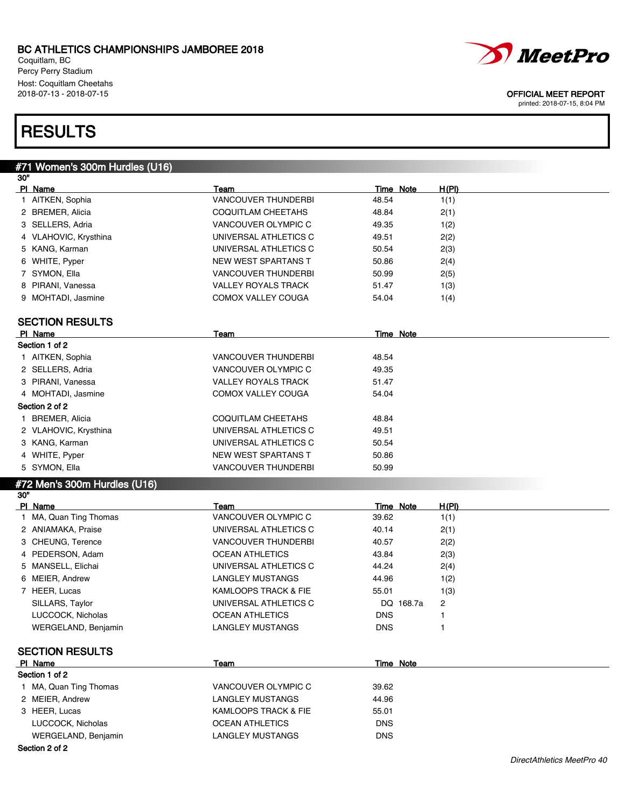Coquitlam, BC Percy Perry Stadium Host: Coquitlam Cheetahs<br>2018-07-13 - 2018-07-15

## **RESULTS**

#71 Women's 300m Hurdles (U16)

| 30" |                                   |                             |                           |              |
|-----|-----------------------------------|-----------------------------|---------------------------|--------------|
|     | PI Name                           | Team                        | <b>Time Note</b>          | <u>H(PI)</u> |
|     | 1 AITKEN, Sophia                  | <b>VANCOUVER THUNDERBI</b>  | 48.54                     | 1(1)         |
|     | 2 BREMER, Alicia                  | COQUITLAM CHEETAHS          | 48.84                     | 2(1)         |
|     | 3 SELLERS, Adria                  | VANCOUVER OLYMPIC C         | 49.35                     | 1(2)         |
|     | 4 VLAHOVIC, Krysthina             | UNIVERSAL ATHLETICS C       | 49.51                     | 2(2)         |
|     | 5 KANG, Karman                    | UNIVERSAL ATHLETICS C       | 50.54                     | 2(3)         |
|     | 6 WHITE, Pyper                    | NEW WEST SPARTANS T         | 50.86                     | 2(4)         |
|     | 7 SYMON, Ella                     | VANCOUVER THUNDERBI         | 50.99                     | 2(5)         |
|     | 8 PIRANI, Vanessa                 | <b>VALLEY ROYALS TRACK</b>  | 51.47                     | 1(3)         |
|     | 9 MOHTADI, Jasmine                | COMOX VALLEY COUGA          | 54.04                     | 1(4)         |
|     |                                   |                             |                           |              |
|     | <b>SECTION RESULTS</b>            |                             |                           |              |
|     | PI Name                           | Team                        | Time Note                 |              |
|     | Section 1 of 2                    |                             |                           |              |
|     | 1 AITKEN, Sophia                  | <b>VANCOUVER THUNDERBI</b>  | 48.54                     |              |
|     | 2 SELLERS, Adria                  | VANCOUVER OLYMPIC C         | 49.35                     |              |
|     | 3 PIRANI, Vanessa                 | <b>VALLEY ROYALS TRACK</b>  | 51.47                     |              |
|     | 4 MOHTADI, Jasmine                | <b>COMOX VALLEY COUGA</b>   | 54.04                     |              |
|     | Section 2 of 2                    |                             |                           |              |
|     | 1 BREMER, Alicia                  | COQUITLAM CHEETAHS          | 48.84                     |              |
|     | 2 VLAHOVIC, Krysthina             | UNIVERSAL ATHLETICS C       | 49.51                     |              |
|     | 3 KANG, Karman                    | UNIVERSAL ATHLETICS C       | 50.54                     |              |
|     | 4 WHITE, Pyper                    | NEW WEST SPARTANS T         | 50.86                     |              |
|     | 5 SYMON, Ella                     | VANCOUVER THUNDERBI         | 50.99                     |              |
|     |                                   |                             |                           |              |
|     | #72 Men's 300m Hurdles (U16)      |                             |                           |              |
| 30" |                                   |                             |                           |              |
|     | PI Name<br>1 MA, Quan Ting Thomas | Team<br>VANCOUVER OLYMPIC C | <b>Time Note</b><br>39.62 | H(PI)        |
|     |                                   |                             |                           | 1(1)         |
|     | 2 ANIAMAKA, Praise                | UNIVERSAL ATHLETICS C       | 40.14                     | 2(1)         |
|     | 3 CHEUNG, Terence                 | <b>VANCOUVER THUNDERBI</b>  | 40.57                     | 2(2)         |
|     | 4 PEDERSON, Adam                  | <b>OCEAN ATHLETICS</b>      | 43.84                     | 2(3)         |
|     | 5 MANSELL, Elichai                | UNIVERSAL ATHLETICS C       | 44.24                     | 2(4)         |
|     | 6 MEIER, Andrew                   | LANGLEY MUSTANGS            | 44.96                     | 1(2)         |
|     | 7 HEER, Lucas                     | KAMLOOPS TRACK & FIE        | 55.01                     | 1(3)         |
|     | SILLARS, Taylor                   | UNIVERSAL ATHLETICS C       | DQ 168.7a                 | 2            |
|     | LUCCOCK, Nicholas                 | <b>OCEAN ATHLETICS</b>      | <b>DNS</b>                | 1            |
|     | WERGELAND, Benjamin               | <b>LANGLEY MUSTANGS</b>     | <b>DNS</b>                | 1            |
|     |                                   |                             |                           |              |
|     | <b>SECTION RESULTS</b>            |                             |                           |              |
|     | PI Name                           | Team                        | Time Note                 |              |
|     | Section 1 of 2                    |                             |                           |              |
|     | 1 MA, Quan Ting Thomas            | VANCOUVER OLYMPIC C         | 39.62                     |              |
|     | 2 MEIER, Andrew                   | <b>LANGLEY MUSTANGS</b>     | 44.96                     |              |
|     | 3 HEER, Lucas                     | KAMLOOPS TRACK & FIE        | 55.01                     |              |
|     | LUCCOCK, Nicholas                 | <b>OCEAN ATHLETICS</b>      | <b>DNS</b>                |              |
|     | WERGELAND, Benjamin               | LANGLEY MUSTANGS            | <b>DNS</b>                |              |

### Section 2 of 2



### OFFICIAL MEET REPORT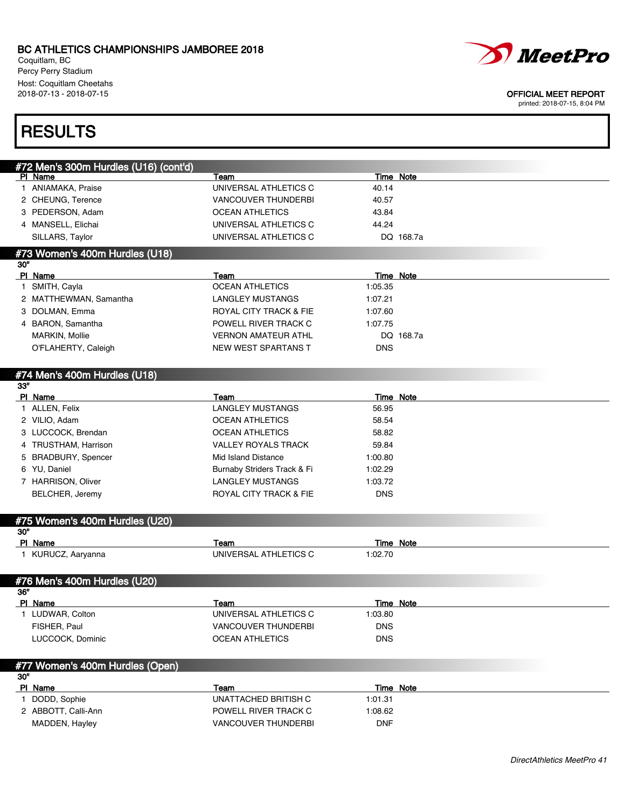Coquitlam, BC Percy Perry Stadium Host: Coquitlam Cheetahs<br>2018-07-13 - 2018-07-15



#### OFFICIAL MEET REPORT

printed: 2018-07-15, 8:04 PM

## **RESULTS**

|     | #72 Men's 300m Hurdles (U16) (cont'd) |                             |                  |           |
|-----|---------------------------------------|-----------------------------|------------------|-----------|
|     | PI Name                               | Team                        | Time Note        |           |
|     | 1 ANIAMAKA, Praise                    | UNIVERSAL ATHLETICS C       | 40.14            |           |
|     | 2 CHEUNG, Terence                     | <b>VANCOUVER THUNDERBI</b>  | 40.57            |           |
|     | 3 PEDERSON, Adam                      | <b>OCEAN ATHLETICS</b>      | 43.84            |           |
|     | 4 MANSELL, Elichai                    | UNIVERSAL ATHLETICS C       | 44.24            |           |
|     | SILLARS, Taylor                       | UNIVERSAL ATHLETICS C       |                  | DQ 168.7a |
|     | #73 Women's 400m Hurdles (U18)        |                             |                  |           |
| 30" |                                       |                             |                  |           |
|     | PI Name                               | Team                        | <b>Time Note</b> |           |
|     | 1 SMITH, Cayla                        | <b>OCEAN ATHLETICS</b>      | 1:05.35          |           |
|     | 2 MATTHEWMAN, Samantha                | <b>LANGLEY MUSTANGS</b>     | 1:07.21          |           |
|     | 3 DOLMAN, Emma                        | ROYAL CITY TRACK & FIE      | 1:07.60          |           |
|     | 4 BARON, Samantha                     | POWELL RIVER TRACK C        | 1:07.75          |           |
|     | MARKIN, Mollie                        | <b>VERNON AMATEUR ATHL</b>  |                  | DQ 168.7a |
|     | O'FLAHERTY, Caleigh                   | NEW WEST SPARTANS T         | <b>DNS</b>       |           |
|     |                                       |                             |                  |           |
|     | #74 Men's 400m Hurdles (U18)          |                             |                  |           |
| 33" |                                       |                             |                  |           |
|     | PI Name                               | Team                        | Time Note        |           |
|     | 1 ALLEN, Felix                        | <b>LANGLEY MUSTANGS</b>     | 56.95            |           |
|     | 2 VILIO, Adam                         | <b>OCEAN ATHLETICS</b>      | 58.54            |           |
|     | 3 LUCCOCK, Brendan                    | <b>OCEAN ATHLETICS</b>      | 58.82            |           |
|     | 4 TRUSTHAM, Harrison                  | <b>VALLEY ROYALS TRACK</b>  | 59.84            |           |
|     | 5 BRADBURY, Spencer                   | Mid Island Distance         | 1:00.80          |           |
|     | 6 YU, Daniel                          | Burnaby Striders Track & Fi | 1:02.29          |           |
|     | 7 HARRISON, Oliver                    | <b>LANGLEY MUSTANGS</b>     | 1:03.72          |           |
|     | BELCHER, Jeremy                       | ROYAL CITY TRACK & FIE      | <b>DNS</b>       |           |
|     |                                       |                             |                  |           |
|     | #75 Women's 400m Hurdles (U20)        |                             |                  |           |
| 30" |                                       |                             |                  |           |
|     | PI Name                               | Team                        | <b>Time Note</b> |           |
|     | 1 KURUCZ, Aaryanna                    | UNIVERSAL ATHLETICS C       | 1:02.70          |           |
|     |                                       |                             |                  |           |
| 36" | #76 Men's 400m Hurdles (U20)          |                             |                  |           |
|     | PI Name                               | Team                        | <b>Time Note</b> |           |
|     | 1 LUDWAR, Colton                      | UNIVERSAL ATHLETICS C       | 1:03.80          |           |
|     | FISHER, Paul                          | VANCOUVER THUNDERBI         | <b>DNS</b>       |           |
|     | LUCCOCK, Dominic                      | <b>OCEAN ATHLETICS</b>      | <b>DNS</b>       |           |
|     |                                       |                             |                  |           |
|     | #77 Women's 400m Hurdles (Open)       |                             |                  |           |
| 30" |                                       |                             |                  |           |
|     | PI Name                               | Team                        | Time Note        |           |
|     | 1 DODD, Sophie                        | UNATTACHED BRITISH C        | 1:01.31          |           |
|     | 2 ABBOTT, Calli-Ann                   | POWELL RIVER TRACK C        | 1:08.62          |           |
|     | MADDEN, Hayley                        | <b>VANCOUVER THUNDERBI</b>  | <b>DNF</b>       |           |
|     |                                       |                             |                  |           |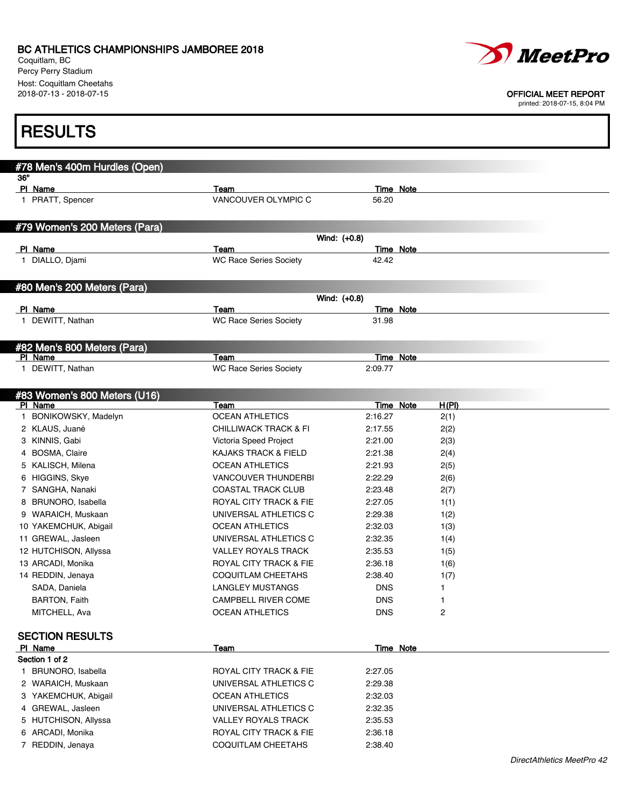Coquitlam, BC Percy Perry Stadium Host: Coquitlam Cheetahs<br>2018-07-13 - 2018-07-15



### OFFICIAL MEET REPORT

| <b>RESULTS</b>                        |                                                      |                          |                              |                            |
|---------------------------------------|------------------------------------------------------|--------------------------|------------------------------|----------------------------|
| #78 Men's 400m Hurdles (Open)         |                                                      |                          |                              |                            |
| 36"                                   |                                                      |                          |                              |                            |
| PI Name                               | Team                                                 |                          | Time Note                    |                            |
| 1 PRATT, Spencer                      | VANCOUVER OLYMPIC C                                  | 56.20                    |                              |                            |
| #79 Women's 200 Meters (Para)         |                                                      |                          |                              |                            |
|                                       |                                                      | Wind: (+0.8)             |                              |                            |
| PI Name                               | Team                                                 |                          | <b>Time Note</b>             |                            |
| 1 DIALLO, Djami                       | <b>WC Race Series Society</b>                        | 42.42                    |                              |                            |
| #80 Men's 200 Meters (Para)           |                                                      |                          |                              |                            |
|                                       |                                                      | Wind: (+0.8)             |                              |                            |
| PI Name                               | Team                                                 |                          | <b>Time Note</b>             |                            |
| 1 DEWITT, Nathan                      | <b>WC Race Series Society</b>                        | 31.98                    |                              |                            |
| #82 Men's 800 Meters (Para)           |                                                      |                          |                              |                            |
| PI Name                               | Team                                                 |                          | Time Note                    |                            |
| 1 DEWITT, Nathan                      | <b>WC Race Series Society</b>                        | 2:09.77                  |                              |                            |
| #83 Women's 800 Meters (U16)          |                                                      |                          |                              |                            |
| PI Name                               | Team                                                 |                          | Time Note<br>H(PI)           |                            |
| BONIKOWSKY, Madelyn<br>1.             | <b>OCEAN ATHLETICS</b>                               | 2:16.27                  | 2(1)                         |                            |
| 2 KLAUS, Juané                        | <b>CHILLIWACK TRACK &amp; FI</b>                     | 2:17.55                  | 2(2)                         |                            |
| 3 KINNIS, Gabi                        | Victoria Speed Project                               | 2:21.00                  | 2(3)                         |                            |
| 4 BOSMA, Claire                       | <b>KAJAKS TRACK &amp; FIELD</b>                      | 2:21.38                  | 2(4)                         |                            |
| 5 KALISCH, Milena                     | <b>OCEAN ATHLETICS</b>                               | 2:21.93                  | 2(5)                         |                            |
| 6 HIGGINS, Skye                       | <b>VANCOUVER THUNDERBI</b>                           | 2:22.29                  | 2(6)                         |                            |
| 7 SANGHA, Nanaki                      | <b>COASTAL TRACK CLUB</b>                            | 2:23.48                  | 2(7)                         |                            |
| 8 BRUNORO, Isabella                   | ROYAL CITY TRACK & FIE                               | 2:27.05                  | 1(1)                         |                            |
| 9 WARAICH, Muskaan                    | UNIVERSAL ATHLETICS C                                | 2:29.38                  | 1(2)                         |                            |
| 10 YAKEMCHUK, Abigail                 | <b>OCEAN ATHLETICS</b>                               | 2:32.03                  | 1(3)                         |                            |
| 11 GREWAL, Jasleen                    | UNIVERSAL ATHLETICS C                                | 2:32.35                  | 1(4)                         |                            |
| 12 HUTCHISON, Allyssa                 | <b>VALLEY ROYALS TRACK</b>                           | 2:35.53                  | 1(5)                         |                            |
| 13 ARCADI, Monika                     | ROYAL CITY TRACK & FIE                               | 2:36.18                  | 1(6)                         |                            |
| 14 REDDIN, Jenaya                     | COQUITLAM CHEETAHS                                   | 2:38.40                  | 1(7)                         |                            |
| SADA, Daniela                         | <b>LANGLEY MUSTANGS</b>                              | <b>DNS</b>               | 1                            |                            |
| <b>BARTON, Faith</b><br>MITCHELL, Ava | <b>CAMPBELL RIVER COME</b><br><b>OCEAN ATHLETICS</b> | <b>DNS</b><br><b>DNS</b> | 1<br>$\overline{\mathbf{c}}$ |                            |
|                                       |                                                      |                          |                              |                            |
| <b>SECTION RESULTS</b><br>PI Name     | <b>Team</b>                                          |                          | Time Note                    |                            |
| Section 1 of 2                        |                                                      |                          |                              |                            |
| 1 BRUNORO, Isabella                   | ROYAL CITY TRACK & FIE                               | 2:27.05                  |                              |                            |
| 2 WARAICH, Muskaan                    | UNIVERSAL ATHLETICS C                                | 2:29.38                  |                              |                            |
| 3 YAKEMCHUK, Abigail                  | <b>OCEAN ATHLETICS</b>                               | 2:32.03                  |                              |                            |
| 4 GREWAL, Jasleen                     | UNIVERSAL ATHLETICS C                                | 2:32.35                  |                              |                            |
| 5 HUTCHISON, Allyssa                  | <b>VALLEY ROYALS TRACK</b>                           | 2:35.53                  |                              |                            |
| 6 ARCADI, Monika                      | ROYAL CITY TRACK & FIE                               | 2:36.18                  |                              |                            |
| 7 REDDIN, Jenaya                      | COQUITLAM CHEETAHS                                   | 2:38.40                  |                              |                            |
|                                       |                                                      |                          |                              | DirectAthletics MeetPro 42 |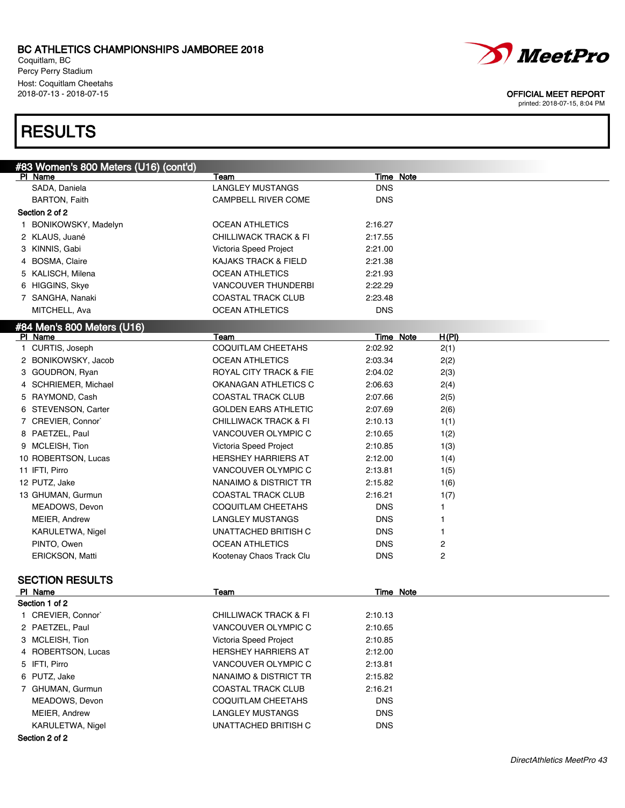Coquitlam, BC Percy Perry Stadium Host: Coquitlam Cheetahs<br>2018-07-13 - 2018-07-15

## **RESULTS**



#### OFFICIAL MEET REPORT

| #83 Women's 800 Meters (U16) (cont'd) |                                               |                       |       |  |
|---------------------------------------|-----------------------------------------------|-----------------------|-------|--|
| PI Name                               | Team                                          | Time Note             |       |  |
| SADA, Daniela                         | <b>LANGLEY MUSTANGS</b>                       | <b>DNS</b>            |       |  |
| <b>BARTON, Faith</b>                  | <b>CAMPBELL RIVER COME</b>                    | <b>DNS</b>            |       |  |
| Section 2 of 2                        |                                               |                       |       |  |
| 1 BONIKOWSKY, Madelyn                 | <b>OCEAN ATHLETICS</b>                        | 2:16.27               |       |  |
| 2 KLAUS, Juané                        | <b>CHILLIWACK TRACK &amp; FI</b>              | 2:17.55               |       |  |
| 3 KINNIS, Gabi                        | Victoria Speed Project                        | 2:21.00               |       |  |
| 4 BOSMA, Claire                       | KAJAKS TRACK & FIELD                          | 2:21.38               |       |  |
| 5 KALISCH, Milena                     | <b>OCEAN ATHLETICS</b>                        | 2:21.93               |       |  |
| 6 HIGGINS, Skye                       | <b>VANCOUVER THUNDERBI</b>                    | 2:22.29               |       |  |
| 7 SANGHA, Nanaki                      | <b>COASTAL TRACK CLUB</b>                     | 2:23.48               |       |  |
| MITCHELL, Ava                         | <b>OCEAN ATHLETICS</b>                        | <b>DNS</b>            |       |  |
| #84 Men's 800 Meters (U16)            |                                               |                       |       |  |
| PI Name                               | Team                                          | <b>Time Note</b>      | H(PI) |  |
| 1 CURTIS, Joseph                      | <b>COQUITLAM CHEETAHS</b>                     | 2:02.92               | 2(1)  |  |
| 2 BONIKOWSKY, Jacob                   | <b>OCEAN ATHLETICS</b>                        | 2:03.34               | 2(2)  |  |
| 3 GOUDRON, Ryan                       | <b>ROYAL CITY TRACK &amp; FIE</b>             | 2:04.02               | 2(3)  |  |
| 4 SCHRIEMER, Michael                  | OKANAGAN ATHLETICS C                          | 2:06.63               | 2(4)  |  |
| 5 RAYMOND, Cash                       | <b>COASTAL TRACK CLUB</b>                     | 2:07.66               | 2(5)  |  |
| 6 STEVENSON, Carter                   | <b>GOLDEN EARS ATHLETIC</b>                   | 2:07.69               | 2(6)  |  |
| 7 CREVIER, Connor`                    | <b>CHILLIWACK TRACK &amp; FI</b>              | 2:10.13               | 1(1)  |  |
| 8 PAETZEL, Paul                       | VANCOUVER OLYMPIC C                           | 2:10.65               | 1(2)  |  |
| 9 MCLEISH, Tion                       | Victoria Speed Project                        | 2:10.85               | 1(3)  |  |
| 10 ROBERTSON, Lucas                   | <b>HERSHEY HARRIERS AT</b>                    | 2:12.00               | 1(4)  |  |
| 11 IFTI, Pirro                        | VANCOUVER OLYMPIC C                           | 2:13.81               | 1(5)  |  |
| 12 PUTZ, Jake                         | NANAIMO & DISTRICT TR                         | 2:15.82               | 1(6)  |  |
| 13 GHUMAN, Gurmun                     | <b>COASTAL TRACK CLUB</b>                     | 2:16.21               | 1(7)  |  |
| MEADOWS, Devon                        | COQUITLAM CHEETAHS                            | <b>DNS</b>            | 1     |  |
| MEIER, Andrew                         | <b>LANGLEY MUSTANGS</b>                       | <b>DNS</b>            | 1     |  |
| KARULETWA, Nigel                      | UNATTACHED BRITISH C                          | <b>DNS</b>            | 1     |  |
| PINTO, Owen                           | <b>OCEAN ATHLETICS</b>                        | <b>DNS</b>            | 2     |  |
| ERICKSON, Matti                       | Kootenay Chaos Track Clu                      | <b>DNS</b>            | 2     |  |
|                                       |                                               |                       |       |  |
| <b>SECTION RESULTS</b><br>PI Name     | Team                                          | Time Note             |       |  |
| Section 1 of 2                        |                                               |                       |       |  |
| 1 CREVIER, Connor                     | <b>CHILLIWACK TRACK &amp; FI</b>              | 2:10.13               |       |  |
| 2 PAETZEL, Paul                       | VANCOUVER OLYMPIC C                           | 2:10.65               |       |  |
| 3 MCLEISH, Tion                       | Victoria Speed Project                        | 2:10.85               |       |  |
| 4 ROBERTSON, Lucas                    | <b>HERSHEY HARRIERS AT</b>                    | 2:12.00               |       |  |
| 5 IFTI, Pirro                         | VANCOUVER OLYMPIC C                           | 2:13.81               |       |  |
| 6 PUTZ, Jake                          | NANAIMO & DISTRICT TR                         | 2:15.82               |       |  |
| 7 GHUMAN, Gurmun                      | <b>COASTAL TRACK CLUB</b>                     |                       |       |  |
| MEADOWS, Devon                        |                                               | 2:16.21<br><b>DNS</b> |       |  |
|                                       | COQUITLAM CHEETAHS<br><b>LANGLEY MUSTANGS</b> | <b>DNS</b>            |       |  |
| MEIER, Andrew                         |                                               |                       |       |  |
| KARULETWA, Nigel                      | UNATTACHED BRITISH C                          | <b>DNS</b>            |       |  |
| Section 2 of 2                        |                                               |                       |       |  |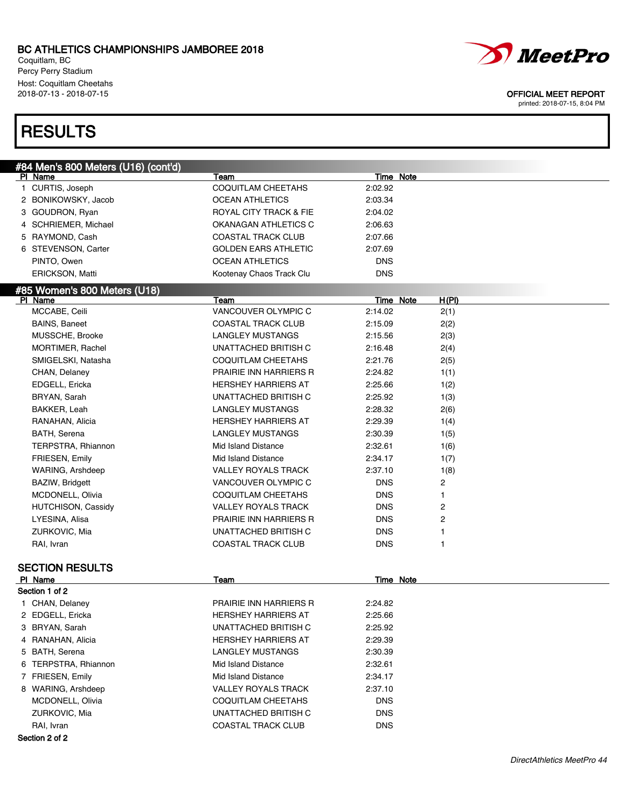Coquitlam, BC Percy Perry Stadium Host: Coquitlam Cheetahs<br>2018-07-13 - 2018-07-15

# **RESULTS**

| #84 Men's 800 Meters (U16) (cont'd) |                                   |                  |       |
|-------------------------------------|-----------------------------------|------------------|-------|
| PI Name                             | Team                              | Time Note        |       |
| 1 CURTIS, Joseph                    | <b>COQUITLAM CHEETAHS</b>         | 2:02.92          |       |
| 2 BONIKOWSKY, Jacob                 | <b>OCEAN ATHLETICS</b>            | 2:03.34          |       |
| 3 GOUDRON, Ryan                     | <b>ROYAL CITY TRACK &amp; FIE</b> | 2:04.02          |       |
| 4 SCHRIEMER, Michael                | OKANAGAN ATHLETICS C              | 2:06.63          |       |
| 5 RAYMOND, Cash                     | <b>COASTAL TRACK CLUB</b>         | 2:07.66          |       |
| 6 STEVENSON, Carter                 | <b>GOLDEN EARS ATHLETIC</b>       | 2:07.69          |       |
| PINTO, Owen                         | <b>OCEAN ATHLETICS</b>            | <b>DNS</b>       |       |
| ERICKSON, Matti                     | Kootenay Chaos Track Clu          | <b>DNS</b>       |       |
| #85 Women's 800 Meters (U18)        |                                   |                  |       |
| PI Name                             | Team                              | Time Note        | H(PI) |
| MCCABE, Ceili                       | VANCOUVER OLYMPIC C               | 2:14.02          | 2(1)  |
| <b>BAINS, Baneet</b>                | <b>COASTAL TRACK CLUB</b>         | 2:15.09          | 2(2)  |
| MUSSCHE, Brooke                     | LANGLEY MUSTANGS                  | 2:15.56          | 2(3)  |
| MORTIMER, Rachel                    | UNATTACHED BRITISH C              | 2:16.48          | 2(4)  |
| SMIGELSKI, Natasha                  | COQUITLAM CHEETAHS                | 2:21.76          | 2(5)  |
| CHAN, Delaney                       | <b>PRAIRIE INN HARRIERS R</b>     | 2:24.82          | 1(1)  |
| EDGELL, Ericka                      | <b>HERSHEY HARRIERS AT</b>        | 2:25.66          | 1(2)  |
| BRYAN, Sarah                        | UNATTACHED BRITISH C              | 2:25.92          | 1(3)  |
| BAKKER, Leah                        | <b>LANGLEY MUSTANGS</b>           | 2:28.32          | 2(6)  |
| RANAHAN, Alicia                     | <b>HERSHEY HARRIERS AT</b>        | 2:29.39          | 1(4)  |
| BATH, Serena                        | <b>LANGLEY MUSTANGS</b>           | 2:30.39          | 1(5)  |
| TERPSTRA, Rhiannon                  | Mid Island Distance               | 2:32.61          | 1(6)  |
| <b>FRIESEN, Emily</b>               | Mid Island Distance               | 2:34.17          |       |
| WARING, Arshdeep                    | <b>VALLEY ROYALS TRACK</b>        | 2:37.10          | 1(7)  |
|                                     |                                   |                  | 1(8)  |
| BAZIW, Bridgett                     | VANCOUVER OLYMPIC C               | <b>DNS</b>       | 2     |
| MCDONELL, Olivia                    | COQUITLAM CHEETAHS                | <b>DNS</b>       | 1     |
| HUTCHISON, Cassidy                  | <b>VALLEY ROYALS TRACK</b>        | <b>DNS</b>       | 2     |
| LYESINA, Alisa                      | PRAIRIE INN HARRIERS R            | <b>DNS</b>       | 2     |
| ZURKOVIC, Mia                       | UNATTACHED BRITISH C              | <b>DNS</b>       | 1     |
| RAI, Ivran                          | <b>COASTAL TRACK CLUB</b>         | <b>DNS</b>       | 1     |
| <b>SECTION RESULTS</b>              |                                   |                  |       |
| PI Name                             | Team                              | <b>Time Note</b> |       |
| Section 1 of 2                      |                                   |                  |       |
| 1 CHAN, Delaney                     | PRAIRIE INN HARRIERS R            | 2:24.82          |       |
| 2 EDGELL, Ericka                    | <b>HERSHEY HARRIERS AT</b>        | 2:25.66          |       |
| 3 BRYAN, Sarah                      | UNATTACHED BRITISH C              | 2:25.92          |       |
| 4 RANAHAN, Alicia                   | HERSHEY HARRIERS AT               | 2:29.39          |       |
| 5 BATH, Serena                      | LANGLEY MUSTANGS                  | 2:30.39          |       |
|                                     |                                   |                  |       |
| 6 TERPSTRA, Rhiannon                | Mid Island Distance               | 2:32.61          |       |
| 7 FRIESEN, Emily                    | Mid Island Distance               | 2:34.17          |       |
| 8 WARING, Arshdeep                  | <b>VALLEY ROYALS TRACK</b>        | 2:37.10          |       |
| MCDONELL, Olivia                    | COQUITLAM CHEETAHS                | <b>DNS</b>       |       |
| ZURKOVIC, Mia                       | UNATTACHED BRITISH C              | <b>DNS</b>       |       |
| RAI, Ivran                          | COASTAL TRACK CLUB                | <b>DNS</b>       |       |
| Section 2 of 2                      |                                   |                  |       |



DirectAthletics MeetPro 44

#### OFFICIAL MEET REPORT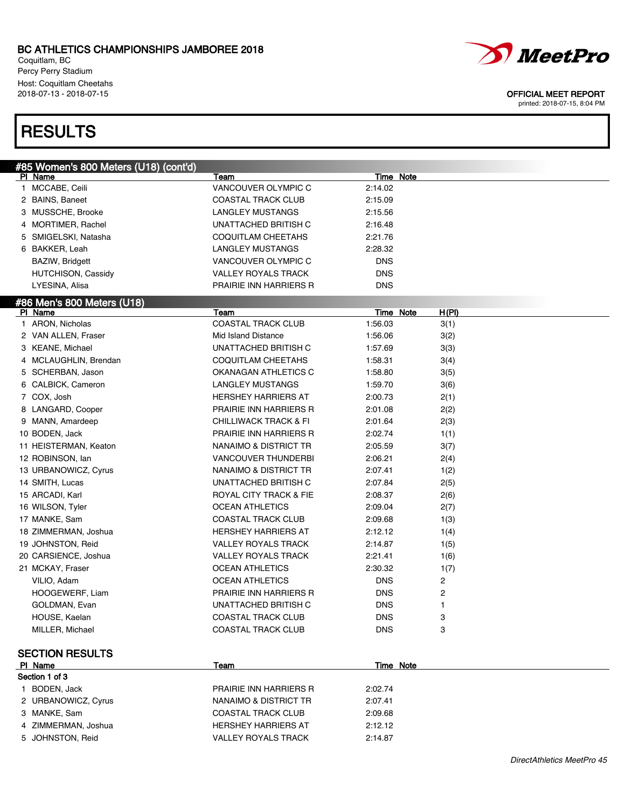Coquitlam, BC Percy Perry Stadium Host: Coquitlam Cheetahs<br>2018-07-13 - 2018-07-15

## **RESULTS**

| #85 Women's 800 Meters (U18) (cont'd) |                                  |            |                                  |
|---------------------------------------|----------------------------------|------------|----------------------------------|
| PI Name                               | Team                             |            | Time Note                        |
| 1 MCCABE, Ceili                       | VANCOUVER OLYMPIC C              | 2:14.02    |                                  |
| 2 BAINS, Baneet                       | COASTAL TRACK CLUB               | 2:15.09    |                                  |
| 3 MUSSCHE, Brooke                     | LANGLEY MUSTANGS                 | 2:15.56    |                                  |
| 4 MORTIMER, Rachel                    | UNATTACHED BRITISH C             | 2:16.48    |                                  |
| 5 SMIGELSKI, Natasha                  | COQUITLAM CHEETAHS               | 2:21.76    |                                  |
| 6 BAKKER, Leah                        | LANGLEY MUSTANGS                 | 2:28.32    |                                  |
| BAZIW, Bridgett                       | VANCOUVER OLYMPIC C              | <b>DNS</b> |                                  |
| HUTCHISON, Cassidy                    | <b>VALLEY ROYALS TRACK</b>       | <b>DNS</b> |                                  |
| LYESINA, Alisa                        | PRAIRIE INN HARRIERS R           | <b>DNS</b> |                                  |
| #86 Men's 800 Meters (U18)            |                                  |            |                                  |
| PI Name                               | Team                             |            | <b>Time Note</b><br><u>H(PI)</u> |
| 1 ARON, Nicholas                      | <b>COASTAL TRACK CLUB</b>        | 1:56.03    | 3(1)                             |
| 2 VAN ALLEN, Fraser                   | Mid Island Distance              | 1:56.06    | 3(2)                             |
| 3 KEANE, Michael                      | UNATTACHED BRITISH C             | 1:57.69    | 3(3)                             |
| 4 MCLAUGHLIN, Brendan                 | COQUITLAM CHEETAHS               | 1:58.31    | 3(4)                             |
| 5 SCHERBAN, Jason                     | OKANAGAN ATHLETICS C             | 1:58.80    | 3(5)                             |
| 6 CALBICK, Cameron                    | LANGLEY MUSTANGS                 | 1:59.70    | 3(6)                             |
| 7 COX, Josh                           | HERSHEY HARRIERS AT              | 2:00.73    | 2(1)                             |
| 8 LANGARD, Cooper                     | PRAIRIE INN HARRIERS R           | 2:01.08    | 2(2)                             |
| 9 MANN, Amardeep                      | <b>CHILLIWACK TRACK &amp; FI</b> | 2:01.64    | 2(3)                             |
| 10 BODEN, Jack                        | PRAIRIE INN HARRIERS R           | 2:02.74    | 1(1)                             |
| 11 HEISTERMAN, Keaton                 | NANAIMO & DISTRICT TR            | 2:05.59    | 3(7)                             |
| 12 ROBINSON, Ian                      | VANCOUVER THUNDERBI              | 2:06.21    | 2(4)                             |
| 13 URBANOWICZ, Cyrus                  | NANAIMO & DISTRICT TR            | 2:07.41    | 1(2)                             |
| 14 SMITH, Lucas                       | UNATTACHED BRITISH C             | 2:07.84    | 2(5)                             |
| 15 ARCADI, Karl                       | ROYAL CITY TRACK & FIE           | 2:08.37    | 2(6)                             |
| 16 WILSON, Tyler                      | <b>OCEAN ATHLETICS</b>           | 2:09.04    | 2(7)                             |
| 17 MANKE, Sam                         | COASTAL TRACK CLUB               | 2:09.68    | 1(3)                             |
| 18 ZIMMERMAN, Joshua                  | <b>HERSHEY HARRIERS AT</b>       | 2:12.12    | 1(4)                             |
| 19 JOHNSTON, Reid                     | <b>VALLEY ROYALS TRACK</b>       | 2:14.87    | 1(5)                             |
| 20 CARSIENCE, Joshua                  | <b>VALLEY ROYALS TRACK</b>       | 2:21.41    | 1(6)                             |
| 21 MCKAY, Fraser                      | <b>OCEAN ATHLETICS</b>           | 2:30.32    | 1(7)                             |
| VILIO, Adam                           | <b>OCEAN ATHLETICS</b>           | <b>DNS</b> | 2                                |
| HOOGEWERF, Liam                       | PRAIRIE INN HARRIERS R           | <b>DNS</b> | 2                                |
| GOLDMAN, Evan                         | UNATTACHED BRITISH C             | <b>DNS</b> | 1                                |
| HOUSE, Kaelan                         | <b>COASTAL TRACK CLUB</b>        | <b>DNS</b> | 3                                |
| MILLER, Michael                       | <b>COASTAL TRACK CLUB</b>        | <b>DNS</b> | 3                                |
|                                       |                                  |            |                                  |
| <b>SECTION RESULTS</b>                |                                  |            |                                  |
| PI Name                               | Team                             |            | Time Note                        |
| Section 1 of 3                        |                                  |            |                                  |
| 1 BODEN, Jack                         | PRAIRIE INN HARRIERS R           | 2:02.74    |                                  |
| 2 URBANOWICZ, Cyrus                   | NANAIMO & DISTRICT TR            | 2:07.41    |                                  |
| 3 MANKE, Sam                          | <b>COASTAL TRACK CLUB</b>        | 2:09.68    |                                  |
| 4 ZIMMERMAN, Joshua                   | HERSHEY HARRIERS AT              | 2:12.12    |                                  |

5 JOHNSTON, Reid VALLEY ROYALS TRACK 2:14.87



#### OFFICIAL MEET REPORT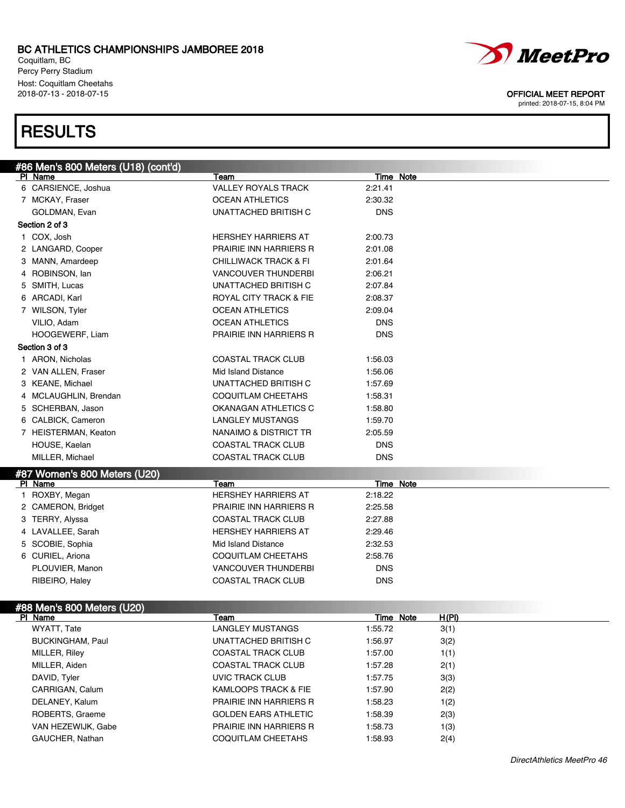Coquitlam, BC Percy Perry Stadium Host: Coquitlam Cheetahs

## **RESULTS**



```
MeetPro
```
2018-07-13 - 2018-07-15 OFFICIAL MEET REPORT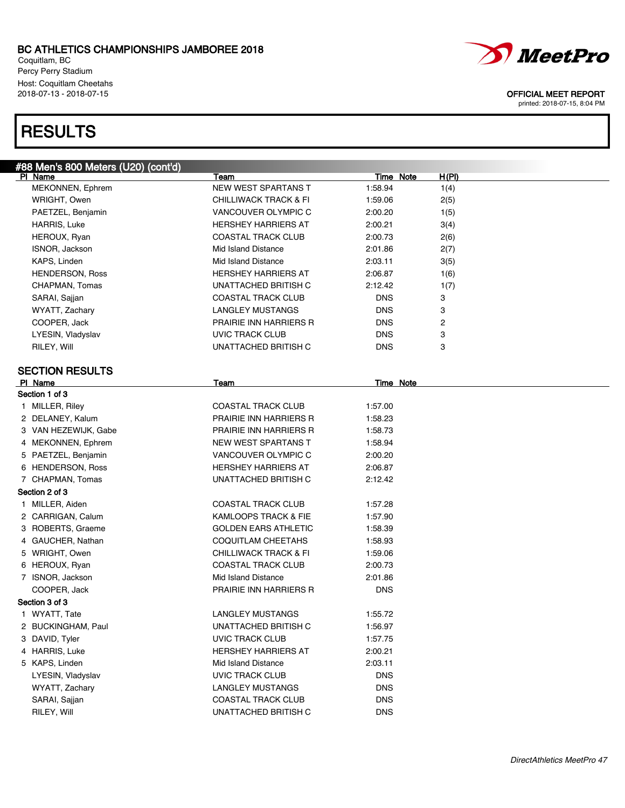Coquitlam, BC Percy Perry Stadium Host: Coquitlam Cheetahs<br>2018-07-13 - 2018-07-15

## **RESULTS**



### OFFICIAL MEET REPORT

| #88 Men's 800 Meters (U20) (cont'd) |                               |            |                           |
|-------------------------------------|-------------------------------|------------|---------------------------|
| PI Name                             | Team                          |            | <u>H(PI)</u><br>Time Note |
| MEKONNEN, Ephrem                    | <b>NEW WEST SPARTANS T</b>    | 1:58.94    | 1(4)                      |
| WRIGHT, Owen                        | CHILLIWACK TRACK & FI         | 1:59.06    | 2(5)                      |
| PAETZEL, Benjamin                   | VANCOUVER OLYMPIC C           | 2:00.20    | 1(5)                      |
| HARRIS, Luke                        | <b>HERSHEY HARRIERS AT</b>    | 2:00.21    | 3(4)                      |
| HEROUX, Ryan                        | <b>COASTAL TRACK CLUB</b>     | 2:00.73    | 2(6)                      |
| ISNOR, Jackson                      | Mid Island Distance           | 2:01.86    | 2(7)                      |
| KAPS, Linden                        | Mid Island Distance           | 2:03.11    | 3(5)                      |
| <b>HENDERSON, Ross</b>              | <b>HERSHEY HARRIERS AT</b>    | 2:06.87    | 1(6)                      |
| CHAPMAN, Tomas                      | UNATTACHED BRITISH C          | 2:12.42    | 1(7)                      |
| SARAI, Sajjan                       | <b>COASTAL TRACK CLUB</b>     | <b>DNS</b> | 3                         |
| WYATT, Zachary                      | <b>LANGLEY MUSTANGS</b>       | <b>DNS</b> | 3                         |
| COOPER, Jack                        | PRAIRIE INN HARRIERS R        | <b>DNS</b> | 2                         |
| LYESIN, Vladyslav                   | <b>UVIC TRACK CLUB</b>        | <b>DNS</b> | 3                         |
| RILEY, Will                         | UNATTACHED BRITISH C          | <b>DNS</b> | 3                         |
| <b>SECTION RESULTS</b>              |                               |            |                           |
| PI Name                             | Team                          |            | <b>Time Note</b>          |
| Section 1 of 3                      |                               |            |                           |
| 1 MILLER, Riley                     | <b>COASTAL TRACK CLUB</b>     | 1:57.00    |                           |
| 2 DELANEY, Kalum                    | PRAIRIE INN HARRIERS R        | 1:58.23    |                           |
| 3 VAN HEZEWIJK, Gabe                | <b>PRAIRIE INN HARRIERS R</b> | 1:58.73    |                           |
| 4 MEKONNEN, Ephrem                  | <b>NEW WEST SPARTANS T</b>    | 1:58.94    |                           |
| 5 PAETZEL, Benjamin                 | VANCOUVER OLYMPIC C           | 2:00.20    |                           |
| 6 HENDERSON, Ross                   | <b>HERSHEY HARRIERS AT</b>    | 2:06.87    |                           |
| 7 CHAPMAN, Tomas                    | UNATTACHED BRITISH C          | 2:12.42    |                           |
| Section 2 of 3                      |                               |            |                           |
| 1 MILLER, Aiden                     | <b>COASTAL TRACK CLUB</b>     | 1:57.28    |                           |
| 2 CARRIGAN, Calum                   | KAMLOOPS TRACK & FIE          | 1:57.90    |                           |
| 3 ROBERTS, Graeme                   | <b>GOLDEN EARS ATHLETIC</b>   | 1:58.39    |                           |
| 4 GAUCHER, Nathan                   | COQUITLAM CHEETAHS            | 1:58.93    |                           |
| 5 WRIGHT, Owen                      | CHILLIWACK TRACK & FI         | 1:59.06    |                           |
| 6 HEROUX, Ryan                      | <b>COASTAL TRACK CLUB</b>     | 2:00.73    |                           |
| 7 ISNOR, Jackson                    | Mid Island Distance           | 2:01.86    |                           |
| COOPER, Jack                        | PRAIRIE INN HARRIERS R        | <b>DNS</b> |                           |
| Section 3 of 3                      |                               |            |                           |
| 1 WYATT, Tate                       | <b>LANGLEY MUSTANGS</b>       | 1:55.72    |                           |
| 2 BUCKINGHAM, Paul                  | UNATTACHED BRITISH C          | 1:56.97    |                           |
| 3 DAVID, Tyler                      | <b>UVIC TRACK CLUB</b>        | 1:57.75    |                           |
| 4 HARRIS, Luke                      | <b>HERSHEY HARRIERS AT</b>    | 2:00.21    |                           |
| 5 KAPS, Linden                      | Mid Island Distance           | 2:03.11    |                           |
|                                     | <b>UVIC TRACK CLUB</b>        | <b>DNS</b> |                           |
| LYESIN, Vladyslav                   | <b>LANGLEY MUSTANGS</b>       | <b>DNS</b> |                           |
| WYATT, Zachary                      |                               |            |                           |
| SARAI, Sajjan                       | <b>COASTAL TRACK CLUB</b>     | <b>DNS</b> |                           |
| RILEY, Will                         | UNATTACHED BRITISH C          | <b>DNS</b> |                           |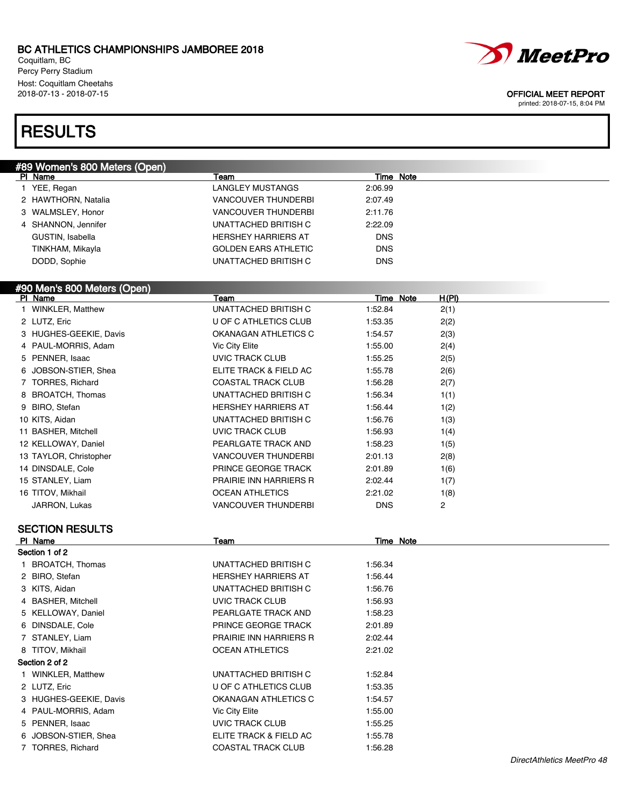Coquitlam, BC Percy Perry Stadium Host: Coquitlam Cheetahs

## RESULTS

| <u>#89 Wo</u> men's 800 Meters (Open)       |                             |                  |       |  |
|---------------------------------------------|-----------------------------|------------------|-------|--|
| PI Name                                     | Team                        | Time Note        |       |  |
| 1 YEE, Regan                                | <b>LANGLEY MUSTANGS</b>     | 2:06.99          |       |  |
| 2 HAWTHORN, Natalia                         | <b>VANCOUVER THUNDERBI</b>  | 2:07.49          |       |  |
| 3 WALMSLEY, Honor                           | <b>VANCOUVER THUNDERBI</b>  | 2:11.76          |       |  |
| 4 SHANNON, Jennifer                         | UNATTACHED BRITISH C        | 2:22.09          |       |  |
| GUSTIN, Isabella                            | <b>HERSHEY HARRIERS AT</b>  | <b>DNS</b>       |       |  |
| TINKHAM, Mikayla                            | <b>GOLDEN EARS ATHLETIC</b> | <b>DNS</b>       |       |  |
| DODD, Sophie                                | UNATTACHED BRITISH C        | <b>DNS</b>       |       |  |
|                                             |                             |                  |       |  |
| <u>#90 Men's 800 Meters (Open)</u>          |                             |                  |       |  |
| PI Name                                     | Team                        | <b>Time Note</b> | H(PI) |  |
| 1 WINKLER, Matthew                          | UNATTACHED BRITISH C        | 1:52.84          | 2(1)  |  |
| 2 LUTZ, Eric                                | U OF C ATHLETICS CLUB       | 1:53.35          | 2(2)  |  |
| 3 HUGHES-GEEKIE, Davis                      | OKANAGAN ATHLETICS C        | 1:54.57          | 2(3)  |  |
| 4 PAUL-MORRIS, Adam                         | Vic City Elite              | 1:55.00          | 2(4)  |  |
| 5 PENNER, Isaac                             | <b>UVIC TRACK CLUB</b>      | 1:55.25          | 2(5)  |  |
| 6 JOBSON STIER, Shea                        | ELITE TRACK & FIELD AC      | 1:55.78          | 2(6)  |  |
| 7 TORRES, Richard                           | COASTAL TRACK CLUB          | 1:56.28          | 2(7)  |  |
| 8 BROATCH, Thomas                           | UNATTACHED BRITISH C        | 1:56.34          | 1(1)  |  |
| 9 BIRO, Stefan                              | <b>HERSHEY HARRIERS AT</b>  | 1:56.44          | 1(2)  |  |
| 10 KITS, Aidan                              | UNATTACHED BRITISH C        | 1:56.76          | 1(3)  |  |
| 11 BASHER, Mitchell                         | <b>UVIC TRACK CLUB</b>      | 1:56.93          | 1(4)  |  |
| 12 KELLOWAY, Daniel                         | PEARLGATE TRACK AND         | 1:58.23          | 1(5)  |  |
| 13 TAYLOR, Christopher                      | <b>VANCOUVER THUNDERBI</b>  | 2:01.13          | 2(8)  |  |
| 14 DINSDALE, Cole                           | PRINCE GEORGE TRACK         | 2:01.89          | 1(6)  |  |
| 15 STANLEY, Liam                            | PRAIRIE INN HARRIERS R      | 2:02.44          | 1(7)  |  |
| 16 TITOV, Mikhail                           | <b>OCEAN ATHLETICS</b>      | 2:21.02          | 1(8)  |  |
| JARRON, Lukas                               | <b>VANCOUVER THUNDERBI</b>  | <b>DNS</b>       | 2     |  |
|                                             |                             |                  |       |  |
| <b>SECTION RESULTS</b>                      |                             |                  |       |  |
| <b>PI Name</b>                              | Team                        | <b>Time Note</b> |       |  |
| Section 1 of 2                              |                             |                  |       |  |
| 1 BROATCH, Thomas                           | UNATTACHED BRITISH C        | 1:56.34          |       |  |
| 2 BIRO, Stefan                              | <b>HERSHEY HARRIERS AT</b>  | 1:56.44          |       |  |
| 3 KITS, Aidan                               | UNATTACHED BRITISH C        | 1:56.76          |       |  |
| 4 BASHER, Mitchell                          | UVIC TRACK CLUB             | 1:56.93          |       |  |
| 5 KELLOWAY, Daniel                          | PEARLGATE TRACK AND         | 1:58.23          |       |  |
| 6 DINSDALE, Cole                            | PRINCE GEORGE TRACK         | 2:01.89          |       |  |
| 7 STANLEY, Liam                             | PRAIRIE INN HARRIERS R      | 2:02.44          |       |  |
| 8 TITOV, Mikhail                            | <b>OCEAN ATHLETICS</b>      | 2:21.02          |       |  |
| Section 2 of 2                              |                             |                  |       |  |
| $\overline{1}$ MINIZE $\overline{1}$ Manier | 11111TTAO1IPDDITIO1O        | $+$ . $   +$     |       |  |

1 WINKLER, Matthew **International Contract Contract Contract Contract Properties** 1:52.84 2 LUTZ, Eric **1:53.35** U OF C ATHLETICS CLUB 1:53.35 3 HUGHES-GEEKIE, Davis **OKANAGAN ATHLETICS C** 1:54.57 4 PAUL-MORRIS, Adam Vic City Elite 1:55.00 5 PENNER, Isaac UVIC TRACK CLUB 1:55.25 6 JOBSON-STIER, Shea ELITE TRACK & FIELD AC 1:55.78

7 TORRES, Richard COASTAL TRACK CLUB 1:56.28





### 2018-07-13 - 2018-07-15 OFFICIAL MEET REPORT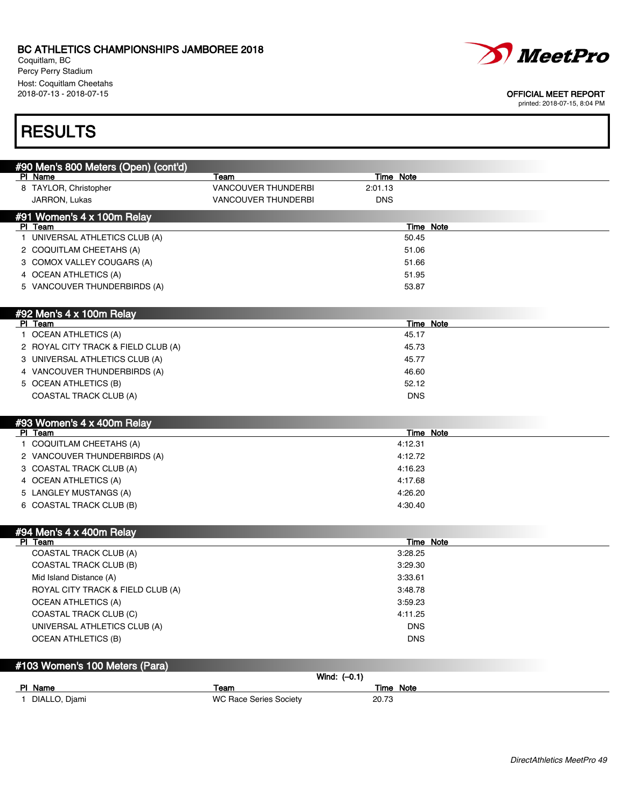Coquitlam, BC Percy Perry Stadium Host: Coquitlam Cheetahs<br>2018-07-13 - 2018-07-15



#### OFFICIAL MEET REPORT

printed: 2018-07-15, 8:04 PM

## **RESULTS**

| #90 Men's 800 Meters (Open) (cont'd)                   |                               |                |                       |  |
|--------------------------------------------------------|-------------------------------|----------------|-----------------------|--|
| PI Name                                                | Team                          |                | Time Note             |  |
| 8 TAYLOR, Christopher                                  | <b>VANCOUVER THUNDERBI</b>    |                | 2:01.13               |  |
| JARRON, Lukas                                          | <b>VANCOUVER THUNDERBI</b>    |                | <b>DNS</b>            |  |
| #91 Women's 4 x 100m Relay                             |                               |                |                       |  |
| PI Team                                                |                               |                | <b>Time Note</b>      |  |
| 1 UNIVERSAL ATHLETICS CLUB (A)                         |                               |                | 50.45                 |  |
| 2 COQUITLAM CHEETAHS (A)                               |                               |                | 51.06                 |  |
| 3 COMOX VALLEY COUGARS (A)                             |                               |                | 51.66                 |  |
| 4 OCEAN ATHLETICS (A)                                  |                               |                | 51.95                 |  |
| 5 VANCOUVER THUNDERBIRDS (A)                           |                               |                | 53.87                 |  |
|                                                        |                               |                |                       |  |
| #92 Men's 4 x 100m Relay                               |                               |                |                       |  |
| PI Team                                                |                               |                | Time Note             |  |
| 1 OCEAN ATHLETICS (A)                                  |                               |                | 45.17                 |  |
| 2 ROYAL CITY TRACK & FIELD CLUB (A)                    |                               |                | 45.73                 |  |
| 3 UNIVERSAL ATHLETICS CLUB (A)                         |                               |                | 45.77                 |  |
| 4 VANCOUVER THUNDERBIRDS (A)                           |                               |                | 46.60                 |  |
| 5 OCEAN ATHLETICS (B)                                  |                               |                | 52.12                 |  |
| <b>COASTAL TRACK CLUB (A)</b>                          |                               |                | <b>DNS</b>            |  |
|                                                        |                               |                |                       |  |
| #93 Women's 4 x 400m Relay                             |                               |                |                       |  |
| PI Team                                                |                               |                | Time Note             |  |
| 1 COQUITLAM CHEETAHS (A)                               |                               |                | 4:12.31               |  |
| 2 VANCOUVER THUNDERBIRDS (A)                           |                               |                | 4:12.72               |  |
| 3 COASTAL TRACK CLUB (A)                               |                               |                | 4:16.23               |  |
| 4 OCEAN ATHLETICS (A)                                  |                               |                | 4:17.68               |  |
| 5 LANGLEY MUSTANGS (A)                                 |                               |                | 4:26.20               |  |
| 6 COASTAL TRACK CLUB (B)                               |                               |                | 4:30.40               |  |
|                                                        |                               |                |                       |  |
| #94 Men's 4 x 400m Relay<br>PI Team                    |                               |                | Time Note             |  |
| COASTAL TRACK CLUB (A)                                 |                               |                | 3:28.25               |  |
| <b>COASTAL TRACK CLUB (B)</b>                          |                               |                | 3:29.30               |  |
| Mid Island Distance (A)                                |                               |                | 3:33.61               |  |
| ROYAL CITY TRACK & FIELD CLUB (A)                      |                               |                | 3:48.78               |  |
| <b>OCEAN ATHLETICS (A)</b>                             |                               |                | 3:59.23               |  |
|                                                        |                               |                |                       |  |
| COASTAL TRACK CLUB (C)<br>UNIVERSAL ATHLETICS CLUB (A) |                               |                | 4:11.25<br><b>DNS</b> |  |
| <b>OCEAN ATHLETICS (B)</b>                             |                               |                | <b>DNS</b>            |  |
|                                                        |                               |                |                       |  |
|                                                        |                               |                |                       |  |
| #103 Women's 100 Meters (Para)                         |                               | Wind: $(-0.1)$ |                       |  |
| PI Name                                                | Team                          |                | Time Note             |  |
| 1 DIALLO, Djami                                        | <b>WC Race Series Society</b> |                | 20.73                 |  |
|                                                        |                               |                |                       |  |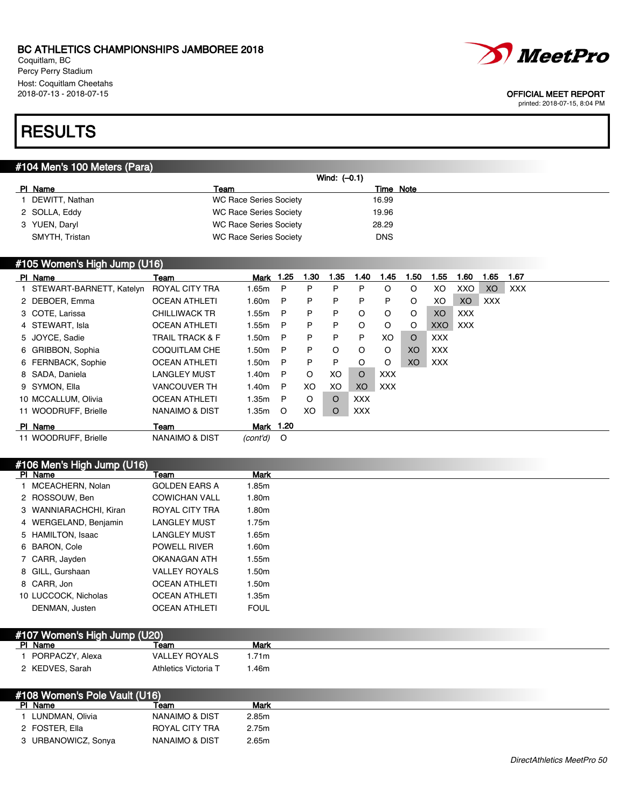Coquitlam, BC Percy Perry Stadium Host: Coquitlam Cheetahs<br>2018-07-13 - 2018-07-15



#### OFFICIAL MEET REPORT

printed: 2018-07-15, 8:04 PM

## **RESULTS**

### #104 Men's 100 Meters (Para)

|                |                               | Wind: $(-0.1)$ |
|----------------|-------------------------------|----------------|
| PI Name        | Team                          | Time Note      |
| DEWITT, Nathan | <b>WC Race Series Society</b> | 16.99          |
| 2 SOLLA, Eddy  | WC Race Series Society        | 19.96          |
| 3 YUEN, Daryl  | <b>WC Race Series Society</b> | 28.29          |
| SMYTH, Tristan | WC Race Series Society        | <b>DNS</b>     |
|                |                               |                |

### #105 Women's High Jump (U16)

| PI Name                    | Team                       | Mark              | 1.25         | 1.30    | 1.35    | 1.40       | 1.45       | ∣.50    | 1.55       | 1.60    | 1.65       | 1.67       |
|----------------------------|----------------------------|-------------------|--------------|---------|---------|------------|------------|---------|------------|---------|------------|------------|
| 1 STEWART-BARNETT, Katelyn | ROYAL CITY TRA             | 1.65m             | $\mathsf{P}$ | P       | P       | P          | O          | $\circ$ | XO         | XXO     | XO         | <b>XXX</b> |
| 2 DEBOER, Emma             | <b>OCEAN ATHLETI</b>       | 1.60m             | $\mathsf{P}$ | P       | P       | P          | P          | $\circ$ | XO         | XO      | <b>XXX</b> |            |
| 3 COTE, Larissa            | <b>CHILLIWACK TR</b>       | 1.55m             | P            | P       | P       | $\circ$    | $\circ$    | O       | XO.        | XXX     |            |            |
| 4 STEWART, Isla            | <b>OCEAN ATHLETI</b>       | 1.55m             | $\mathsf{P}$ | P       | P       | $\circ$    | $\circ$    | O       |            | XXO XXX |            |            |
| 5 JOYCE, Sadie             | <b>TRAIL TRACK &amp; F</b> | 1.50m             | $\mathsf{P}$ | P       | P       | P          | XO.        | $\circ$ | XXX        |         |            |            |
| 6 GRIBBON, Sophia          | <b>COQUITLAM CHE</b>       | 1.50 <sub>m</sub> | $\mathsf{P}$ | P       | O       | $\circ$    | $\circ$    | XO      | <b>XXX</b> |         |            |            |
| 6 FERNBACK, Sophie         | <b>OCEAN ATHLETI</b>       | 1.50m             | P            | P       | P       | $\circ$    | $\circ$    | XO.     | <b>XXX</b> |         |            |            |
| 8 SADA, Daniela            | <b>LANGLEY MUST</b>        | l.40m             | $\mathsf{P}$ | $\circ$ | XO      | $\Omega$   | <b>XXX</b> |         |            |         |            |            |
| 9 SYMON, Ella              | <b>VANCOUVER TH</b>        | 1.40m             | $\mathsf{P}$ | XO.     | XO      | XO         | <b>XXX</b> |         |            |         |            |            |
| 10 MCCALLUM, Olivia        | <b>OCEAN ATHLETI</b>       | 1.35m             | $\mathsf{P}$ | $\circ$ | $\circ$ | <b>XXX</b> |            |         |            |         |            |            |
| 11 WOODRUFF, Brielle       | NANAIMO & DIST             | 1.35m             | $\circ$      | XO.     | $\circ$ | <b>XXX</b> |            |         |            |         |            |            |
| PI Name                    | Team                       | <b>Mark 1.20</b>  |              |         |         |            |            |         |            |         |            |            |
| 11 WOODRUFF, Brielle       | NANAIMO & DIST             | $(cont'd)$ O      |              |         |         |            |            |         |            |         |            |            |

### #106 Men's High Jump (U16)

| PI Name                | Team                 | <b>Mark</b> |
|------------------------|----------------------|-------------|
| 1 MCEACHERN, Nolan     | <b>GOLDEN EARS A</b> | 1.85m       |
| 2 ROSSOUW, Ben         | <b>COWICHAN VALL</b> | 1.80m       |
| 3 WANNIARACHCHI, Kiran | ROYAL CITY TRA       | 1.80m       |
| 4 WERGELAND, Benjamin  | <b>LANGLEY MUST</b>  | 1.75m       |
| 5 HAMILTON, Isaac      | <b>LANGLEY MUST</b>  | 1.65m       |
| 6 BARON, Cole          | <b>POWELL RIVER</b>  | 1.60m       |
| 7 CARR, Jayden         | OKANAGAN ATH         | 1.55m       |
| 8 GILL, Gurshaan       | <b>VALLEY ROYALS</b> | 1.50m       |
| 8 CARR, Jon            | <b>OCEAN ATHLETI</b> | 1.50m       |
| 10 LUCCOCK, Nicholas   | <b>OCEAN ATHLETI</b> | 1.35m       |
| DENMAN, Justen         | <b>OCEAN ATHLETI</b> | <b>FOUL</b> |

| #107 Women's High Jump (U20) |                 |                      |      |
|------------------------------|-----------------|----------------------|------|
|                              | PI Name         | Team                 | Mark |
|                              | PORPACZY, Alexa | <b>VALLEY ROYALS</b> | .71m |
|                              | 2 KEDVES, Sarah | Athletics Victoria T | .46m |

### #108 Women's Pole Vault (U16)<br>Pl Name Team PI Name Team Team Mark 1 LUNDMAN, Olivia **NANAIMO & DIST** 2.85m 2 FOSTER, Ella ROYAL CITY TRA 2.75m 3 URBANOWICZ, Sonya NANAIMO & DIST 2.65m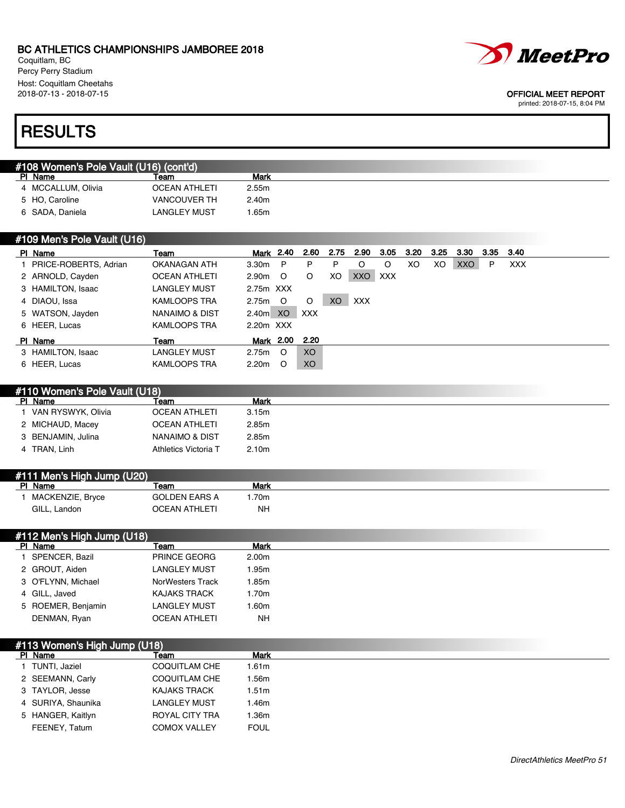Coquitlam, BC Percy Perry Stadium Host: Coquitlam Cheetahs<br>2018-07-13 - 2018-07-15

# **RESULTS**

| #108 Women's Pole Vault (U16) (cont'd) |      |      |
|----------------------------------------|------|------|
| PI Name                                | Team | Mark |
|                                        |      |      |

|                    | .                    |       |
|--------------------|----------------------|-------|
| 4 MCCALLUM, Olivia | <b>OCEAN ATHLETI</b> | 2.55m |
| 5 HO. Caroline     | <b>VANCOUVER TH</b>  | 2.40m |
| 6 SADA, Daniela    | <b>LANGLEY MUST</b>  | 1.65m |

### #109 Men's Pole Vault (U16)

| PI Name                 | Team                 |                   | Mark 2.40 | 2.60           | 2.75      | 2.90       | 3.05 | 3.20 | 3.25 | 3.30       | 3.35 | -3.40      |
|-------------------------|----------------------|-------------------|-----------|----------------|-----------|------------|------|------|------|------------|------|------------|
| 1 PRICE-ROBERTS, Adrian | OKANAGAN ATH         | 3.30m P           |           | P              | P         | O          | O    | XO   | XO.  | <b>XXO</b> | P    | <b>XXX</b> |
| 2 ARNOLD, Cayden        | <b>OCEAN ATHLETI</b> | 2.90m             | $\circ$   | $\circ$        | XO        | XXO XXX    |      |      |      |            |      |            |
| 3 HAMILTON, Isaac       | LANGLEY MUST         | 2.75m XXX         |           |                |           |            |      |      |      |            |      |            |
| 4 DIAOU, Issa           | <b>KAMLOOPS TRA</b>  | 2.75m O           |           | $\circ$        | <b>XO</b> | <b>XXX</b> |      |      |      |            |      |            |
| 5 WATSON, Jayden        | NANAIMO & DIST       | 2.40m XO          |           | <b>XXX</b>     |           |            |      |      |      |            |      |            |
| 6 HEER, Lucas           | <b>KAMLOOPS TRA</b>  | 2.20m XXX         |           |                |           |            |      |      |      |            |      |            |
| PI Name                 | Team                 |                   |           | Mark 2.00 2.20 |           |            |      |      |      |            |      |            |
| 3 HAMILTON, Isaac       | LANGLEY MUST         | 2.75m             | $\circ$   | XO             |           |            |      |      |      |            |      |            |
| 6 HEER, Lucas           | <b>KAMLOOPS TRA</b>  | 2.20 <sub>m</sub> | - 0       | XO             |           |            |      |      |      |            |      |            |

| #110 Women's Pole Vault (U18) |                      |       |  |  |  |  |
|-------------------------------|----------------------|-------|--|--|--|--|
| PI Name                       | leam                 | Mark  |  |  |  |  |
| 1 VAN RYSWYK, Olivia          | <b>OCEAN ATHLETI</b> | 3.15m |  |  |  |  |
| 2 MICHAUD, Macey              | <b>OCEAN ATHLETI</b> | 2.85m |  |  |  |  |
| 3 BENJAMIN, Julina            | NANAIMO & DIST       | 2.85m |  |  |  |  |
| 4 TRAN, Linh                  | Athletics Victoria T | 2.10m |  |  |  |  |
|                               |                      |       |  |  |  |  |

| #111 Men's High Jump (U20) |                  |                      |      |  |  |
|----------------------------|------------------|----------------------|------|--|--|
|                            | PI Name          | ⊺eam                 | Mark |  |  |
|                            | MACKENZIE, Bryce | <b>GOLDEN EARS A</b> | 70m  |  |  |
|                            | GILL, Landon     | OCEAN ATHLETI        | NΗ   |  |  |

| #112 Men's High Jump (U18) |                      |       |
|----------------------------|----------------------|-------|
| PI Name                    | Team                 | Mark  |
| SPENCER, Bazil             | <b>PRINCE GEORG</b>  | 2.00m |
| 2 GROUT, Aiden             | <b>LANGLEY MUST</b>  | 1.95m |
| 3 O'FLYNN, Michael         | NorWesters Track     | 1.85m |
| 4 GILL, Javed              | <b>KAJAKS TRACK</b>  | 1.70m |
| 5 ROEMER, Benjamin         | <b>LANGLEY MUST</b>  | .60m  |
| DENMAN, Ryan               | <b>OCEAN ATHLETI</b> | NΗ    |

| #113 Women's High Jump (U18) |                      |                   |  |  |
|------------------------------|----------------------|-------------------|--|--|
| PI Name                      | Team                 | Mark              |  |  |
| 1 TUNTI, Jaziel              | <b>COQUITLAM CHE</b> | 1.61 <sub>m</sub> |  |  |
| 2 SEEMANN, Carly             | <b>COQUITLAM CHE</b> | .56m              |  |  |
| 3 TAYLOR, Jesse              | <b>KAJAKS TRACK</b>  | 1.51m             |  |  |
| 4 SURIYA, Shaunika           | <b>LANGLEY MUST</b>  | .46m              |  |  |
| 5 HANGER, Kaitlyn            | ROYAL CITY TRA       | .36m              |  |  |
| FEENEY, Tatum                | <b>COMOX VALLEY</b>  | <b>FOUL</b>       |  |  |



### OFFICIAL MEET REPORT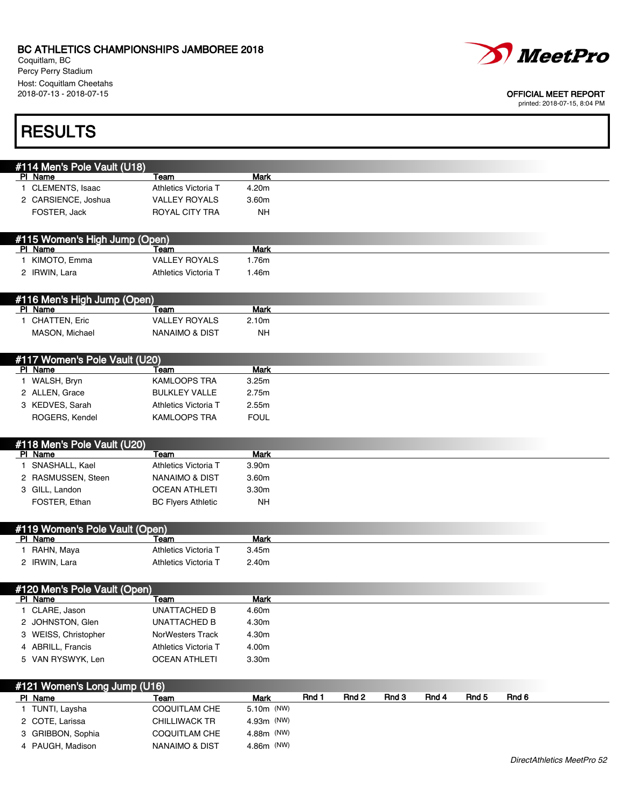4 PAUGH, Madison NANAIMO & DIST 4.86m (NW)

Coquitlam, BC Percy Perry Stadium Host: Coquitlam Cheetahs<br>2018-07-13 - 2018-07-15



### OFFICIAL MEET REPORT

| <b>RESULTS</b>                            |                                             |                          |       |       |       |       |       |       |  |
|-------------------------------------------|---------------------------------------------|--------------------------|-------|-------|-------|-------|-------|-------|--|
|                                           |                                             |                          |       |       |       |       |       |       |  |
| #114 Men's Pole Vault (U18)<br>PI Name    | Team                                        | Mark                     |       |       |       |       |       |       |  |
| 1 CLEMENTS, Isaac                         | Athletics Victoria T                        | 4.20m                    |       |       |       |       |       |       |  |
| 2 CARSIENCE, Joshua                       | <b>VALLEY ROYALS</b>                        | 3.60m                    |       |       |       |       |       |       |  |
| FOSTER, Jack                              | ROYAL CITY TRA                              | NΗ                       |       |       |       |       |       |       |  |
|                                           |                                             |                          |       |       |       |       |       |       |  |
| #115 Women's High Jump (Open)<br>PI Name  | Team                                        | <b>Mark</b>              |       |       |       |       |       |       |  |
| 1 KIMOTO, Emma                            | <b>VALLEY ROYALS</b>                        | 1.76m                    |       |       |       |       |       |       |  |
| 2 IRWIN, Lara                             | Athletics Victoria T                        | 1.46m                    |       |       |       |       |       |       |  |
|                                           |                                             |                          |       |       |       |       |       |       |  |
| #116 Men's High Jump (Open)               |                                             |                          |       |       |       |       |       |       |  |
| PI Name                                   | Team                                        | <b>Mark</b>              |       |       |       |       |       |       |  |
| 1 CHATTEN, Eric                           | <b>VALLEY ROYALS</b>                        | 2.10 <sub>m</sub>        |       |       |       |       |       |       |  |
| MASON, Michael                            | <b>NANAIMO &amp; DIST</b>                   | <b>NH</b>                |       |       |       |       |       |       |  |
|                                           |                                             |                          |       |       |       |       |       |       |  |
| #117 Women's Pole Vault (U20)             |                                             |                          |       |       |       |       |       |       |  |
| PI Name                                   | Team                                        | <b>Mark</b>              |       |       |       |       |       |       |  |
| 1 WALSH, Bryn                             | <b>KAMLOOPS TRA</b><br><b>BULKLEY VALLE</b> | 3.25m                    |       |       |       |       |       |       |  |
| 2 ALLEN, Grace<br>3 KEDVES, Sarah         | Athletics Victoria T                        | 2.75m<br>2.55m           |       |       |       |       |       |       |  |
| ROGERS, Kendel                            | <b>KAMLOOPS TRA</b>                         | <b>FOUL</b>              |       |       |       |       |       |       |  |
|                                           |                                             |                          |       |       |       |       |       |       |  |
| #118 Men's Pole Vault (U20)               |                                             |                          |       |       |       |       |       |       |  |
| PI Name                                   | Team                                        | <b>Mark</b>              |       |       |       |       |       |       |  |
| 1 SNASHALL, Kael                          | Athletics Victoria T                        | 3.90m                    |       |       |       |       |       |       |  |
| 2 RASMUSSEN, Steen                        | <b>NANAIMO &amp; DIST</b>                   | 3.60m                    |       |       |       |       |       |       |  |
| 3 GILL, Landon                            | <b>OCEAN ATHLETI</b>                        | 3.30m                    |       |       |       |       |       |       |  |
| FOSTER, Ethan                             | <b>BC Flyers Athletic</b>                   | NΗ                       |       |       |       |       |       |       |  |
|                                           |                                             |                          |       |       |       |       |       |       |  |
| #119 Women's Pole Vault (Open)<br>PI Name | Team                                        | <b>Mark</b>              |       |       |       |       |       |       |  |
| 1 RAHN, Maya                              | Athletics Victoria T                        | 3.45m                    |       |       |       |       |       |       |  |
| 2 IRWIN, Lara                             | Athletics Victoria T                        | 2.40m                    |       |       |       |       |       |       |  |
|                                           |                                             |                          |       |       |       |       |       |       |  |
| #120 Men's Pole Vault (Open)              |                                             |                          |       |       |       |       |       |       |  |
| PI Name                                   | Team                                        | <b>Mark</b>              |       |       |       |       |       |       |  |
| 1 CLARE, Jason                            | <b>UNATTACHED B</b>                         | 4.60m                    |       |       |       |       |       |       |  |
| 2 JOHNSTON, Glen                          | <b>UNATTACHED B</b>                         | 4.30m                    |       |       |       |       |       |       |  |
| 3 WEISS, Christopher                      | NorWesters Track                            | 4.30m                    |       |       |       |       |       |       |  |
| 4 ABRILL, Francis                         | Athletics Victoria T                        | 4.00m                    |       |       |       |       |       |       |  |
| 5 VAN RYSWYK, Len                         | <b>OCEAN ATHLETI</b>                        | 3.30m                    |       |       |       |       |       |       |  |
|                                           |                                             |                          |       |       |       |       |       |       |  |
| #121 Women's Long Jump (U16)<br>PI Name   | Team                                        | Mark                     | Rnd 1 | Rnd 2 | Rnd 3 | Rnd 4 | Rnd 5 | Rnd 6 |  |
|                                           |                                             |                          |       |       |       |       |       |       |  |
|                                           |                                             |                          |       |       |       |       |       |       |  |
| 1 TUNTI, Laysha<br>2 COTE, Larissa        | COQUITLAM CHE<br><b>CHILLIWACK TR</b>       | 5.10m (NW)<br>4.93m (NW) |       |       |       |       |       |       |  |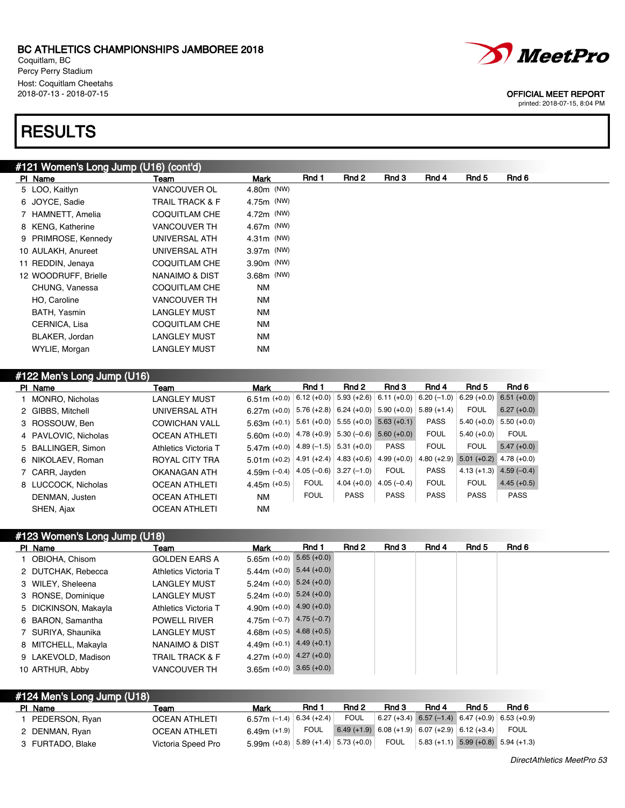Coquitlam, BC Percy Perry Stadium Host: Coquitlam Cheetahs<br>2018-07-13 - 2018-07-15

## **RESULTS**

| #121 Women's Long Jump (U16) (cont'd) |  |  |
|---------------------------------------|--|--|

| PI Name              | Team                       | Mark         | Rnd 1 | Rnd 2 | Rnd 3 | Rnd 4 | Rnd 5 | Rnd 6 |
|----------------------|----------------------------|--------------|-------|-------|-------|-------|-------|-------|
| 5 LOO, Kaitlyn       | <b>VANCOUVER OL</b>        | 4.80m (NW)   |       |       |       |       |       |       |
| 6 JOYCE, Sadie       | <b>TRAIL TRACK &amp; F</b> | 4.75m (NW)   |       |       |       |       |       |       |
| 7 HAMNETT, Amelia    | <b>COQUITLAM CHE</b>       | 4.72m (NW)   |       |       |       |       |       |       |
| 8 KENG, Katherine    | <b>VANCOUVER TH</b>        | 4.67m (NW)   |       |       |       |       |       |       |
| 9 PRIMROSE, Kennedy  | UNIVERSAL ATH              | $4.31m$ (NW) |       |       |       |       |       |       |
| 10 AULAKH, Anureet   | UNIVERSAL ATH              | 3.97m (NW)   |       |       |       |       |       |       |
| 11 REDDIN, Jenaya    | <b>COQUITLAM CHE</b>       | 3.90m (NW)   |       |       |       |       |       |       |
| 12 WOODRUFF, Brielle | NANAIMO & DIST             | 3.68m (NW)   |       |       |       |       |       |       |
| CHUNG, Vanessa       | <b>COQUITLAM CHE</b>       | NM           |       |       |       |       |       |       |
| HO, Caroline         | <b>VANCOUVER TH</b>        | NM           |       |       |       |       |       |       |
| BATH, Yasmin         | LANGLEY MUST               | NM           |       |       |       |       |       |       |
| CERNICA, Lisa        | <b>COQUITLAM CHE</b>       | NM           |       |       |       |       |       |       |
| BLAKER, Jordan       | <b>LANGLEY MUST</b>        | NM           |       |       |       |       |       |       |
| WYLIE, Morgan        | <b>LANGLEY MUST</b>        | <b>NM</b>    |       |       |       |       |       |       |

### #122 Men's Long Jump (U16)

| PI Name              | Team                 | Mark                                                            | Rnd 1       | Rnd 2                    | Rnd 3                                              | Rnd 4         | Rnd 5                     | Rnd 6         |
|----------------------|----------------------|-----------------------------------------------------------------|-------------|--------------------------|----------------------------------------------------|---------------|---------------------------|---------------|
| 1 MONRO, Nicholas    | LANGLEY MUST         | 6.51m $(+0.0)$                                                  |             |                          | $ 6.12(+0.0)  5.93(+2.6)  6.11(+0.0)  6.20(-1.0) $ |               | $6.29 (+0.0)$             | $6.51(+0.0)$  |
| 2 GIBBS, Mitchell    | UNIVERSAL ATH        | 6.27m $(+0.0)$                                                  |             |                          | $5.76 (+2.8)$ 6.24 (+0.0) 5.90 (+0.0)              | $5.89(+1.4)$  | <b>FOUL</b>               | $6.27 (+0.0)$ |
| 3 ROSSOUW, Ben       | <b>COWICHAN VALL</b> | $5.63\text{m}$ (+0.1) $5.61$ (+0.0) $5.55$ (+0.0) $5.63$ (+0.1) |             |                          |                                                    | <b>PASS</b>   | $5.40(+0.0)$              | $5.50(+0.0)$  |
| 4 PAVLOVIC, Nicholas | <b>OCEAN ATHLETI</b> | 5.60m (+0.0) $ 4.78$ (+0.9) $ 5.30$ (-0.6) 5.60 (+0.0)          |             |                          |                                                    | <b>FOUL</b>   | $5.40(+0.0)$              | <b>FOUL</b>   |
| 5 BALLINGER, Simon   | Athletics Victoria T | $5.47m$ (+0.0) 4.89 (-1.5) 5.31 (+0.0)                          |             |                          | <b>PASS</b>                                        | <b>FOUL</b>   | <b>FOUL</b>               | $5.47(+0.0)$  |
| 6 NIKOLAEV, Roman    | ROYAL CITY TRA       | $5.01$ m (+0.2) 4.91 (+2.4) 4.83 (+0.6)                         |             |                          | $4.99(+0.0)$                                       | $4.80 (+2.9)$ | $5.01 (+0.2)$ 4.78 (+0.0) |               |
| 7 CARR, Jayden       | OKANAGAN ATH         | 4.59m $(-0.4)$                                                  |             | $4.05(-0.6)$ 3.27 (-1.0) | <b>FOUL</b>                                        | <b>PASS</b>   | $4.13(+1.3)$              | $4.59(-0.4)$  |
| 8 LUCCOCK, Nicholas  | <b>OCEAN ATHLETI</b> | $4.45m (+0.5)$                                                  | <b>FOUL</b> | $4.04 (+0.0)$            | $4.05(-0.4)$                                       | <b>FOUL</b>   | <b>FOUL</b>               | $4.45 (+0.5)$ |
| DENMAN, Justen       | <b>OCEAN ATHLETI</b> | NM                                                              | <b>FOUL</b> | <b>PASS</b>              | <b>PASS</b>                                        | <b>PASS</b>   | <b>PASS</b>               | <b>PASS</b>   |
| SHEN, Ajax           | <b>OCEAN ATHLETI</b> | NM                                                              |             |                          |                                                    |               |                           |               |

## #123 Women's Long Jump (U18)

| PI Name              | Team                       | Mark                          | Rnd 1 | Rnd 2 | Rnd 3 | Rnd 4 | Rnd 5 | Rnd 6 |
|----------------------|----------------------------|-------------------------------|-------|-------|-------|-------|-------|-------|
| 1 OBIOHA, Chisom     | <b>GOLDEN EARS A</b>       | $5.65m (+0.0) 5.65 (+0.0)$    |       |       |       |       |       |       |
| 2 DUTCHAK, Rebecca   | Athletics Victoria T       | $5.44m (+0.0)$ $5.44 (+0.0)$  |       |       |       |       |       |       |
| 3 WILEY, Sheleena    | LANGLEY MUST               | $5.24m (+0.0)$ $5.24 (+0.0)$  |       |       |       |       |       |       |
| 3 RONSE, Dominique   | LANGLEY MUST               | $5.24$ m (+0.0) $5.24$ (+0.0) |       |       |       |       |       |       |
| 5 DICKINSON, Makayla | Athletics Victoria T       | 4.90m $(+0.0)$ 4.90 $(+0.0)$  |       |       |       |       |       |       |
| 6 BARON, Samantha    | <b>POWELL RIVER</b>        | 4.75m $(-0.7)$ 4.75 $(-0.7)$  |       |       |       |       |       |       |
| 7 SURIYA, Shaunika   | LANGLEY MUST               | 4.68m $(+0.5)$ 4.68 $(+0.5)$  |       |       |       |       |       |       |
| 8 MITCHELL, Makayla  | NANAIMO & DIST             | 4.49m $(+0.1)$ 4.49 $(+0.1)$  |       |       |       |       |       |       |
| 9 LAKEVOLD, Madison  | <b>TRAIL TRACK &amp; F</b> | 4.27m $(+0.0)$ 4.27 $(+0.0)$  |       |       |       |       |       |       |
| 10 ARTHUR, Abby      | <b>VANCOUVER TH</b>        | $3.65m (+0.0) 3.65 (+0.0)$    |       |       |       |       |       |       |

### #124 Men's Long Jump (U18)

| PI Name          | Team                 | Mark                                                             | Rnd 1 | Rnd 2                                             | Rnd 3  | Rnd 4                                                                  | Rnd 5 | Rnd 6                                             |
|------------------|----------------------|------------------------------------------------------------------|-------|---------------------------------------------------|--------|------------------------------------------------------------------------|-------|---------------------------------------------------|
| PEDERSON, Ryan   | <b>OCEAN ATHLETI</b> | 6.57m (-1.4) $ 6.34$ (+2.4) $ $                                  |       | FOUL                                              |        |                                                                        |       | $6.27 (+3.4) 6.57 (-1.4) 6.47 (+0.9) 6.53 (+0.9)$ |
| 2 DENMAN, Ryan   | <b>OCEAN ATHLETI</b> | 6.49m $(+1.9)$ FOUL                                              |       | $6.49 (+1.9) 6.08 (+1.9) 6.07 (+2.9) 6.12 (+3.4)$ |        |                                                                        |       | <b>FOUL</b>                                       |
| 3 FURTADO, Blake | Victoria Speed Pro   | $5.99$ m (+0.8) $\mid$ $5.89$ (+1.4) $\mid$ $5.73$ (+0.0) $\mid$ |       |                                                   | FOUL ' | $\vert 5.83 \, (+1.1) \vert 5.99 \, (+0.8) \vert 5.94 \, (+1.3) \vert$ |       |                                                   |



### OFFICIAL MEET REPORT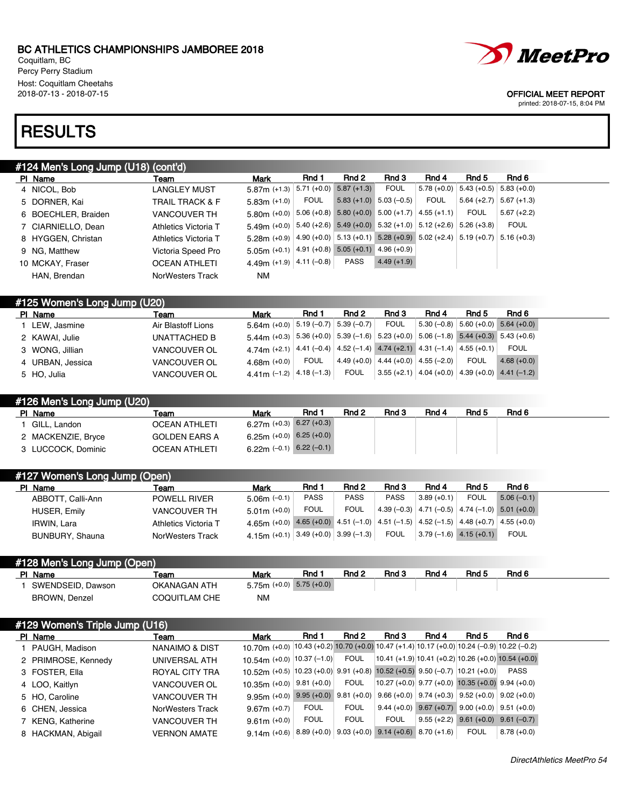Coquitlam, BC Percy Perry Stadium Host: Coquitlam Cheetahs<br>2018-07-13 - 2018-07-15

## **RESULTS**

## #124 Men's Long Jump (U18) (cont'd)

| PI Name             | Team                 | Mark                                                                                    | Rnd 1 | Rnd 2                     | Rnd 3        | Rnd 4                                 | Rnd 5                     | Rnd 6        |
|---------------------|----------------------|-----------------------------------------------------------------------------------------|-------|---------------------------|--------------|---------------------------------------|---------------------------|--------------|
| 4 NICOL, Bob        | <b>LANGLEY MUST</b>  | $5.87$ m (+1.3) $\mid 5.71$ (+0.0) $\mid 5.87$ (+1.3)                                   |       |                           | <b>FOUL</b>  | $5.78 (+0.0)$ 5.43 (+0.5) 5.83 (+0.0) |                           |              |
| 5 DORNER, Kai       | TRAIL TRACK & F      | $5.83m (+1.0)$                                                                          | FOUL  | $5.83 (+1.0) 5.03 (-0.5)$ |              | FOUL                                  | $5.64 (+2.7)$ 5.67 (+1.3) |              |
| 6 BOECHLER, Braiden | <b>VANCOUVER TH</b>  | $5.80$ m (+0.0) $ 5.06$ (+0.8) $5.80$ (+0.0) $5.00$ (+1.7) $ 4.55$ (+1.1)               |       |                           |              |                                       | <b>FOUL</b>               | $5.67(+2.2)$ |
| 7 CIARNIELLO, Dean  | Athletics Victoria T | $5.49$ m (+0.0) $5.40$ (+2.6) $5.49$ (+0.0) $5.32$ (+1.0) $5.12$ (+2.6) $5.26$ (+3.8)   |       |                           |              |                                       |                           | <b>FOUL</b>  |
| 8 HYGGEN, Christan  | Athletics Victoria T | $5.28$ m (+0.9) 4.90 (+0.0) 5.13 (+0.1) 5.28 (+0.9) 5.02 (+2.4) 5.19 (+0.7) 5.16 (+0.3) |       |                           |              |                                       |                           |              |
| 9 NG, Matthew       | Victoria Speed Pro   | $5.05m$ (+0.1) 4.91 (+0.8) 5.05 (+0.1) 4.96 (+0.9)                                      |       |                           |              |                                       |                           |              |
| 10 MCKAY, Fraser    | <b>OCEAN ATHLETI</b> | 4.49m (+1.9) $ 4.11$ (-0.8)                                                             |       | <b>PASS</b>               | $4.49(+1.9)$ |                                       |                           |              |
| HAN, Brendan        | NorWesters Track     | <b>NM</b>                                                                               |       |                           |              |                                       |                           |              |
|                     |                      |                                                                                         |       |                           |              |                                       |                           |              |

| #125 Women's Long Jump (U20) |                     |                                                                                                                                                                               |             |              |                                       |              |                             |              |  |
|------------------------------|---------------------|-------------------------------------------------------------------------------------------------------------------------------------------------------------------------------|-------------|--------------|---------------------------------------|--------------|-----------------------------|--------------|--|
| PI Name                      | Team                | <b>Mark</b>                                                                                                                                                                   | Rnd 1       | Rnd 2        | Rnd 3                                 | Rnd 4        | Rnd 5                       | Rnd 6        |  |
| LEW, Jasmine                 | Air Blastoff Lions  | $5.64$ m (+0.0) $  5.19 (-0.7)  $                                                                                                                                             |             | $5.39(-0.7)$ | <b>FOUL</b>                           | $5.30(-0.8)$ | $5.60 (+0.0)$ 5.64 $(+0.0)$ |              |  |
| 2 KAWAI, Julie               | UNATTACHED B        | $5.44$ m (+0.3) $\left  5.36 \right( +0.0) \left  5.39 \right( -1.6) \left  5.23 \right( +0.0) \left  5.06 \right( -1.8) \left  5.44 \right( +0.3) \left  5.43 \right( +0.6)$ |             |              |                                       |              |                             |              |  |
| 3 WONG, Jillian              | <b>VANCOUVER OL</b> | 4.74m (+2.1) 4.41 (-0.4) 4.52 (-1.4) 4.74 (+2.1) 4.31 (-1.4) 4.55 (+0.1)                                                                                                      |             |              |                                       |              |                             | <b>FOUL</b>  |  |
| 4 URBAN, Jessica             | <b>VANCOUVER OL</b> | 4 68m $(+0.0)$                                                                                                                                                                | <b>FOUL</b> |              | $4.49 (+0.0) 4.44 (+0.0) 4.55 (-2.0)$ |              | <b>FOUL</b>                 | $4.68(+0.0)$ |  |
| 5 HO, Julia                  | <b>VANCOUVER OL</b> | 4.41m (-1.2) $ 4.18$ (-1.3) $ $                                                                                                                                               |             | FOUL         | $ 3.55(+2.1) $ 4.04 (+0.0)            |              | $4.39 (+0.0)$ 4.41 (-1.2)   |              |  |

| #126 Men's Long Jump (U20) |                      |                              |       |       |       |       |       |       |
|----------------------------|----------------------|------------------------------|-------|-------|-------|-------|-------|-------|
| PI Name                    | Team                 | Mark                         | Rnd 1 | Rnd 2 | Rnd 3 | Rnd 4 | Rnd 5 | Rnd 6 |
| GILL. Landon               | <b>OCEAN ATHLETI</b> | $6.27$ m (+0.3) 6.27 (+0.3)  |       |       |       |       |       |       |
| 2 MACKENZIE, Bryce         | <b>GOLDEN EARS A</b> | 6.25m $(+0.0)$ 6.25 $(+0.0)$ |       |       |       |       |       |       |
| 3 LUCCOCK, Dominic         | <b>OCEAN ATHLETI</b> | 6.22m $(-0.1)$ 6.22 $(-0.1)$ |       |       |       |       |       |       |

| #127 Women's Long Jump (Open) |                         |                                                                                     |             |             |             |                          |             |                                                    |  |
|-------------------------------|-------------------------|-------------------------------------------------------------------------------------|-------------|-------------|-------------|--------------------------|-------------|----------------------------------------------------|--|
| PI Name                       | Team                    | <b>Mark</b>                                                                         | Rnd 1       | Rnd 2       | Rnd 3       | Rnd 4                    | Rnd 5       | Rnd 6                                              |  |
| ABBOTT, Calli-Ann             | <b>POWELL RIVER</b>     | $5.06m$ (-0.1)                                                                      | <b>PASS</b> | <b>PASS</b> | <b>PASS</b> | $3.89(+0.1)$             | <b>FOUL</b> | $5.06(-0.1)$                                       |  |
| <b>HUSER, Emily</b>           | <b>VANCOUVER TH</b>     | $5.01m (+0.0)$                                                                      | <b>FOUL</b> | <b>FOUL</b> |             |                          |             | $ 4.39(-0.3) $ 4.71 (-0.5) 4.74 (-1.0) 5.01 (+0.0) |  |
| <b>IRWIN, Lara</b>            | Athletics Victoria T    | 4.65 (+0.0) 4.65 (+0.0) 4.51 (-1.0) 4.51 (-1.5) 4.52 (-1.5) 4.48 (+0.7) 4.55 (+0.0) |             |             |             |                          |             |                                                    |  |
| BUNBURY, Shauna               | <b>NorWesters Track</b> | 4.15m (+0.1) $\mid$ 3.49 (+0.0) $\mid$ 3.99 (–1.3) $\mid$                           |             |             | <b>FOUL</b> | $3.79(-1.6)$ 4.15 (+0.1) |             | <b>FOUL</b>                                        |  |

### #128 Men's Long Jump (Open)

| PI Name           | Team                 | Mark                         | Rnd 1 | Rnd 2 | Rnd 3 | Rnd 4 | Rnd 5 | Rnd 6 |
|-------------------|----------------------|------------------------------|-------|-------|-------|-------|-------|-------|
| SWENDSEID, Dawson | OKANAGAN ATH         | $5.75m (+0.0)$ $5.75 (+0.0)$ |       |       |       |       |       |       |
| BROWN, Denzel     | <b>COQUITLAM CHE</b> | <b>NM</b>                    |       |       |       |       |       |       |

| #129 Women's Triple Jump (U16) |                     |                     |                                                                                             |              |             |                                                         |                                                         |             |                             |  |  |
|--------------------------------|---------------------|---------------------|---------------------------------------------------------------------------------------------|--------------|-------------|---------------------------------------------------------|---------------------------------------------------------|-------------|-----------------------------|--|--|
|                                | PI Name             | Team                | Mark                                                                                        | Rnd 1        | Rnd 2       | Rnd 3                                                   | Rnd 4                                                   | Rnd 5       | Rnd 6                       |  |  |
|                                | 1 PAUGH, Madison    | NANAIMO & DIST      | 10.70m (+0.0) 10.43 (+0.2) 10.70 (+0.0) 10.47 (+1.4) 10.17 (+0.0) 10.24 (-0.9) 10.22 (-0.2) |              |             |                                                         |                                                         |             |                             |  |  |
|                                | 2 PRIMROSE, Kennedy | UNIVERSAL ATH       | 10.54m (+0.0) $ 10.37(-1.0) $                                                               |              | <b>FOUL</b> | $10.41 (+1.9) 10.41 (+0.2) 10.26 (+0.0) 10.54 (+0.0)$   |                                                         |             |                             |  |  |
|                                | 3 FOSTER, Ella      | ROYAL CITY TRA      | 10.52m (+0.5) 10.23 (+0.0) 9.91 (+0.8) 10.52 (+0.5) 9.50 (-0.7) 10.21 (+0.0)                |              |             |                                                         |                                                         |             | <b>PASS</b>                 |  |  |
|                                | 4 LOO, Kaitlyn      | <b>VANCOUVER OL</b> | $10.35m$ (+0.0)                                                                             | $9.81(+0.0)$ | <b>FOUL</b> | $ 10.27(+0.0) $ 9.77 (+0.0) 10.35 (+0.0) 9.94 (+0.0)    |                                                         |             |                             |  |  |
|                                | 5 HO, Caroline      | <b>VANCOUVER TH</b> | 9.95m (+0.0) 9.95 (+0.0) 9.81 (+0.0) 9.66 (+0.0) 9.74 (+0.3) 9.52 (+0.0) 9.02 (+0.0)        |              |             |                                                         |                                                         |             |                             |  |  |
|                                | 6 CHEN, Jessica     | NorWesters Track    | $9.67m (+0.7)$                                                                              | <b>FOUL</b>  | <b>FOUL</b> |                                                         | $9.44 (+0.0)$ $9.67 (+0.7)$ $9.00 (+0.0)$ $9.51 (+0.0)$ |             |                             |  |  |
|                                | 7 KENG, Katherine   | <b>VANCOUVER TH</b> | $9.61m (+0.0)$                                                                              | <b>FOUL</b>  | <b>FOUL</b> | <b>FOUL</b>                                             | $9.55(+2.2)$                                            |             | $9.61 (+0.0)$ $9.61 (-0.7)$ |  |  |
|                                | 8 HACKMAN, Abigail  | <b>VERNON AMATE</b> | $914m (+0.6)$                                                                               |              |             | $8.89 (+0.0)$ $9.03 (+0.0)$ $9.14 (+0.6)$ $8.70 (+1.6)$ |                                                         | <b>FOUL</b> | $8.78(+0.0)$                |  |  |

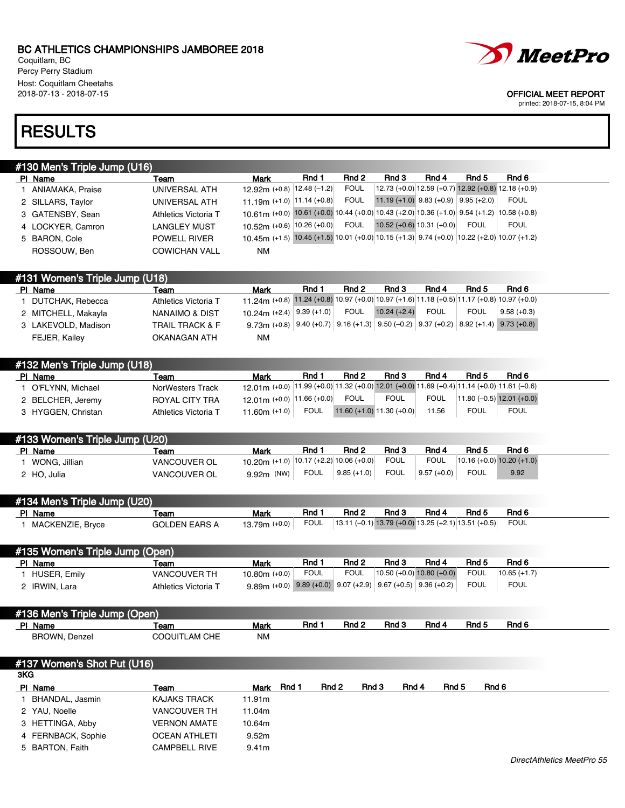Coquitlam, BC Percy Perry Stadium Host: Coquitlam Cheetahs<br>2018-07-13 - 2018-07-15



### OFFICIAL MEET REPORT

printed: 2018-07-15, 8:04 PM

## **RESULTS**

| #130 Men's Triple Jump (U16) |
|------------------------------|
|------------------------------|

|  | PI Name                        | Team                       | Mark                                                                                                                         | Rnd 1        | Rnd 2       | Rnd 3                                    | Rnd 4       | Rnd 5       | Rnd 6                                               |  |
|--|--------------------------------|----------------------------|------------------------------------------------------------------------------------------------------------------------------|--------------|-------------|------------------------------------------|-------------|-------------|-----------------------------------------------------|--|
|  | 1 ANIAMAKA, Praise             | UNIVERSAL ATH              | 12.92m (+0.8)   12.48 (-1.2)                                                                                                 |              | <b>FOUL</b> |                                          |             |             | 12.73 (+0.0) 12.59 (+0.7) 12.92 (+0.8) 12.18 (+0.9) |  |
|  | 2 SILLARS, Taylor              | UNIVERSAL ATH              | 11.19m (+1.0) $ 11.14$ (+0.8)                                                                                                |              | <b>FOUL</b> | 11.19 (+1.0) $9.83$ (+0.9) $9.95$ (+2.0) |             |             | <b>FOUL</b>                                         |  |
|  | 3 GATENSBY, Sean               | Athletics Victoria T       | 10.61 (+0.0) 10.61 (+0.0) 10.44 (+0.0) 10.43 (+2.0) 10.36 (+1.0) 9.54 (+1.2) 10.58 (+0.8)                                    |              |             |                                          |             |             |                                                     |  |
|  | 4 LOCKYER, Camron              | <b>LANGLEY MUST</b>        | 10.52m (+0.6) 10.26 (+0.0)                                                                                                   |              | FOUL        | $10.52 (+0.6) 10.31 (+0.0)$              |             | <b>FOUL</b> | <b>FOUL</b>                                         |  |
|  | 5 BARON, Cole                  | <b>POWELL RIVER</b>        | 10.45 (+1.5) 10.45 (+1.5) 10.01 (+0.0) 10.15 (+1.3) 9.74 (+0.0) 10.22 (+2.0) 10.07 (+1.2)                                    |              |             |                                          |             |             |                                                     |  |
|  | ROSSOUW, Ben                   | <b>COWICHAN VALL</b>       | NM                                                                                                                           |              |             |                                          |             |             |                                                     |  |
|  |                                |                            |                                                                                                                              |              |             |                                          |             |             |                                                     |  |
|  |                                |                            |                                                                                                                              |              |             |                                          |             |             |                                                     |  |
|  | #131 Women's Triple Jump (U18) |                            |                                                                                                                              |              |             |                                          |             |             |                                                     |  |
|  | PI Name                        | Team                       | Mark                                                                                                                         | Rnd 1        | Rnd 2       | Rnd 3                                    | Rnd 4       | Rnd 5       | Rnd 6                                               |  |
|  | 1 DUTCHAK, Rebecca             | Athletics Victoria T       | 11.24m (+0.8) 11.24 (+0.8) 10.97 (+0.0) 10.97 (+1.6) 11.18 (+0.5) 11.17 (+0.8) 10.97 (+0.0)                                  |              |             |                                          |             |             |                                                     |  |
|  | 2 MITCHELL, Makayla            | NANAIMO & DIST             | 10.24m $(+2.4)$                                                                                                              | $9.39(+1.0)$ | <b>FOUL</b> | $10.24 (+2.4)$                           | <b>FOUL</b> | <b>FOUL</b> | $9.58(+0.3)$                                        |  |
|  | 3 LAKEVOLD, Madison            | <b>TRAIL TRACK &amp; F</b> | 9.73m (+0.8) $\vert$ 9.40 (+0.7) $\vert$ 9.16 (+1.3) $\vert$ 9.50 (-0.2) $\vert$ 9.37 (+0.2) $\vert$ 8.92 (+1.4) 9.73 (+0.8) |              |             |                                          |             |             |                                                     |  |
|  | FEJER, Kailey                  | OKANAGAN ATH               | NM                                                                                                                           |              |             |                                          |             |             |                                                     |  |
|  |                                |                            |                                                                                                                              |              |             |                                          |             |             |                                                     |  |

| #132 Men's Triple Jump (U18) |                      |                                                                                              |             |       |                               |             |             |                             |
|------------------------------|----------------------|----------------------------------------------------------------------------------------------|-------------|-------|-------------------------------|-------------|-------------|-----------------------------|
| PI Name                      | Team                 | Mark                                                                                         | Rnd 1       | Rnd 2 | Rnd 3                         | Rnd 4       | Rnd 5       | Rnd 6                       |
| O'FLYNN, Michael             | NorWesters Track     | 12 01 m (+0.0) 11.99 (+0.0) 11.32 (+0.0) 12.01 (+0.0) 11.69 (+0.4) 11.14 (+0.0) 11.61 (-0.6) |             |       |                               |             |             |                             |
| 2 BELCHER, Jeremy            | ROYAL CITY TRA       | $12.01$ m (+0.0) $ 11.66$ (+0.0)                                                             |             | FOUL  | <b>FOUL</b>                   | <b>FOUL</b> |             | $11.80 (-0.5) 12.01 (+0.0)$ |
| 3 HYGGEN, Christan           | Athletics Victoria T | 11.60 $m$ (+1.0)                                                                             | <b>FOUL</b> |       | 11.60 $(+1.0)$ 11.30 $(+0.0)$ | 11.56       | <b>FOUL</b> | <b>FOUL</b>                 |

| Rnd 3<br>Rnd 4<br>Rnd 1<br>Rnd 2<br>Rnd 5<br>Rnd 6<br>PI Name<br>Mark<br>Team<br><b>FOUL</b><br><b>FOUL</b><br>$10.16 (+0.0) 10.20 (+1.0)$<br>10.20m (+1.0) 10.17 (+2.2) 10.06 (+0.0)<br>WONG, Jillian<br><b>VANCOUVER OL</b><br>FOUL<br>FOUL<br>$9.57(+0.0)$<br>FOUL<br>$\vert 9.85 (+1.0) \vert$<br>9.92<br>$9.92m$ (NW)<br><b>VANCOUVER OL</b><br>2 HO. Julia | #133 Women's Triple Jump (U20) |  |  |  |  |
|------------------------------------------------------------------------------------------------------------------------------------------------------------------------------------------------------------------------------------------------------------------------------------------------------------------------------------------------------------------|--------------------------------|--|--|--|--|
|                                                                                                                                                                                                                                                                                                                                                                  |                                |  |  |  |  |
|                                                                                                                                                                                                                                                                                                                                                                  |                                |  |  |  |  |
|                                                                                                                                                                                                                                                                                                                                                                  |                                |  |  |  |  |

| #134 Men's Triple Jump (U20) |               |                  |       |                                                            |       |       |       |       |  |  |
|------------------------------|---------------|------------------|-------|------------------------------------------------------------|-------|-------|-------|-------|--|--|
| PI Name                      | Team          | Mark             | Rnd 1 | Rnd 2                                                      | Rnd 3 | Rnd 4 | Rnd 5 | Rnd 6 |  |  |
| MACKENZIE, Bryce             | GOLDEN EARS A | 13.79 $m$ (+0.0) | FOUL  | $13.11$ (-0.1) 13.79 (+0.0) 13.25 (+2.1) 13.51 (+0.5) FOUL |       |       |       |       |  |  |

| #135 Women's Triple Jump (Open) |                      |                                                                         |             |             |       |                             |       |                |  |  |
|---------------------------------|----------------------|-------------------------------------------------------------------------|-------------|-------------|-------|-----------------------------|-------|----------------|--|--|
| PI Name                         | Team                 | Mark                                                                    | Rnd 1       | Rnd 2       | Rnd 3 | Rnd 4                       | Rnd 5 | Rnd 6          |  |  |
| HUSER, Emily                    | <b>VANCOUVER TH</b>  | $10.80m (+0.0)$                                                         | <b>FOUL</b> | <b>FOUL</b> |       | $10.50 (+0.0) 10.80 (+0.0)$ | FOUL  | $10.65 (+1.7)$ |  |  |
| 2 IRWIN, Lara                   | Athletics Victoria T | $9.89$ m (+0.0) $9.89$ (+0.0) $9.07$ (+2.9) $9.67$ (+0.5) $9.36$ (+0.2) |             |             |       |                             | FOUL  | FOUL           |  |  |

### #136 Men's Triple Jump (Open) PIName **Team Team Mark Rnd 1 Rnd 2 Rnd 3 Rnd 4** Rnd 5 Rnd 6 BROWN, Denzel COQUITLAM CHE NM

### #137 Women's Shot Put (U16)

| 3KG |                    |                      |        |       |       |       |       |       |       |
|-----|--------------------|----------------------|--------|-------|-------|-------|-------|-------|-------|
|     | PI Name            | Team                 | Mark   | Rnd 1 | Rnd 2 | Rnd 3 | Rnd 4 | Rnd 5 | Rnd 6 |
|     | BHANDAL, Jasmin    | KAJAKS TRACK         | 11.91m |       |       |       |       |       |       |
|     | 2 YAU, Noelle      | <b>VANCOUVER TH</b>  | 11.04m |       |       |       |       |       |       |
|     | 3 HETTINGA, Abby   | <b>VERNON AMATE</b>  | 10.64m |       |       |       |       |       |       |
|     | 4 FERNBACK, Sophie | <b>OCEAN ATHLETI</b> | 9.52m  |       |       |       |       |       |       |
|     | 5 BARTON, Faith    | <b>CAMPBELL RIVE</b> | 9.41m  |       |       |       |       |       |       |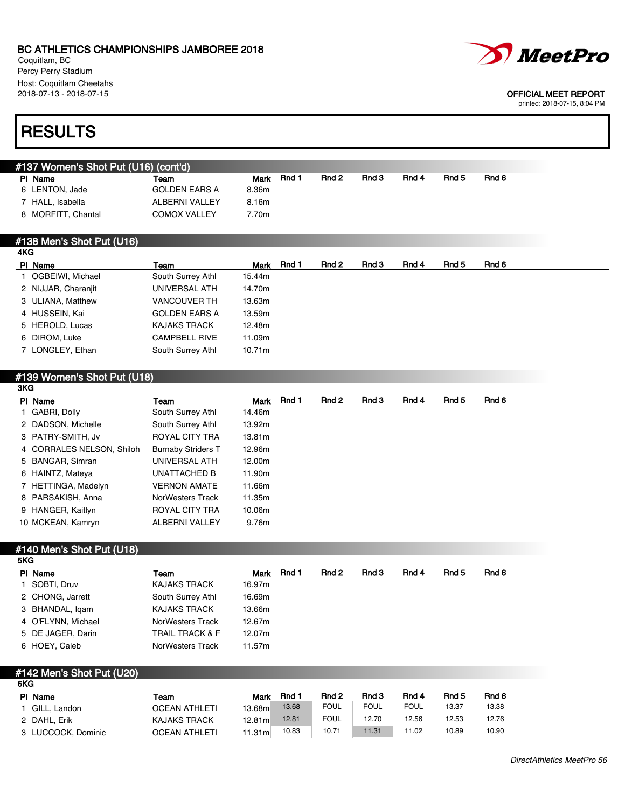8 MORFITT, Chantal **COMOX VALLEY** 7.70m

Coquitlam, BC Percy Perry Stadium Host: Coquitlam Cheetahs<br>2018-07-13 - 2018-07-15



| #137 Women's Shot Put (U16) (cont'd) |                       |               |       |       |       |       |       |
|--------------------------------------|-----------------------|---------------|-------|-------|-------|-------|-------|
| PI Name                              | Team                  | Rnd 1<br>Mark | Rnd 2 | Rnd 3 | Rnd 4 | Rnd 5 | Rnd 6 |
| LENTON, Jade                         | <b>GOLDEN EARS A</b>  | 8.36m         |       |       |       |       |       |
| HALL. Isabella                       | <b>ALBERNI VALLEY</b> | 8.16m         |       |       |       |       |       |

### #138 Men's Shot Put (U16)

| 4KG |                     |                      |        |       |       |       |       |       |       |
|-----|---------------------|----------------------|--------|-------|-------|-------|-------|-------|-------|
|     | PI Name             | Team                 | Mark   | Rnd 1 | Rnd 2 | Rnd 3 | Rnd 4 | Rnd 5 | Rnd 6 |
|     | 1 OGBEIWI, Michael  | South Surrey Athl    | 15.44m |       |       |       |       |       |       |
|     | 2 NIJJAR, Charanjit | UNIVERSAL ATH        | 14.70m |       |       |       |       |       |       |
|     | 3 ULIANA, Matthew   | <b>VANCOUVER TH</b>  | 13.63m |       |       |       |       |       |       |
|     | 4 HUSSEIN, Kai      | <b>GOLDEN EARS A</b> | 13.59m |       |       |       |       |       |       |
|     | 5 HEROLD, Lucas     | <b>KAJAKS TRACK</b>  | 12.48m |       |       |       |       |       |       |
|     | 6 DIROM, Luke       | <b>CAMPBELL RIVE</b> | 11.09m |       |       |       |       |       |       |
|     | 7 LONGLEY, Ethan    | South Surrey Athl    | 10.71m |       |       |       |       |       |       |
|     |                     |                      |        |       |       |       |       |       |       |

### #139 Women's Shot Put (U18)

| 3KG |                           |                           |        |       |       |       |       |       |       |
|-----|---------------------------|---------------------------|--------|-------|-------|-------|-------|-------|-------|
|     | PI Name                   | Team                      | Mark   | Rnd 1 | Rnd 2 | Rnd 3 | Rnd 4 | Rnd 5 | Rnd 6 |
|     | 1 GABRI, Dolly            | South Surrey Athl         | 14.46m |       |       |       |       |       |       |
|     | 2 DADSON, Michelle        | South Surrey Athl         | 13.92m |       |       |       |       |       |       |
|     | 3 PATRY-SMITH, Jv         | ROYAL CITY TRA            | 13.81m |       |       |       |       |       |       |
|     | 4 CORRALES NELSON, Shiloh | <b>Burnaby Striders T</b> | 12.96m |       |       |       |       |       |       |
|     | 5 BANGAR, Simran          | UNIVERSAL ATH             | 12.00m |       |       |       |       |       |       |
|     | 6 HAINTZ, Mateya          | UNATTACHED B              | 11.90m |       |       |       |       |       |       |
|     | 7 HETTINGA, Madelyn       | <b>VERNON AMATE</b>       | 11.66m |       |       |       |       |       |       |
|     | 8 PARSAKISH, Anna         | NorWesters Track          | 11.35m |       |       |       |       |       |       |
|     | 9 HANGER, Kaitlyn         | ROYAL CITY TRA            | 10.06m |       |       |       |       |       |       |
|     | 10 MCKEAN, Kamryn         | ALBERNI VALLEY            | 9.76m  |       |       |       |       |       |       |
|     |                           |                           |        |       |       |       |       |       |       |

#### #140 Men's Shot Put (U18) 5KG

| ---- |                    |                            |            |       |       |       |       |       |
|------|--------------------|----------------------------|------------|-------|-------|-------|-------|-------|
|      | PI Name            | Team                       | Mark Rnd 1 | Rnd 2 | Rnd 3 | Rnd 4 | Rnd 5 | Rnd 6 |
|      | SOBTI. Druv        | <b>KAJAKS TRACK</b>        | 16.97m     |       |       |       |       |       |
|      | 2 CHONG, Jarrett   | South Surrey Athl          | 16.69m     |       |       |       |       |       |
|      | 3 BHANDAL, Igam    | <b>KAJAKS TRACK</b>        | 13.66m     |       |       |       |       |       |
|      | 4 O'FLYNN, Michael | NorWesters Track           | 12.67m     |       |       |       |       |       |
|      | 5 DE JAGER, Darin  | <b>TRAIL TRACK &amp; F</b> | 12.07m     |       |       |       |       |       |
|      | 6 HOEY, Caleb      | NorWesters Track           | 11.57m     |       |       |       |       |       |
|      |                    |                            |            |       |       |       |       |       |

### #142 Men's Shot Put (U20) 6KG

| PI Name            | Team                 | Mark    | Rnd   | Rnd 2       | Rnd 3       | Rnd 4       | Rnd 5 | Rnd 6 |
|--------------------|----------------------|---------|-------|-------------|-------------|-------------|-------|-------|
| GILL. Landon       | <b>OCEAN ATHLETI</b> | 13.68m  | 13.68 | <b>FOUL</b> | <b>FOUL</b> | <b>FOUL</b> | 13.37 | 13.38 |
| 2 DAHL, Erik       | <b>KAJAKS TRACK</b>  | 12.81ml | 12.81 | <b>FOUL</b> | 12.70       | 12.56       | 12.53 | 12.76 |
| 3 LUCCOCK, Dominic | <b>OCEAN ATHLETI</b> | 11.31ml | 10.83 | 10.71       | 11.31       | 11.02       | 10.89 | 10.90 |



### OFFICIAL MEET REPORT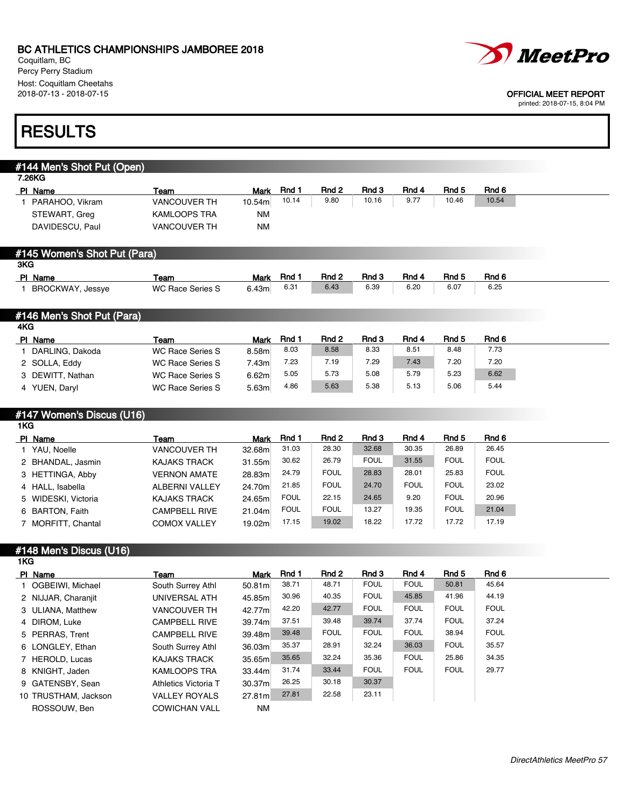Coquitlam, BC Percy Perry Stadium Host: Coquitlam Cheetahs



#### 2018-07-13 - 2018-07-15 OFFICIAL MEET REPORT

printed: 2018-07-15, 8:04 PM

## **RESULTS**

## #144 Men's Shot Put (Open) 7.26KG PIName **Team Team Mark Rnd 1 Rnd 2 Rnd 3 Rnd 4 Rnd 5** Rnd 6 Rnd 6 Rnd 5 Rnd 6 Rnd 5 Rnd 6 Rnd 5 Rnd 6 Rnd 6 Rnd 6 1 PARAHOO, Vikram VANCOUVER TH 10.54m 10.14 9.80 10.16 9.77 10.46 10.54 STEWART, Greg KAMLOOPS TRA NM DAVIDESCU, Paul VANCOUVER TH NM #145 Women's Shot Put (Para) 3KG PIName **Team Team Mark Rnd 1 Rnd 2 Rnd 3 Rnd 4 Rnd 5 Rnd 6** 1 BROCKWAY, Jessye WC Race Series S 6.43m 6.31 6.43 6.39 6.20 6.07 6.25 #146 Men's Shot Put (Para) 4KG PIName **Team Team Mark Rnd 1 Rnd 2 Rnd 3 Rnd 4 Rnd 5 Rnd 6** 1 DARLING, Dakoda WC Race Series S 8.58m 8.03 8.58 8.33 8.51 8.48 7.73 2 SOLLA, Eddy WC Race Series S 7.43m 7.23 7.19 7.29 7.43 7.20 7.20 3 DEWITT, Nathan WC Race Series S 6.62m 5.05 5.73 5.08 5.79 5.23 6.62 4 YUEN, Daryl WC Race Series S 5.63m 4.86 5.63 5.38 5.13 5.06 5.44 #147 Women's Discus (U16) 1KG PIName **Team Team Mark Rnd 1 Rnd 2 Rnd 3 Rnd 4 Rnd 5** Rnd 6 Rnd 6 Rnd 5 Rnd 6 Rnd 5 Rnd 6 Rnd 5 Rnd 6 Rnd 6 Rnd 6 1 YAU, Noelle VANCOUVER TH 32.68m 31.03 28.30 32.68 30.35 26.89 26.45 2 BHANDAL, Jasmin KAJAKS TRACK 31.55m 30.62 26.79 FOUL 31.55 FOUL FOUL 3 HETTINGA, Abby VERNON AMATE 28.83m 24.79 FOUL 28.83 28.01 25.83 FOUL 4 HALL, Isabella ALBERNI VALLEY 24.70m 21.85 FOUL 24.70 FOUL FOUL 23.02 5 WIDESKI, Victoria KAJAKS TRACK 24.65m FOUL 22.15 24.65 9.20 FOUL 20.96 6 BARTON, Faith CAMPBELL RIVE 21.04m FOUL FOUL 13.27 19.35 FOUL 21.04 7 MORFITT, Chantal COMOX VALLEY 19.02m 17.15 19.02 18.22 17.72 17.72 17.19 #148 Men's Discus (U16) 1KG PIName **Team Team Mark Rnd 1 Rnd 2 Rnd 3 Rnd 4 Rnd 5** Rnd 6 Rnd 6 Rnd 6 Rnd 6 Rnd 6 Rnd 6 Rnd 6 Rnd 6 Rnd 6 Rnd 6 1 OGBEIWI, Michael South Surrey Athl 50.81m 38.71 48.71 FOUL FOUL 50.81 45.64 2 NIJJAR, Charanjit UNIVERSAL ATH 45.85m 30.96 40.35 FOUL 45.85 41.96 44.19 3 ULIANA, Matthew VANCOUVER TH 42.77m 42.20 42.77 FOUL FOUL FOUL FOUL

| 3 ULIANA, Matthew    | <b>VANCOUVER TH</b>  | 42.77m             | 42.20 | 42.77       | <b>FOUL</b> | <b>FOUL</b> | <b>FOUL</b> | <b>FOUL</b> |
|----------------------|----------------------|--------------------|-------|-------------|-------------|-------------|-------------|-------------|
| 4 DIROM, Luke        | <b>CAMPBELL RIVE</b> | 39.74m             | 37.51 | 39.48       | 39.74       | 37.74       | <b>FOUL</b> | 37.24       |
| 5 PERRAS, Trent      | <b>CAMPBELL RIVE</b> | 39.48m             | 39.48 | <b>FOUL</b> | <b>FOUL</b> | <b>FOUL</b> | 38.94       | <b>FOUL</b> |
| 6 LONGLEY, Ethan     | South Surrey Athl    | 36.03m             | 35.37 | 28.91       | 32.24       | 36.03       | <b>FOUL</b> | 35.57       |
| 7 HEROLD, Lucas      | <b>KAJAKS TRACK</b>  | 35.65m             | 35.65 | 32.24       | 35.36       | <b>FOUL</b> | 25.86       | 34.35       |
| 8 KNIGHT, Jaden      | <b>KAMLOOPS TRA</b>  | 33.44m             | 31.74 | 33.44       | <b>FOUL</b> | <b>FOUL</b> | <b>FOUL</b> | 29.77       |
| 9 GATENSBY, Sean     | Athletics Victoria T | 30.37ml            | 26.25 | 30.18       | 30.37       |             |             |             |
| 10 TRUSTHAM, Jackson | <b>VALLEY ROYALS</b> | 27.81 <sub>m</sub> | 27.81 | 22.58       | 23.11       |             |             |             |
| ROSSOUW, Ben         | <b>COWICHAN VALL</b> | NM                 |       |             |             |             |             |             |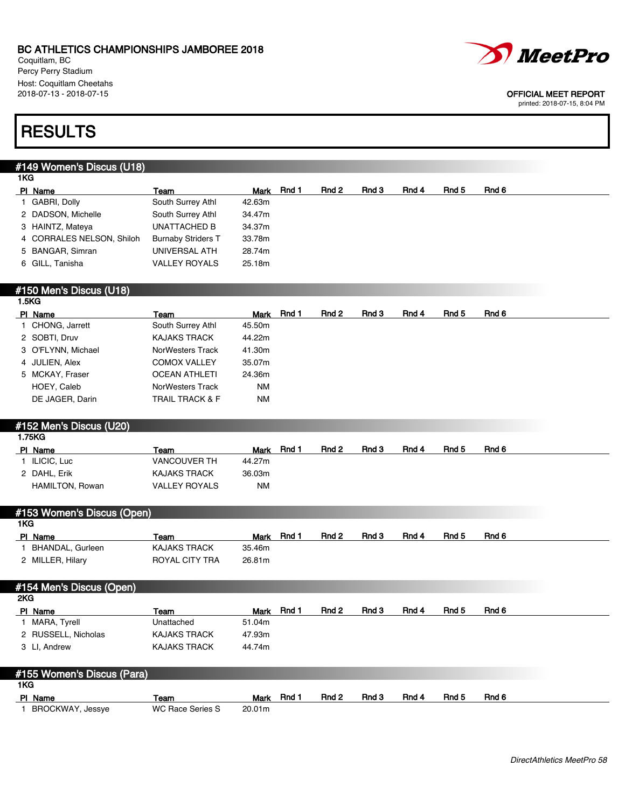Coquitlam, BC Percy Perry Stadium Host: Coquitlam Cheetahs<br>2018-07-13 - 2018-07-15



### OFFICIAL MEET REPORT

printed: 2018-07-15, 8:04 PM

## **RESULTS**

### #149 Women's Discus (U18)

| 1KG |                           |                           |        |            |       |       |       |       |       |
|-----|---------------------------|---------------------------|--------|------------|-------|-------|-------|-------|-------|
|     | PI Name                   | Team                      |        | Mark Rnd 1 | Rnd 2 | Rnd 3 | Rnd 4 | Rnd 5 | Rnd 6 |
|     | GABRI, Dolly              | South Surrey Athl         | 42.63m |            |       |       |       |       |       |
|     | 2 DADSON, Michelle        | South Surrey Athl         | 34.47m |            |       |       |       |       |       |
|     | 3 HAINTZ, Mateya          | <b>UNATTACHED B</b>       | 34.37m |            |       |       |       |       |       |
|     | 4 CORRALES NELSON, Shiloh | <b>Burnaby Striders T</b> | 33.78m |            |       |       |       |       |       |
|     | 5 BANGAR, Simran          | UNIVERSAL ATH             | 28.74m |            |       |       |       |       |       |
|     | 6 GILL, Tanisha           | <b>VALLEY ROYALS</b>      | 25.18m |            |       |       |       |       |       |
|     |                           |                           |        |            |       |       |       |       |       |

### #150 Men's Discus (U18) 1.5KG

| PI Name            | Team                       | Mark      | Rnd 1 | Rnd 2 | Rnd 3 | Rnd 4 | Rnd 5 | Rnd 6 |
|--------------------|----------------------------|-----------|-------|-------|-------|-------|-------|-------|
| 1 CHONG, Jarrett   | South Surrey Athl          | 45.50m    |       |       |       |       |       |       |
| 2 SOBTI, Druv      | KAJAKS TRACK               | 44.22m    |       |       |       |       |       |       |
| 3 O'FLYNN, Michael | NorWesters Track           | 41.30m    |       |       |       |       |       |       |
| 4 JULIEN, Alex     | <b>COMOX VALLEY</b>        | 35.07m    |       |       |       |       |       |       |
| 5 MCKAY, Fraser    | <b>OCEAN ATHLETI</b>       | 24.36m    |       |       |       |       |       |       |
| HOEY, Caleb        | NorWesters Track           | <b>NM</b> |       |       |       |       |       |       |
| DE JAGER, Darin    | <b>TRAIL TRACK &amp; F</b> | <b>NM</b> |       |       |       |       |       |       |

## #152 Men's Discus (U20)

| 1.75KG          |                      |             |       |       |       |       |       |       |
|-----------------|----------------------|-------------|-------|-------|-------|-------|-------|-------|
| PI Name         | Team                 | <b>Mark</b> | Rnd 1 | Rnd 2 | Rnd 3 | Rnd 4 | Rnd 5 | Rnd 6 |
| ILICIC, Luc     | <b>VANCOUVER TH</b>  | 44.27m      |       |       |       |       |       |       |
| 2 DAHL, Erik    | <b>KAJAKS TRACK</b>  | 36.03m      |       |       |       |       |       |       |
| HAMILTON, Rowan | <b>VALLEY ROYALS</b> | NM          |       |       |       |       |       |       |
|                 |                      |             |       |       |       |       |       |       |

## #153 Women's Discus (Open)

| 1KG |                  |                |             |       |       |       |       |       |       |
|-----|------------------|----------------|-------------|-------|-------|-------|-------|-------|-------|
|     | PI Name          | Team           | <b>Mark</b> | Rnd * | Rnd 2 | Rnd 3 | Rnd 4 | Rnd 5 | Rnd 6 |
|     | BHANDAL, Gurleen | KAJAKS TRACK   | 35.46m      |       |       |       |       |       |       |
|     | 2 MILLER, Hilary | ROYAL CITY TRA | 26.81m      |       |       |       |       |       |       |

### #154 Men's Discus (Open) 2KG PIName Team Team Mark Rnd 1 Rnd 2 Rnd 3 Rnd 4 Rnd 5 Rnd 6 1 MARA, Tyrell Unattached 51.04m 2 RUSSELL, Nicholas KAJAKS TRACK 47.93m 3 LI, Andrew **KAJAKS TRACK** 44.74m

| #155 Women's Discus (Para) |                  |        |            |                  |       |       |       |       |
|----------------------------|------------------|--------|------------|------------------|-------|-------|-------|-------|
| 1KG.                       |                  |        |            |                  |       |       |       |       |
| PI Name                    | Team             | Mark   | <b>Rnd</b> | Rnd <sub>2</sub> | Rnd 3 | Rnd 4 | Rnd 5 | Rnd 6 |
| BROCKWAY, Jessye           | WC Race Series S | 20.01m |            |                  |       |       |       |       |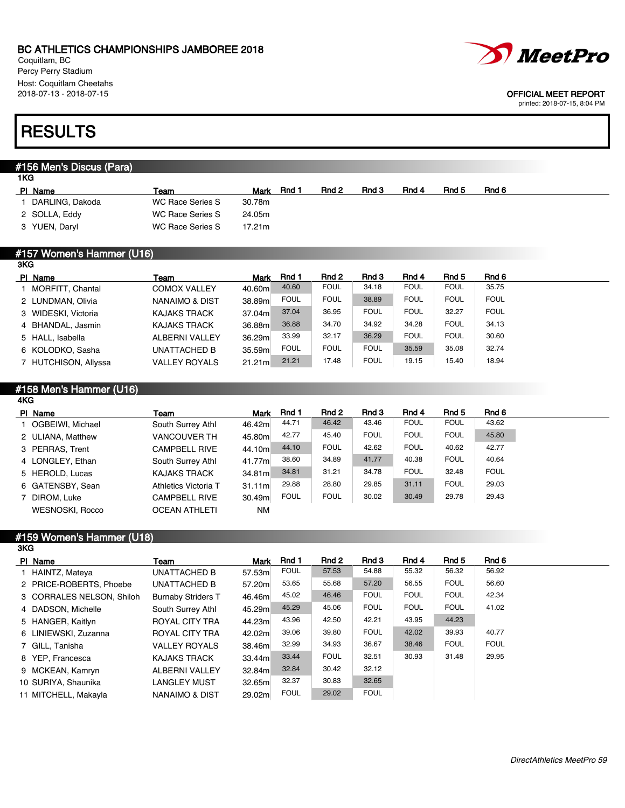Coquitlam, BC Percy Perry Stadium Host: Coquitlam Cheetahs<br>2018-07-13 - 2018-07-15

# **RESULTS**

#### #156 Men's Discus (Para)  $1KG$

| PI Name         | Team             | Mark   | Rnd | Rnd 2 | Rnd 3 | Rnd 4 | Rnd 5 | Rnd 6 |
|-----------------|------------------|--------|-----|-------|-------|-------|-------|-------|
| DARLING, Dakoda | WC Race Series S | 30.78m |     |       |       |       |       |       |
| 2 SOLLA, Eddy   | WC Race Series S | 24.05m |     |       |       |       |       |       |
| 3 YUEN, Daryl   | WC Race Series S | 17.21m |     |       |       |       |       |       |
|                 |                  |        |     |       |       |       |       |       |

#### #157 Women's Hammer (U16) 3KG

| PI Name              | Team                      | <b>Mark</b> | Rnd 1       | Rnd 2       | Rnd 3       | Rnd 4       | Rnd 5       | Rnd 6       |
|----------------------|---------------------------|-------------|-------------|-------------|-------------|-------------|-------------|-------------|
| 1 MORFITT, Chantal   | <b>COMOX VALLEY</b>       | 40.60m      | 40.60       | <b>FOUL</b> | 34.18       | <b>FOUL</b> | <b>FOUL</b> | 35.75       |
| 2 LUNDMAN, Olivia    | <b>NANAIMO &amp; DIST</b> | 38.89m      | <b>FOUL</b> | <b>FOUL</b> | 38.89       | <b>FOUL</b> | <b>FOUL</b> | <b>FOUL</b> |
| 3 WIDESKI, Victoria  | <b>KAJAKS TRACK</b>       | 37.04m      | 37.04       | 36.95       | <b>FOUL</b> | <b>FOUL</b> | 32.27       | <b>FOUL</b> |
| 4 BHANDAL, Jasmin    | <b>KAJAKS TRACK</b>       | 36.88m      | 36.88       | 34.70       | 34.92       | 34.28       | <b>FOUL</b> | 34.13       |
| 5 HALL, Isabella     | <b>ALBERNI VALLEY</b>     | 36.29m      | 33.99       | 32.17       | 36.29       | <b>FOUL</b> | <b>FOUL</b> | 30.60       |
| 6 KOLODKO, Sasha     | <b>UNATTACHED B</b>       | 35.59ml     | <b>FOUL</b> | <b>FOUL</b> | <b>FOUL</b> | 35.59       | 35.08       | 32.74       |
| 7 HUTCHISON, Allyssa | <b>VALLEY ROYALS</b>      | 21.21m      | 21.21       | 17.48       | <b>FOUL</b> | 19.15       | 15.40       | 18.94       |

#### #158 Men's Hammer (U16) 4KG

| PI Name                | Team                 | <b>Mark</b> | Rnd 1       | Rnd 2       | Rnd 3       | Rnd 4       | Rnd 5       | Rnd 6       |
|------------------------|----------------------|-------------|-------------|-------------|-------------|-------------|-------------|-------------|
| 1 OGBEIWI, Michael     | South Surrey Athl    | 46.42m      | 44.71       | 46.42       | 43.46       | <b>FOUL</b> | <b>FOUL</b> | 43.62       |
| 2 ULIANA, Matthew      | <b>VANCOUVER TH</b>  | 45.80m      | 42.77       | 45.40       | <b>FOUL</b> | <b>FOUL</b> | <b>FOUL</b> | 45.80       |
| 3 PERRAS, Trent        | <b>CAMPBELL RIVE</b> | 44.10ml     | 44.10       | <b>FOUL</b> | 42.62       | <b>FOUL</b> | 40.62       | 42.77       |
| 4 LONGLEY, Ethan       | South Surrey Athl    | 41.77m      | 38.60       | 34.89       | 41.77       | 40.38       | <b>FOUL</b> | 40.64       |
| 5 HEROLD, Lucas        | <b>KAJAKS TRACK</b>  | 34.81m      | 34.81       | 31.21       | 34.78       | <b>FOUL</b> | 32.48       | <b>FOUL</b> |
| 6 GATENSBY, Sean       | Athletics Victoria T | 31.11m      | 29.88       | 28.80       | 29.85       | 31.11       | <b>FOUL</b> | 29.03       |
| 7 DIROM, Luke          | <b>CAMPBELL RIVE</b> | 30.49m      | <b>FOUL</b> | <b>FOUL</b> | 30.02       | 30.49       | 29.78       | 29.43       |
| <b>WESNOSKI, Rocco</b> | <b>OCEAN ATHLETI</b> | <b>NM</b>   |             |             |             |             |             |             |
|                        |                      |             |             |             |             |             |             |             |

#### #159 Women's Hammer (U18) 3KG

| PI Name                   | Team                      | Mark    | Rnd 1       | Rnd 2       | Rnd 3       | Rnd 4       | Rnd 5       | Rnd 6       |
|---------------------------|---------------------------|---------|-------------|-------------|-------------|-------------|-------------|-------------|
| 1 HAINTZ, Mateya          | UNATTACHED B              | 57.53m  | <b>FOUL</b> | 57.53       | 54.88       | 55.32       | 56.32       | 56.92       |
| 2 PRICE-ROBERTS, Phoebe   | UNATTACHED B              | 57.20m  | 53.65       | 55.68       | 57.20       | 56.55       | <b>FOUL</b> | 56.60       |
| 3 CORRALES NELSON, Shiloh | <b>Burnaby Striders T</b> | 46.46m  | 45.02       | 46.46       | <b>FOUL</b> | <b>FOUL</b> | <b>FOUL</b> | 42.34       |
| 4 DADSON, Michelle        | South Surrey Athl         | 45.29ml | 45.29       | 45.06       | <b>FOUL</b> | <b>FOUL</b> | <b>FOUL</b> | 41.02       |
| 5 HANGER, Kaitlyn         | ROYAL CITY TRA            | 44.23m  | 43.96       | 42.50       | 42.21       | 43.95       | 44.23       |             |
| 6 LINIEWSKI, Zuzanna      | ROYAL CITY TRA            | 42.02m  | 39.06       | 39.80       | <b>FOUL</b> | 42.02       | 39.93       | 40.77       |
| 7 GILL, Tanisha           | <b>VALLEY ROYALS</b>      | 38.46m  | 32.99       | 34.93       | 36.67       | 38.46       | <b>FOUL</b> | <b>FOUL</b> |
| 8 YEP. Francesca          | <b>KAJAKS TRACK</b>       | 33.44m  | 33.44       | <b>FOUL</b> | 32.51       | 30.93       | 31.48       | 29.95       |
| 9 MCKEAN, Kamryn          | <b>ALBERNI VALLEY</b>     | 32.84m  | 32.84       | 30.42       | 32.12       |             |             |             |
| 10 SURIYA, Shaunika       | <b>LANGLEY MUST</b>       | 32.65m  | 32.37       | 30.83       | 32.65       |             |             |             |
| 11 MITCHELL, Makavla      | NANAIMO & DIST            | 29.02m  | <b>FOUL</b> | 29.02       | <b>FOUL</b> |             |             |             |



### OFFICIAL MEET REPORT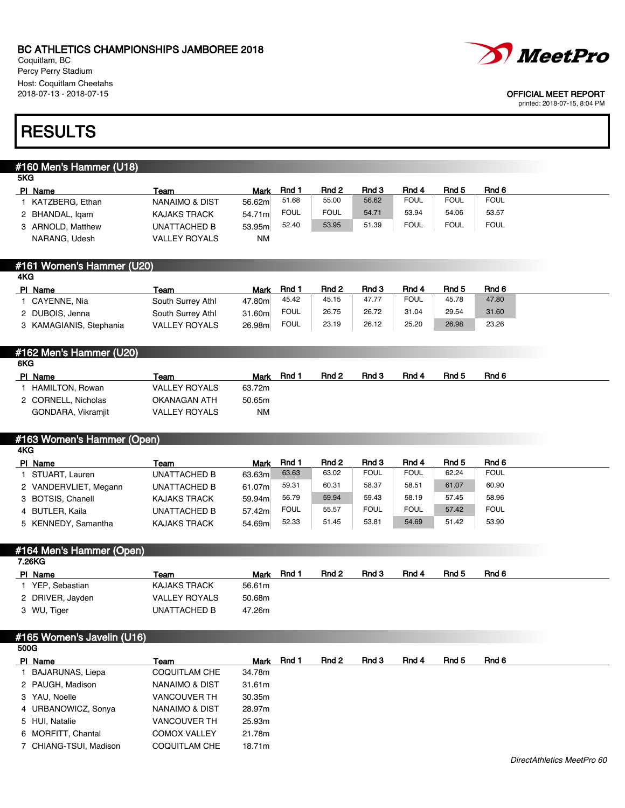Coquitlam, BC Percy Perry Stadium Host: Coquitlam Cheetahs<br>2018-07-13 - 2018-07-15



#### OFFICIAL MEET REPORT

printed: 2018-07-15, 8:04 PM

## **RESULTS**

### #160 Men's Hammer (U18)

| 5KG               |                           |        |             |             |       |             |             |             |  |
|-------------------|---------------------------|--------|-------------|-------------|-------|-------------|-------------|-------------|--|
| PI Name           | Team                      | Mark   | Rnd 1       | Rnd 2       | Rnd 3 | Rnd 4       | Rnd 5       | Rnd 6       |  |
| KATZBERG, Ethan   | <b>NANAIMO &amp; DIST</b> | 56.62m | 51.68       | 55.00       | 56.62 | <b>FOUL</b> | <b>FOUL</b> | <b>FOUL</b> |  |
| 2 BHANDAL, Igam   | <b>KAJAKS TRACK</b>       | 54.71m | <b>FOUL</b> | <b>FOUL</b> | 54.71 | 53.94       | 54.06       | 53.57       |  |
| 3 ARNOLD, Matthew | UNATTACHED B              | 53.95m | 52.40       | 53.95       | 51.39 | <b>FOUL</b> | <b>FOUL</b> | <b>FOUL</b> |  |
| NARANG, Udesh     | <b>VALLEY ROYALS</b>      | ΝM     |             |             |       |             |             |             |  |

|     | #161 Women's Hammer (U20) |
|-----|---------------------------|
| 4KG |                           |

| PI Name                 | Team                 | Mark   | Rnd 1       | Rnd 2 | Rnd 3 | Rnd 4       | Rnd 5 | Rnd 6 |
|-------------------------|----------------------|--------|-------------|-------|-------|-------------|-------|-------|
| CAYENNE, Nia            | South Surrey Athl    | 47.80m | 45.42       | 45.15 | 47.77 | <b>FOUL</b> | 45.78 | 47.80 |
| 2 DUBOIS, Jenna         | South Surrey Athl    | 31.60m | <b>FOUL</b> | 26.75 | 26.72 | 31.04       | 29.54 | 31.60 |
| 3 KAMAGIANIS, Stephania | <b>VALLEY ROYALS</b> | 26.98m | <b>FOUL</b> | 23.19 | 26.12 | 25.20       | 26.98 | 23.26 |

### #162 Men's Hammer (U20)

| 6KG |                     |                      |        |       |       |       |       |       |       |
|-----|---------------------|----------------------|--------|-------|-------|-------|-------|-------|-------|
|     | PI Name             | Team                 | Mark   | Rnd 1 | Rnd 2 | Rnd 3 | Rnd 4 | Rnd 5 | Rnd 6 |
|     | HAMILTON, Rowan     | <b>VALLEY ROYALS</b> | 63.72m |       |       |       |       |       |       |
|     | 2 CORNELL, Nicholas | OKANAGAN ATH         | 50.65m |       |       |       |       |       |       |
|     | GONDARA, Vikramjit  | <b>VALLEY ROYALS</b> | NM     |       |       |       |       |       |       |

## #163 Women's Hammer (Open)

| 4KG.                  |                     |        |             |       |             |             |       |             |  |
|-----------------------|---------------------|--------|-------------|-------|-------------|-------------|-------|-------------|--|
| PI Name               | Team                | Mark   | Rnd 1       | Rnd 2 | Rnd 3       | Rnd 4       | Rnd 5 | Rnd 6       |  |
| STUART, Lauren        | UNATTACHED B        | 63.63m | 63.63       | 63.02 | <b>FOUL</b> | <b>FOUL</b> | 62.24 | <b>FOUL</b> |  |
| 2 VANDERVLIET, Megann | UNATTACHED B        | 61.07m | 59.31       | 60.31 | 58.37       | 58.51       | 61.07 | 60.90       |  |
| 3 BOTSIS, Chanell     | <b>KAJAKS TRACK</b> | 59.94m | 56.79       | 59.94 | 59.43       | 58.19       | 57.45 | 58.96       |  |
| 4 BUTLER, Kaila       | UNATTACHED B        | 57.42m | <b>FOUL</b> | 55.57 | <b>FOUL</b> | <b>FOUL</b> | 57.42 | <b>FOUL</b> |  |
| 5 KENNEDY, Samantha   | <b>KAJAKS TRACK</b> | 54.69m | 52.33       | 51.45 | 53.81       | 54.69       | 51.42 | 53.90       |  |

#### #164 Men's Hammer (Open) 7.26KG

| .                |                      |        |       |       |       |       |       |       |  |
|------------------|----------------------|--------|-------|-------|-------|-------|-------|-------|--|
| PI Name          | Team                 | Mark   | Rnd 1 | Rnd 2 | Rnd 3 | Rnd 4 | Rnd 5 | Rnd 6 |  |
| YEP, Sebastian   | KAJAKS TRACK         | 56.61m |       |       |       |       |       |       |  |
| 2 DRIVER, Jayden | <b>VALLEY ROYALS</b> | 50.68m |       |       |       |       |       |       |  |
| 3 WU, Tiger      | UNATTACHED B         | 47.26m |       |       |       |       |       |       |  |
|                  |                      |        |       |       |       |       |       |       |  |

| Team                                                                                                                                                                                            |        | Rnd 2      | Rnd 3 | Rnd 4 | Rnd 5 | Rnd 6 |
|-------------------------------------------------------------------------------------------------------------------------------------------------------------------------------------------------|--------|------------|-------|-------|-------|-------|
| <b>COQUITLAM CHE</b>                                                                                                                                                                            | 34.78m |            |       |       |       |       |
| NANAIMO & DIST                                                                                                                                                                                  | 31.61m |            |       |       |       |       |
| <b>VANCOUVER TH</b>                                                                                                                                                                             | 30.35m |            |       |       |       |       |
| NANAIMO & DIST                                                                                                                                                                                  | 28.97m |            |       |       |       |       |
| <b>VANCOUVER TH</b>                                                                                                                                                                             | 25.93m |            |       |       |       |       |
| <b>COMOX VALLEY</b>                                                                                                                                                                             | 21.78m |            |       |       |       |       |
| <b>COQUITLAM CHE</b>                                                                                                                                                                            | 18.71m |            |       |       |       |       |
| #165 Women's Javelin (U16)<br>500G<br>PI Name<br>BAJARUNAS, Liepa<br>2 PAUGH, Madison<br>3 YAU, Noelle<br>4 URBANOWICZ, Sonya<br>5 HUI, Natalie<br>6 MORFITT, Chantal<br>7 CHIANG-TSUI, Madison |        | Mark Rnd 1 |       |       |       |       |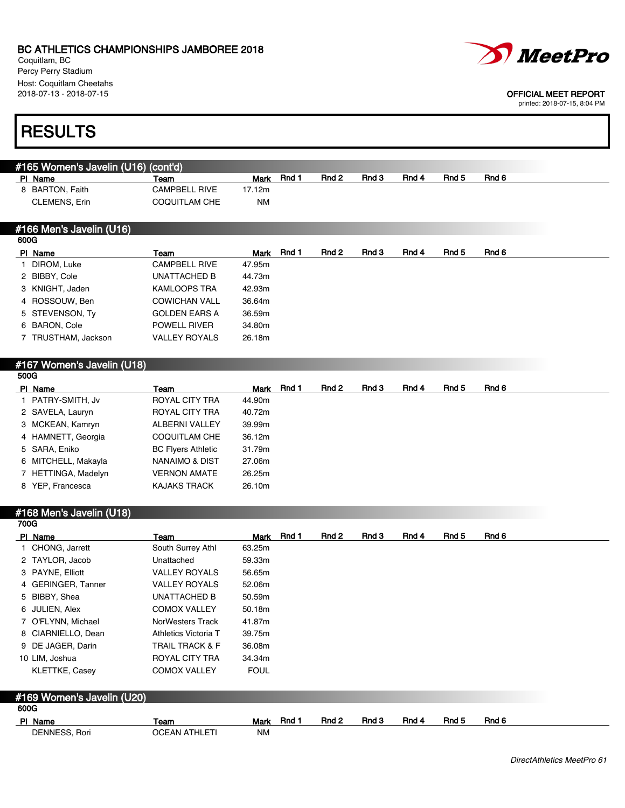Coquitlam, BC Percy Perry Stadium Host: Coquitlam Cheetahs<br>2018-07-13 - 2018-07-15



### OFFICIAL MEET REPORT

|      | <b>RESULTS</b>                                 |                            |             |       |       |       |       |                  |       |
|------|------------------------------------------------|----------------------------|-------------|-------|-------|-------|-------|------------------|-------|
|      |                                                |                            |             |       |       |       |       |                  |       |
|      | #165 Women's Javelin (U16) (cont'd)<br>PI Name | Team                       | <b>Mark</b> | Rnd 1 | Rnd 2 | Rnd 3 | Rnd 4 | Rnd 5            | Rnd 6 |
|      | 8 BARTON, Faith                                | CAMPBELL RIVE              | 17.12m      |       |       |       |       |                  |       |
|      | CLEMENS, Erin                                  | <b>COQUITLAM CHE</b>       | ΝM          |       |       |       |       |                  |       |
|      |                                                |                            |             |       |       |       |       |                  |       |
|      | #166 Men's Javelin (U16)                       |                            |             |       |       |       |       |                  |       |
| 600G |                                                |                            |             |       |       |       |       |                  |       |
|      | PI Name                                        | Team                       | Mark        | Rnd 1 | Rnd 2 | Rnd 3 | Rnd 4 | Rnd <sub>5</sub> | Rnd 6 |
|      | 1 DIROM, Luke                                  | <b>CAMPBELL RIVE</b>       | 47.95m      |       |       |       |       |                  |       |
|      | 2 BIBBY, Cole                                  | UNATTACHED B               | 44.73m      |       |       |       |       |                  |       |
|      | 3 KNIGHT, Jaden                                | <b>KAMLOOPS TRA</b>        | 42.93m      |       |       |       |       |                  |       |
|      | 4 ROSSOUW, Ben                                 | <b>COWICHAN VALL</b>       | 36.64m      |       |       |       |       |                  |       |
|      | 5 STEVENSON, Ty                                | <b>GOLDEN EARS A</b>       | 36.59m      |       |       |       |       |                  |       |
|      | 6 BARON, Cole                                  | <b>POWELL RIVER</b>        | 34.80m      |       |       |       |       |                  |       |
|      | 7 TRUSTHAM, Jackson                            | <b>VALLEY ROYALS</b>       | 26.18m      |       |       |       |       |                  |       |
|      |                                                |                            |             |       |       |       |       |                  |       |
|      | #167 Women's Javelin (U18)                     |                            |             |       |       |       |       |                  |       |
| 500G |                                                |                            |             |       |       |       |       |                  |       |
|      | PI Name                                        | Team                       | Mark        | Rnd 1 | Rnd 2 | Rnd 3 | Rnd 4 | Rnd <sub>5</sub> | Rnd 6 |
|      | 1 PATRY-SMITH, Jv                              | <b>ROYAL CITY TRA</b>      | 44.90m      |       |       |       |       |                  |       |
|      | 2 SAVELA, Lauryn                               | ROYAL CITY TRA             | 40.72m      |       |       |       |       |                  |       |
|      | 3 MCKEAN, Kamryn                               | ALBERNI VALLEY             | 39.99m      |       |       |       |       |                  |       |
|      | 4 HAMNETT, Georgia                             | <b>COQUITLAM CHE</b>       | 36.12m      |       |       |       |       |                  |       |
|      | 5 SARA, Eniko                                  | <b>BC Flyers Athletic</b>  | 31.79m      |       |       |       |       |                  |       |
|      | 6 MITCHELL, Makayla                            | <b>NANAIMO &amp; DIST</b>  | 27.06m      |       |       |       |       |                  |       |
|      | 7 HETTINGA, Madelyn                            | <b>VERNON AMATE</b>        | 26.25m      |       |       |       |       |                  |       |
|      | 8 YEP, Francesca                               | KAJAKS TRACK               | 26.10m      |       |       |       |       |                  |       |
|      |                                                |                            |             |       |       |       |       |                  |       |
|      | #168 Men's Javelin (U18)                       |                            |             |       |       |       |       |                  |       |
| 700G |                                                |                            |             |       |       |       |       |                  |       |
|      | PI Name                                        | Team                       | Mark        | Rnd 1 | Rnd 2 | Rnd 3 | Rnd 4 | Rnd 5            | Rnd 6 |
|      | 1 CHONG, Jarrett                               | South Surrey Athl          | 63.25m      |       |       |       |       |                  |       |
|      | 2 TAYLOR, Jacob                                | Unattached                 | 59.33m      |       |       |       |       |                  |       |
|      | 3 PAYNE, Elliott                               | <b>VALLEY ROYALS</b>       | 56.65m      |       |       |       |       |                  |       |
|      | 4 GERINGER, Tanner                             | <b>VALLEY ROYALS</b>       | 52.06m      |       |       |       |       |                  |       |
|      | 5 BIBBY, Shea                                  | <b>UNATTACHED B</b>        | 50.59m      |       |       |       |       |                  |       |
|      | 6 JULIEN, Alex                                 | <b>COMOX VALLEY</b>        | 50.18m      |       |       |       |       |                  |       |
|      | 7 O'FLYNN, Michael                             | NorWesters Track           | 41.87m      |       |       |       |       |                  |       |
|      | 8 CIARNIELLO, Dean                             | Athletics Victoria T       | 39.75m      |       |       |       |       |                  |       |
|      | 9 DE JAGER, Darin                              | <b>TRAIL TRACK &amp; F</b> | 36.08m      |       |       |       |       |                  |       |
|      | 10 LIM, Joshua                                 | ROYAL CITY TRA             | 34.34m      |       |       |       |       |                  |       |
|      | KLETTKE, Casey                                 | <b>COMOX VALLEY</b>        | <b>FOUL</b> |       |       |       |       |                  |       |
|      |                                                |                            |             |       |       |       |       |                  |       |
| 600G | #169 Women's Javelin (U20)                     |                            |             |       |       |       |       |                  |       |
|      | PI Name                                        | Team                       | Mark        | Rnd 1 | Rnd 2 | Rnd 3 | Rnd 4 | Rnd 5            | Rnd 6 |
|      | DENNESS, Rori                                  | <b>OCEAN ATHLETI</b>       | <b>NM</b>   |       |       |       |       |                  |       |
|      |                                                |                            |             |       |       |       |       |                  |       |